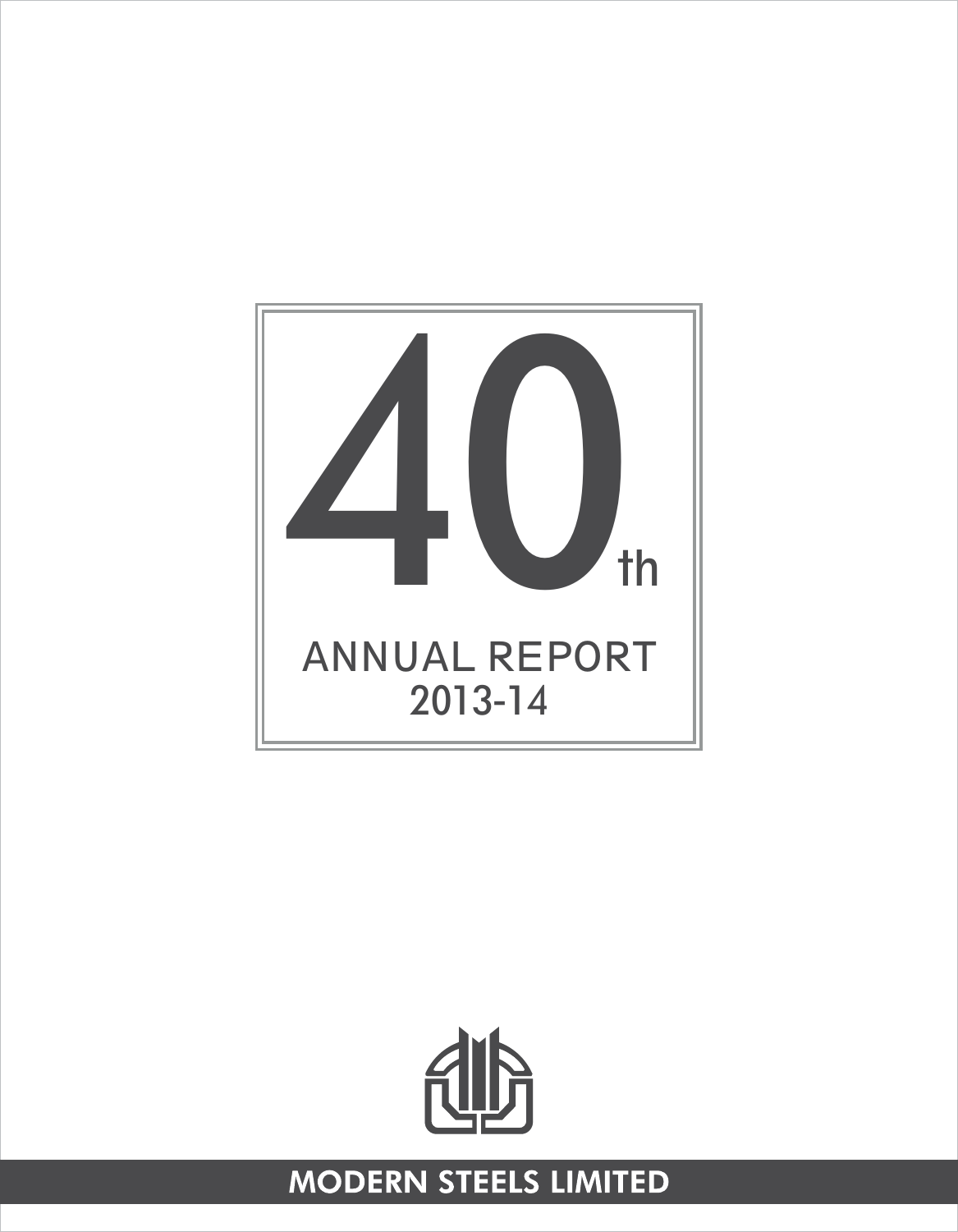



# **MODERN STEELS LIMITED**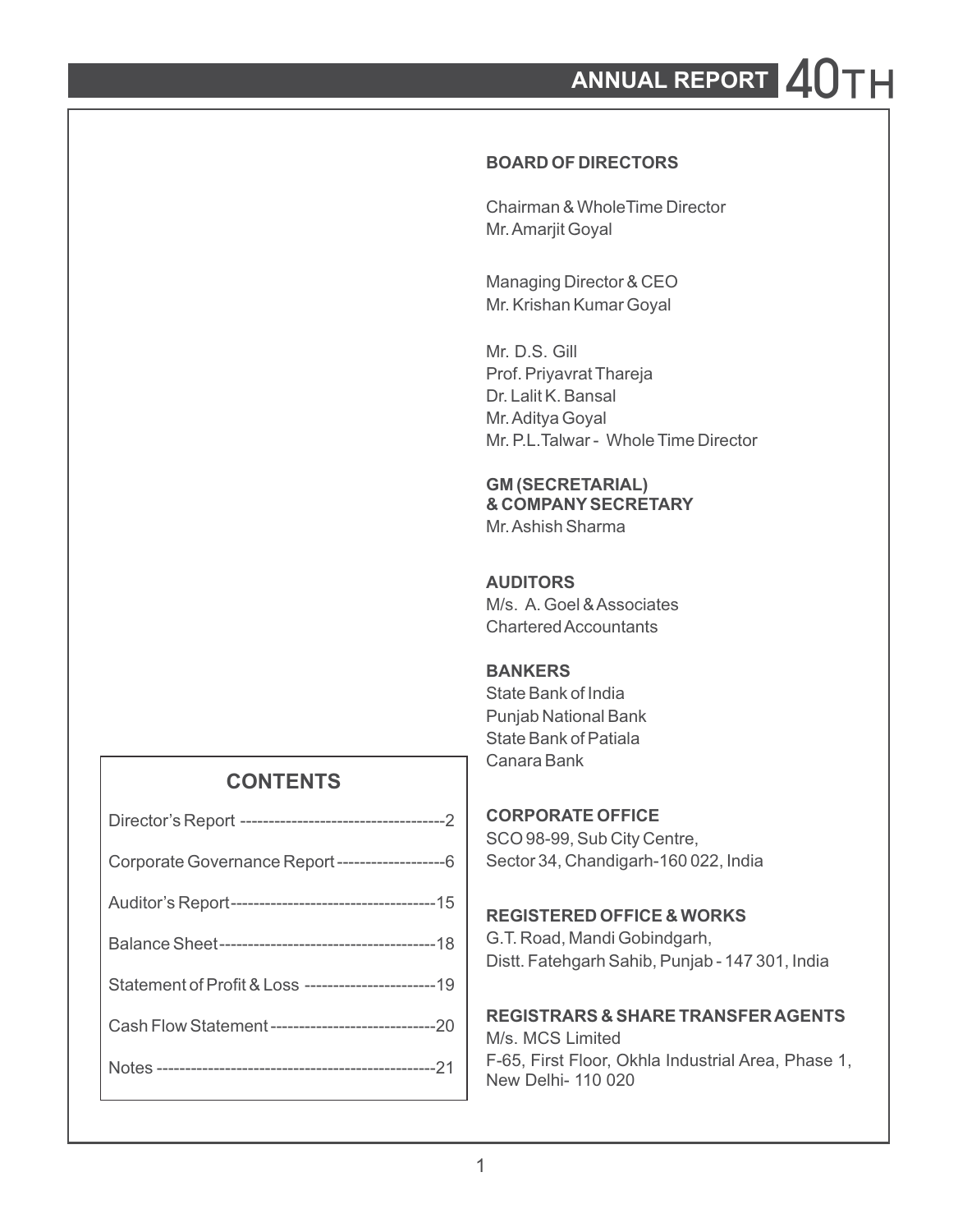# ANNUAL REPORT 2.0

### **BOARD OF DIRECTORS**

Chairman & WholeTime Director Mr. Amarjit Goyal

Managing Director & CEO Mr. Krishan Kumar Goyal

Mr. D.S. Gill Prof. Priyavrat Thareja Dr. Lalit K. Bansal Mr. Aditya Goyal Mr. P.L.Talwar - Whole Time Director

### **GM (SECRETARIAL) & COMPANYSECRETARY**

Mr. Ashish Sharma

#### **AUDITORS**

M/s. A. Goel & Associates Chartered Accountants

### **BANKERS**

State Bank of India Punjab National Bank State Bank of Patiala Canara Bank

## **CONTENTS**

### **CORPORATE OFFICE**

SCO 98-99, Sub City Centre, Sector 34, Chandigarh-160 022, India

#### **REGISTERED OFFICE & WORKS**

G.T. Road, Mandi Gobindgarh, Distt. Fatehgarh Sahib, Punjab - 147 301, India

#### **REGISTRARS & SHARE TRANSFER AGENTS**

M/s. MCS Limited F-65, First Floor, Okhla Industrial Area, Phase 1, New Delhi- 110 020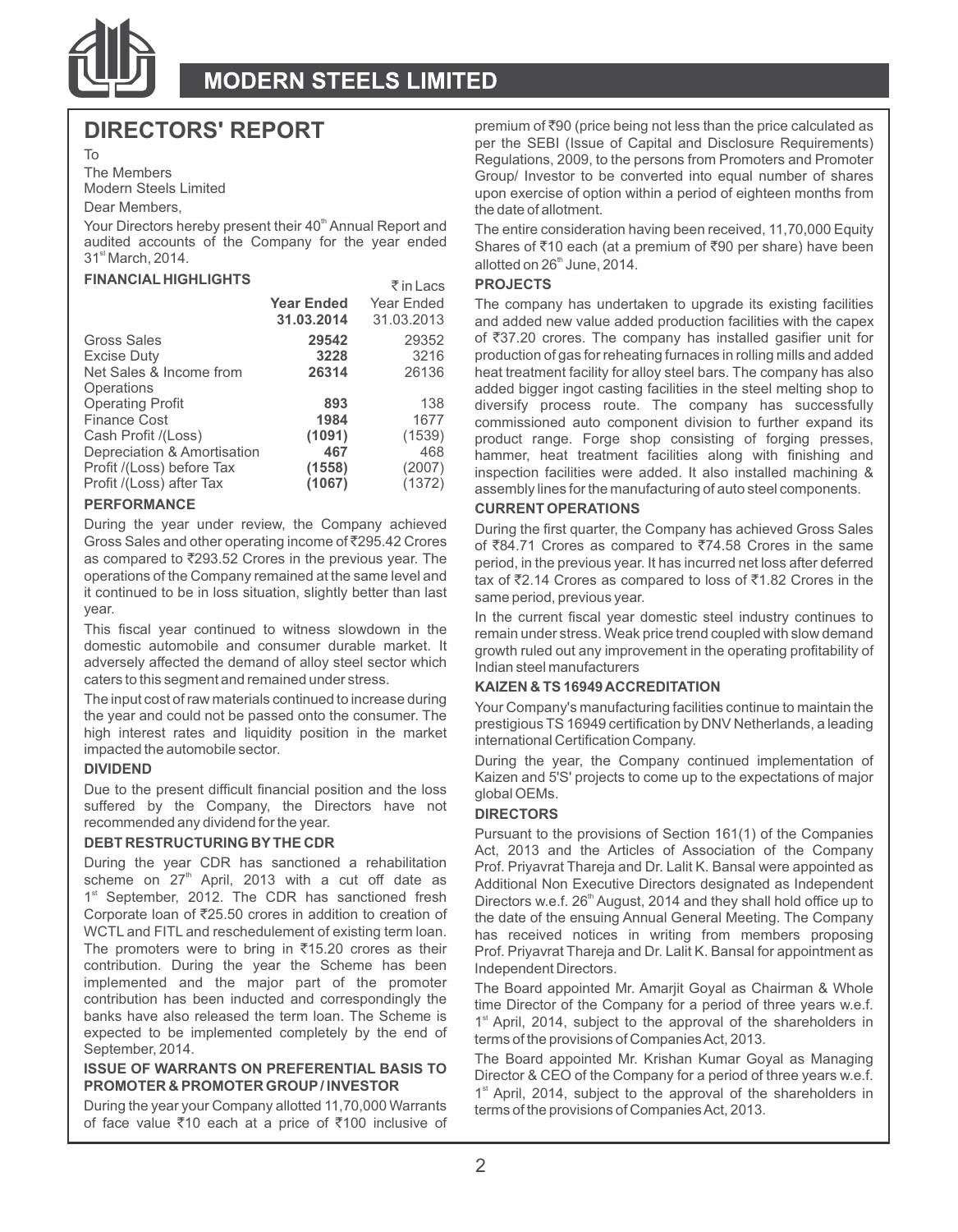

Your Directors hereby present their 40<sup>th</sup> Annual Report and The entire consideration having been received, 11,70,000 Equity audited accounts of the Company for the year ended Shares of  $\bar{\epsilon}$ 10 each (at a premium of  $\bar$ 

#### **FINANCIAL HIGHLIGHTS** ` in Lacs **PROJECTS**

|                                                                              |                       | $\sqrt{111}$ Lates    |                                                                                                                                                                                                                                              |
|------------------------------------------------------------------------------|-----------------------|-----------------------|----------------------------------------------------------------------------------------------------------------------------------------------------------------------------------------------------------------------------------------------|
|                                                                              | <b>Year Ended</b>     | Year Ended            | The company has undertaken to upgrade its existing facilities                                                                                                                                                                                |
|                                                                              | 31.03.2014            | 31.03.2013            | and added new value added production facilities with the cape                                                                                                                                                                                |
| Gross Sales                                                                  | 29542                 | 29352                 | of ₹37.20 crores. The company has installed gasifier unit f                                                                                                                                                                                  |
| Excise Duty                                                                  | 3228                  | 3216                  | production of gas for reheating furnaces in rolling mills and adde                                                                                                                                                                           |
| Net Sales & Income from                                                      | 26314                 | 26136                 | heat treatment facility for alloy steel bars. The company has als                                                                                                                                                                            |
| Operations<br><b>Operating Profit</b><br>Finance Cost<br>Cash Profit /(Loss) | 893<br>1984<br>(1091) | 138<br>1677<br>(1539) | added bigger ingot casting facilities in the steel melting shop<br>diversify process route. The company has successful<br>commissioned auto component division to further expand i<br>product range. Forge shop consisting of forging presse |
| Depreciation & Amortisation                                                  | 467                   | 468                   | hammer, heat treatment facilities along with finishing are                                                                                                                                                                                   |
| Profit /(Loss) before Tax                                                    | (1558)                | (2007)                | inspection facilities were added. It also installed machining                                                                                                                                                                                |
| Profit /(Loss) after Tax                                                     | (1067)                | (1372)                | assembly lines for the manufacturing of auto steel components.                                                                                                                                                                               |
| <b>PERFORMANCE</b>                                                           |                       |                       | CHEBENT OBER ATIONS                                                                                                                                                                                                                          |

**PERFORMANCE CURRENT OPERATIONS**<br>During the year under review, the Company achieved **During the first quarter** the it continued to be in loss situation, slightly better than last same period, previous year. year.

adversely affected the demand of alloy steel sector which caters to this seqment and remained under stress.

caters to this segment and remained under stress. **KAIZEN & TS 16949 ACCREDITATION**  impacted the automobile sector.

Due to the present difficult financial position and the loss global OEMs. suffered by the Company, the Directors have not<br> **DIRECTORS**<br>
Pursuant to the provisions of Section 161(1) of the Companies

1<sup>st</sup> September, 2012. The CDR has sanctioned fresh Corporate loan of  $\overline{z}$ 25.50 crores in addition to creation of contribution. During the year the Scheme has been Independent Directors.<br>
implemented and the major part of the promoter The Board appointed I

During the year your Company allotted 11,70,000 Warrants terms of the provisions of Companies Act, 2013. of face value  $\bar{z}$ 10 each at a price of  $\bar{z}$ 100 inclusive of

**DIRECTORS' REPORT** premium of ₹90 (price being not less than the price calculated as per the SEBI (Issue of Capital and Disclosure Requirements) To Regulations, 2009, to the persons from Promoters and Promoters and Promoters and Promoters and Promoters and Promoters and Promoters and Promoters and Promoters and Promoters and Promoters and Promoters and Promoters an The Members<br>Modern Steels Limited<br>Modern Steels Limited Modern Steels Limited upon exercise of option within a period of eighteen months from<br>Dear Members the date of allotment.

audited accounts of the Company for the year ended Shares of ₹10 each (at a premium of ₹90 per share) have been<br>31<sup>\*</sup> March, 2014. the Share started on 26<sup>\*</sup> June, 2014.

During the year under review, the Company achieved During the first quarter, the Company has achieved Gross Sales<br>Gross Sales and other operating income of ₹295.42 Crores of ₹84.71 Crores as compared to ₹74.58 Crores in t Gross Sales and other operating income of  $z$ 295.42 Crores of  $\bar{z}84.71$  Crores as compared to  $\bar{z}74.58$  Crores in the same<br>as compared to  $\bar{z}293.52$  Crores in the previous year. The pariod in the previous year It as compared to  $\frac{293.52}{2}$  Crores in the previous year. The period, in the previous year. It has incurred net loss after deferred<br>operations of the Company remained at the same level and  $\longrightarrow$  or  $\frac{473.44}{2}$  Crores a tax of  $\bar{z}$ 2.14 Crores as compared to loss of  $\bar{z}$ 1.82 Crores in the

In the current fiscal year domestic steel industry continues to This fiscal year continued to witness slowdown in the remain under stress. Weak price trend coupled with slow demand<br>domestic automobile and consumer durable market. It reputs who our improvement in the operating profitabi growth ruled out any improvement in the operating profitability of<br>Indian steel manufacturers

The input cost of raw materials continued to increase during<br>the year and could not be passed onto the consumer. The<br>high interest rates and liquidity position in the market<br>international Certification Company.

During the year, the Company continued implementation of **DIVIDEND** BUT DURING THE STRAND KAIZEN AND KAIZEN and 5'S' projects to come up to the expectations of major

**Pursuant to the provisions of Section 161(1) of the Companies**<br>Act, 2013 and the Articles of Association professors of Articles of Association of the Company<br>During the vear CDR has sanctioned a rehabilitation professiona During the year CDR has sanctioned a rehabilitation prof. Priyavrat Thareja and Dr. Lalit K. Bansal were appointed as<br>Scheme on 27<sup>th</sup> April, 2013 with a cut off date as Additional Non-Executive Directors designated as Ind Additional Non Executive Directors designated as Independent Directors w.e.f. 26<sup>th</sup> August, 2014 and they shall hold office up to Corporate loan of ₹25.50 crores in addition to creation of the date of the ensuing Annual General Meeting. The Company<br>WCTL and FITL and reschedulement of existing term loan. Thas received notices in writing from members p WCTL and FITL and reschedulement of existing term loan. has received notices in writing from members proposing<br>The promoters were to bring in ₹15.20 crores as their prof Privayrat Thareja and Dr Lalit K Bansal for annointm Prof. Priyavrat Thareja and Dr. Lalit K. Bansal for appointment as

implemented and the major part of the promoter The Board appointed Mr. Amarjit Goyal as Chairman & Whole<br>Contribution has been inducted and correspondingly the sime Director of the Company fare negical of three years we f contribution has been inducted and correspondingly the time Director of the Company for a period of three years w.e.f.<br>banks have also released the term loan. The Scheme is  $\frac{4}{3}$  April 2014, eubject to the approval of

banks have also released the term loan. The Scheme is<br>expected to be implemented completely by the end of<br>September, 2014.<br>September, 2014.<br>**ISSUE OF WARRANTS ON PREFERENTIAL BASIS TO**<br>**ISSUE OF WARRANTS ON PREFERENTIAL BA**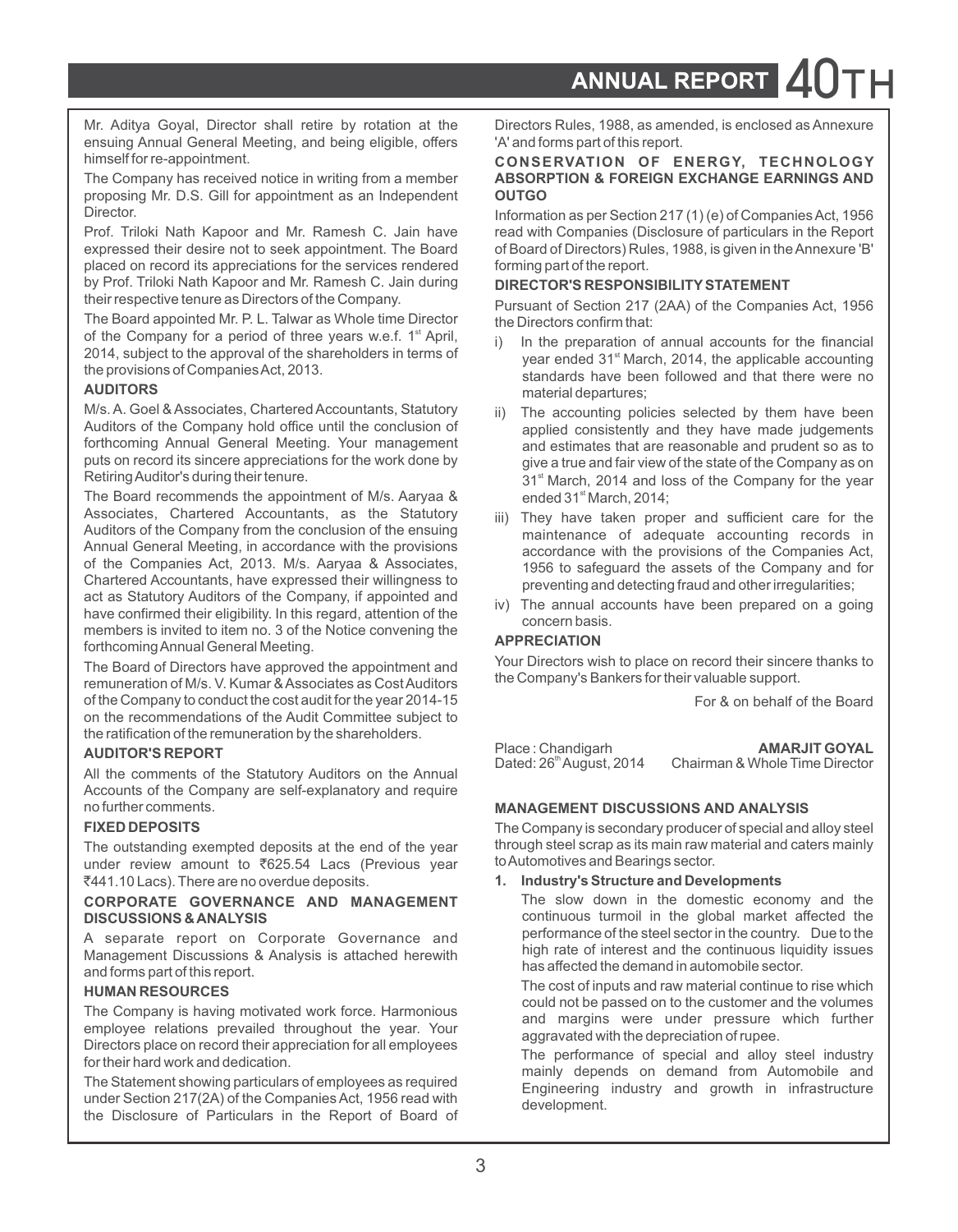ANNUAL REPORT

Mr. Aditya Goyal, Director shall retire by rotation at the Directors Rules, 1988, as amended, is enclosed as Annexure ensuing Annual General Meeting, and being eligible, offers <sup>'A'</sup> and forms part of this report.

The Company has received notice in writing from a member proposing Mr. D.S. Gill for appointment as an Independent **OUTGO Director** 

placed on record its appreciations for the services rendered by Prof. Triloki Nath Kapoor and Mr. Ramesh C. Jain during **DIRECTOR'S RESPONSIBILITY STATEMENT**<br>their respective tenure as Directors of the Company.

The Board appointed Mr. P. L. Talwar as Whole time Director of the Company for a period of three years w.e.f. 1<sup>st</sup> April. of the Company for a period of three years w.e.f. 1<sup>\*</sup> April, i) In the preparation of annual accounts for the financial 2014, subject to the approval of the shareholders in terms of

M/s. A. Goel & Associates, Chartered Accountants, Statutory ii) The accounting policies selected by them have been<br>Auditors of the Company hold office until the conclusion of applied consistently and they have made judgeme

The Board recommends the appointment of M/s. Aaryaa & ended  $31<sup>st</sup>$  March, 2014;<br>Associates, Chartered Accountants, as the Statutory  $\frac{1}{100}$  They have taken prop Associates, Chartered Accountants, as the Statutory iii) They have taken proper and sufficient care for the Auditors of the Company from the conclusion of the ensuing maintenance of adoquate association records in Chartered Accountants, have expressed their willingness to preventing and detecting fraud and other irregularities;<br>act as Statutory Auditors of the Company, if appointed and  $\frac{1}{2}$ . The expand accounts have have accord act as Statutory Auditors of the Company, if appointed and iv) The annual accounts have been prepared on a going<br>have confirmed their eligibility. In this regard, attention of the concern basis. members is invited to item no. 3 of the Notice convening the<br>**APPRECIATION** forthcoming Annual General Meeting.<br>The Beard of Directors have approved the appointment and Your Directors wish to place on record their sincere thanks to

The Board of Directors have approved the appointment and<br>Framunoration of M/s N Kumar & Associates as Cost Auditors the Company's Bankers for their valuable support. remuneration of M/s. V. Kumar & Associates as Cost Auditors of the Company to conduct the cost audit for the year 2014-15 For & on behalf of the Board on the recommendations of the Audit Committee subject to the ratification of the remuneration by the shareholders.

#### **AUDITOR'S REPORT** Place : Chandigarh **AMARJIT GOYAL**

All the comments of the Statutory Auditors on the Annual Accounts of the Company are self-explanatory and require no further comments. **MANAGEMENT DISCUSSIONS AND ANALYSIS**

under review amount to ₹625.54 Lacs (Previous year to Automotives and Bearings sector.<br>₹441.10 Lacs). There are no overdue deposits. **1. Industry's Structure and Developments** ₹441.10 Lacs). There are no overdue deposits.

# **CORPORATE GOVERNANCE AND MANAGEMENT** The slow down in the domestic economy and the **DISCUSSIONS & ANALYSIS AND MANAGEMENT** continuous turmoil in the global market affected the

A separate report on Corporate Governance and performance of the steel sector in the country. Due to the M<br>Management Discussions & Anglueis is attached berquith high rate of interest and the continuous liquidity issues Management Discussions & Analysis is attached herewith has affected the demand in automobile sector. and forms part of this report.

The Company is having motivated work force. Harmonious and the volume of the customer and the volumes employee relations prevailed throughout the year. Your

under Section 217(2A) of the Companies Act, 1956 read with development.<br>the Disclosure of Particulars in the Report of Board of

# himself for re-appointment. **CONSERVATION OF ENERGY, TECHNOLOGY**

Information as per Section 217 (1) (e) of Companies Act, 1956 Prof. Triloki Nath Kapoor and Mr. Ramesh C. Jain have read with Companies (Disclosure of particulars in the Report expressed their desire not to seek appointment. The Board of Board of Directors) Rules, 1988, is given in t of Board of Directors) Rules, 1988, is given in the Annexure 'B'<br>forming part of the report.

Pursuant of Section 217 (2AA) of the Companies Act, 1956<br>the Directors confirm that:

- 2014, subject to the approval of the shareholders in terms of star ended 31<sup>a</sup> March, 2014, the applicable accounting the provisions of Companies Act, 2013.<br>**AUDITORS** standards have been followed and that there were no ma material departures;
- Auditors of the Company hold office until the conclusion of applied consistently and they have made judgements<br>And estimates that are reasonable and principle and the social term for the formulation of the formulation of forthcoming Annual General Meeting. Your management and estimates that are reasonable and prudent so as to put the state of the Company as on puts on record its sincere appreciations for the work done by give a true and fair view of the state of the Company as on<br>Retiring Auditor's during their tenure. 31<sup>st</sup> March, 2014 and loss of the Company for the year
- Auditors of the Company from the conclusion of the ensuing maintenance of adequate accounting records in<br>Annual General Meeting, in accordance with the provisions encordance with the provisions of the Companies Act Annual General Meeting, in accordance with the provisions accordance with the provisions of the Companies Act,<br>
of the Companies Act, 2013. M/s. Aaryaa & Associates, and the associate the assets of the Company and for of the Companies Act, 2013. M/s. Aaryaa & Associates, 1956 to safeguard the assets of the Company and for<br>Chartered Accountants, have expressed their willingness to reaventing and detecting fraud and other irrequierities:
	-

| Place: Chandigarh                    | <b>AMARJIT GOYAL</b>           |
|--------------------------------------|--------------------------------|
| Dated: 26 <sup>th</sup> August, 2014 | Chairman & Whole Time Director |

**FIXED DEPOSITS** The Company is secondary producer of special and alloy steel The outstanding exempted deposits at the end of the year through steel scrap as its main raw material and caters mainly under review amount to  $\overline{8}625.54$  Lacs (Previous vear to Automotives and Bearings sector.

continuous turmoil in the global market affected the performance of the steel sector in the country. Due to the

The cost of inputs and raw material continue to rise which<br>
The cost of inputs and raw material continue to rise which<br>
The cost of inputs and raw material continue to rise which could not be passed on to the customer and

Employee relations prevailed throughout the year. Tour<br>
Directors place on record their appreciation for all employees<br>
for their hard work and dedication.<br>
The Statement showing particulars of employees as required<br>
The S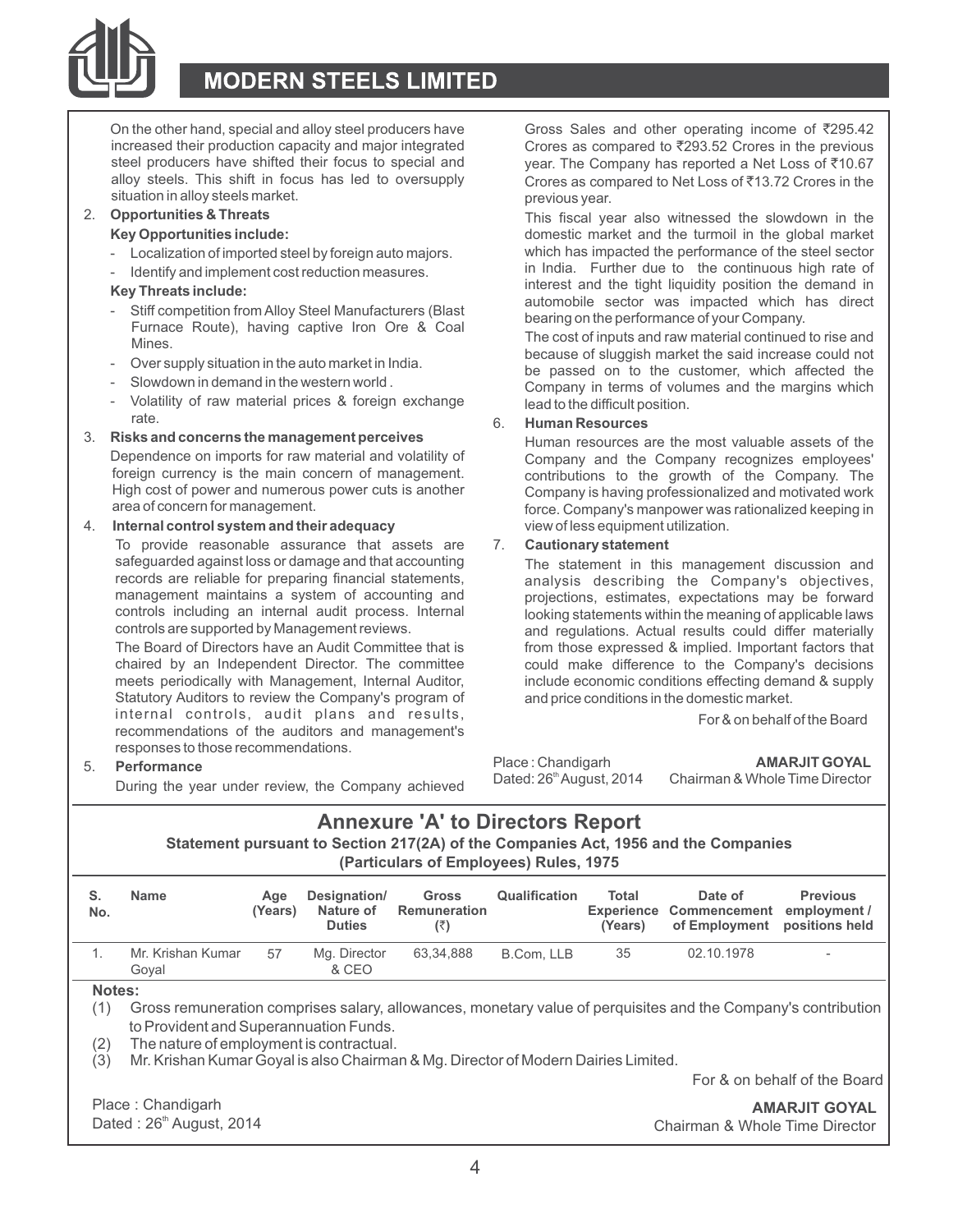

increased their production capacity and major integrated steel producers have shifted their focus to special and steel producers have shifted their focus to special and year. The Company has reported a Net Loss of ₹10.67<br>alloy steels. This shift in focus has led to oversupply Crores as compared to Net Loss of ₹13.72 Crores in the situation in alloy steels market.<br>
2. **Opportunities & Threats**<br>
2. **Opportunities & Threats** 

- Localization of imported steel by foreign auto majors.
- Identify and implement cost reduction measures.

- 
- 
- 
- Volatility of raw material prices & foreign exchange rate.

# rate. 6. **Human Resources**

Dependence on imports for raw material and volatility of Company and the Company recognizes employees'<br>foreign currency is the main concern of management. Contributions to the growth of the Company The foreign currency is the main concern of management.<br>High cost of power and numerous power cuts is another Company is having professionalized and motivated work High cost of power and numerous power cuts is another company is having professionalized and motivated work<br>Three Company's manpower was rationalized keeping in

#### 4. **Internal control system and their adequacy** view of less equipment utilization.

To provide reasonable assurance that assets are 7. **Cautionary statement** safeguarded against loss or damage and that accounting The statement in this management discussion and<br>
records are reliable for preparing financial statements, analysis describing the Company's objectives records are reliable for preparing financial statements, analysis describing the Company's objectives, respectives, analysis describing the Company's objectives, management maintains a system of accounting and projections, estimates, expectations may be forward<br>controls including an internal audit process, Internal proving tatements within the meaning of applicable laws controls including an internal audit process. Internal looking statements within the meaning of applicable laws<br>
controls are supported by Management reviews.

meets periodically with Management, Internal Auditor, include economic conditions effecting demand & supply Statutory Auditors to review the Company's program of and price conditions in the domestic market. internal controls, audit plans and results, the state of the For & on behalf of the Board recommendations of the auditors and management's responses to those recommendations.

**Performance AMARJIT GOYAL** Place: Chandigarh **AMARJIT GOYAL** Exercise the Dated: 26 August, 2014 Chairman & Whole Time Director During the year under review, the Company achieved Dated: 26 August, 2014 Chairman & Whole

On the other hand, special and alloy steel producers have Gross Sales and other operating income of  $\overline{2}95.42$ <br>increased their production capacity and major integrated Crores as compared to  $\overline{2}293.52$  Crores in the Crores as compared to Net Loss of ₹13.72 Crores in the

**2. Opportunities & Threats** The state of the slow This fiscal year also witnessed the slowdown in the vertical year also witnessed the slowdown in the slowdown in the slowdown in the slowdown in the slowdown in the slowdo domestic market and the turmoil in the global market which has impacted the performance of the steel sector in India. Further due to the continuous high rate of interest and the tight liquidity position the demand in interest and the tight liquidity position the demand in **Key Threats include:** automobile sector was impacted which has direct

Furnace Route), having captive Iron Ore & Coal<br>Mines.<br>- Over supply situation in the auto market in India.<br>- Over supply situation in the auto market in India. - Over supply situation in the automarket in India.<br>- Slowdown in demand in the western world. <br>Company in terms of volumes and the margins which Company in terms of volumes and the margins which lead to the difficult position.

**Risks and concerns the management perceives** Human resources are the most valuable assets of the Dependence on imports for raw material and volatility of Company and the Company recognizes employees' force. Company's manpower was rationalized keeping in

and regulations. Actual results could differ materially The Board of Directors have an Audit Committee that is from those expressed & implied. Important factors that chaired by an Independent Director. The committee could make difference to the Company's decisions could make difference to the Company's decisions

### **Annexure 'A' to Directors Report**

**Statement pursuant to Section 217(2A) of the Companies Act, 1956 and the Companies (Particulars of Employees) Rules, 1975**

| S.<br>No.         | Name                                                                                                                                                                                                                                                                                                | Age<br>(Years) | Designation/<br>Nature of<br><b>Duties</b> | Gross<br>Remuneration<br>(₹) | Qualification | Total<br><b>Experience</b><br>(Years) | Date of<br>Commencement<br>of Employment | Previous<br>employment /<br>positions held |
|-------------------|-----------------------------------------------------------------------------------------------------------------------------------------------------------------------------------------------------------------------------------------------------------------------------------------------------|----------------|--------------------------------------------|------------------------------|---------------|---------------------------------------|------------------------------------------|--------------------------------------------|
| 1.                | Mr. Krishan Kumar<br>Goyal                                                                                                                                                                                                                                                                          | 57             | Mg. Director<br>& CEO                      | 63,34,888                    | B.Com. LLB    | 35                                    | 02.10.1978                               |                                            |
| (1)<br>(2)<br>(3) | Notes:<br>Gross remuneration comprises salary, allowances, monetary value of perquisites and the Company's contribution<br>to Provident and Superannuation Funds.<br>The nature of employment is contractual.<br>Mr. Krishan Kumar Goyal is also Chairman & Mg. Director of Modern Dairies Limited. |                |                                            |                              |               |                                       |                                          |                                            |
|                   |                                                                                                                                                                                                                                                                                                     |                |                                            |                              |               |                                       |                                          | For & on behalf of the Board               |
|                   | Place: Chandigarh<br>Dated: 26 <sup>th</sup> August, 2014                                                                                                                                                                                                                                           |                |                                            |                              |               |                                       | Chairman & Whole Time Director           | <b>AMARJIT GOYAL</b>                       |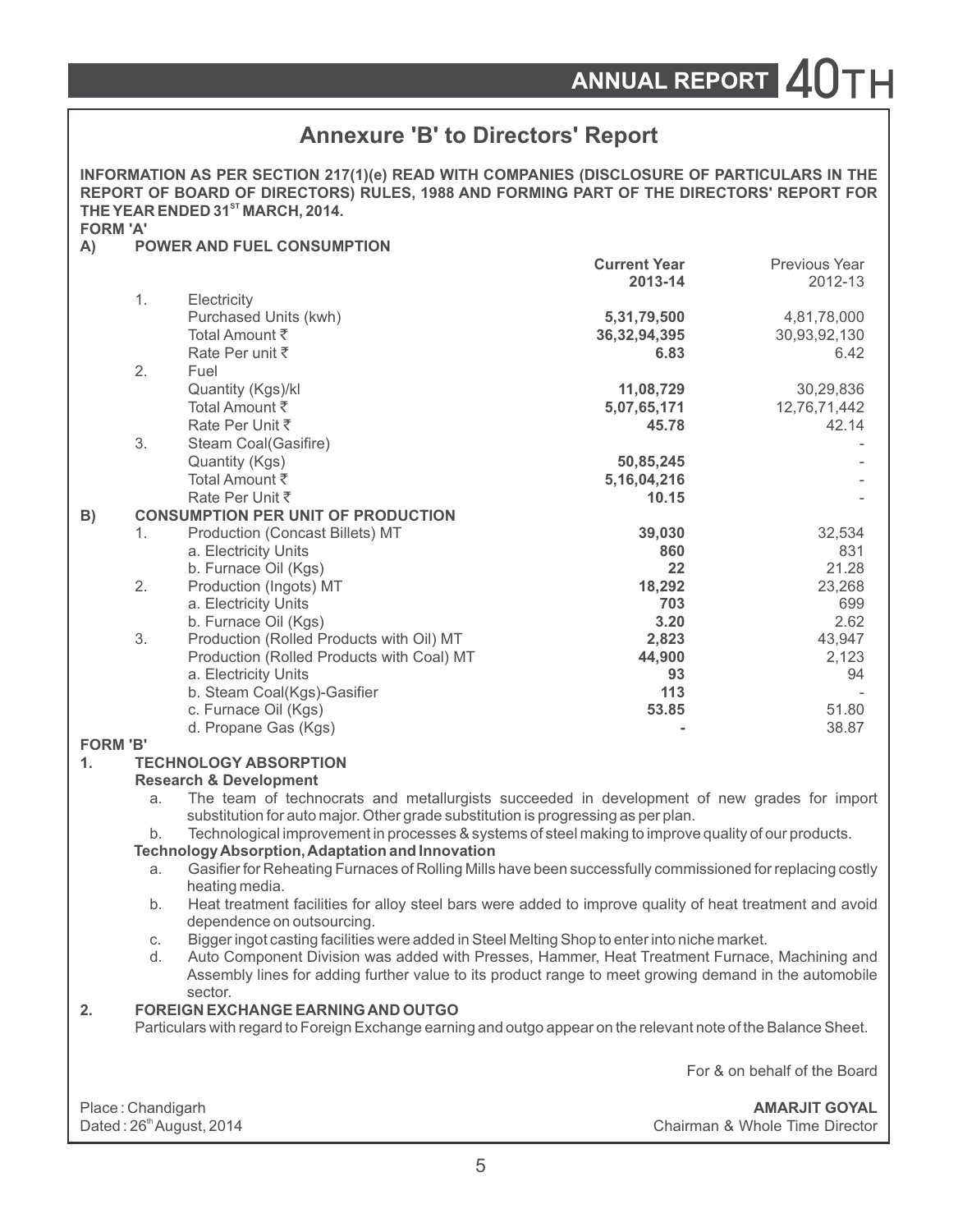|                 | <b>Annexure 'B' to Directors' Report</b>                   |                                                                                                                                                                                                                                       |                                |                              |  |  |
|-----------------|------------------------------------------------------------|---------------------------------------------------------------------------------------------------------------------------------------------------------------------------------------------------------------------------------------|--------------------------------|------------------------------|--|--|
| <b>FORM 'A'</b> |                                                            | INFORMATION AS PER SECTION 217(1)(e) READ WITH COMPANIES (DISCLOSURE OF PARTICULARS IN THE<br>REPORT OF BOARD OF DIRECTORS) RULES, 1988 AND FORMING PART OF THE DIRECTORS' REPORT FOR<br>THE YEAR ENDED 31 <sup>st</sup> MARCH, 2014. |                                |                              |  |  |
| A)              |                                                            | <b>POWER AND FUEL CONSUMPTION</b>                                                                                                                                                                                                     |                                |                              |  |  |
|                 |                                                            |                                                                                                                                                                                                                                       | <b>Current Year</b><br>2013-14 | Previous Year<br>2012-13     |  |  |
|                 | 1.                                                         | Electricity                                                                                                                                                                                                                           |                                |                              |  |  |
|                 |                                                            | Purchased Units (kwh)                                                                                                                                                                                                                 | 5,31,79,500                    | 4,81,78,000                  |  |  |
|                 |                                                            | Total Amount ₹<br>Rate Per unit ₹                                                                                                                                                                                                     | 36,32,94,395<br>6.83           | 30,93,92,130<br>6.42         |  |  |
|                 | 2.                                                         | Fuel                                                                                                                                                                                                                                  |                                |                              |  |  |
|                 |                                                            | Quantity (Kgs)/kl                                                                                                                                                                                                                     | 11,08,729                      | 30,29,836                    |  |  |
|                 |                                                            | Total Amount ₹                                                                                                                                                                                                                        | 5,07,65,171                    | 12,76,71,442                 |  |  |
|                 |                                                            | Rate Per Unit ₹                                                                                                                                                                                                                       | 45.78                          | 42.14                        |  |  |
|                 | 3.                                                         | Steam Coal(Gasifire)                                                                                                                                                                                                                  |                                |                              |  |  |
|                 |                                                            | Quantity (Kgs)                                                                                                                                                                                                                        | 50,85,245                      |                              |  |  |
|                 |                                                            | Total Amount ₹                                                                                                                                                                                                                        | 5, 16, 04, 216                 |                              |  |  |
|                 |                                                            | Rate Per Unit ₹                                                                                                                                                                                                                       | 10.15                          |                              |  |  |
| B)              |                                                            | <b>CONSUMPTION PER UNIT OF PRODUCTION</b>                                                                                                                                                                                             |                                |                              |  |  |
|                 | 1.                                                         | Production (Concast Billets) MT                                                                                                                                                                                                       | 39,030                         | 32,534                       |  |  |
|                 |                                                            | a. Electricity Units                                                                                                                                                                                                                  | 860                            | 831                          |  |  |
|                 |                                                            | b. Furnace Oil (Kgs)                                                                                                                                                                                                                  | 22                             | 21.28                        |  |  |
|                 | 2.                                                         | Production (Ingots) MT                                                                                                                                                                                                                | 18,292                         | 23,268                       |  |  |
|                 |                                                            | a. Electricity Units                                                                                                                                                                                                                  | 703                            | 699                          |  |  |
|                 |                                                            | b. Furnace Oil (Kgs)                                                                                                                                                                                                                  | 3.20                           | 2.62                         |  |  |
|                 | 3.                                                         | Production (Rolled Products with Oil) MT                                                                                                                                                                                              | 2,823                          | 43,947                       |  |  |
|                 |                                                            | Production (Rolled Products with Coal) MT                                                                                                                                                                                             | 44,900                         | 2,123                        |  |  |
|                 |                                                            | a. Electricity Units                                                                                                                                                                                                                  | 93                             | 94                           |  |  |
|                 |                                                            | b. Steam Coal(Kgs)-Gasifier                                                                                                                                                                                                           | 113<br>53.85                   | 51.80                        |  |  |
|                 |                                                            | c. Furnace Oil (Kgs)<br>d. Propane Gas (Kgs)                                                                                                                                                                                          |                                | 38.87                        |  |  |
| <b>FORM 'B'</b> |                                                            |                                                                                                                                                                                                                                       |                                |                              |  |  |
| 1.              |                                                            | <b>TECHNOLOGY ABSORPTION</b>                                                                                                                                                                                                          |                                |                              |  |  |
|                 |                                                            | <b>Research &amp; Development</b>                                                                                                                                                                                                     |                                |                              |  |  |
|                 | a.                                                         | The team of technocrats and metallurgists succeeded in development of new grades for import                                                                                                                                           |                                |                              |  |  |
|                 |                                                            | substitution for auto major. Other grade substitution is progressing as per plan.                                                                                                                                                     |                                |                              |  |  |
|                 | b.                                                         | Technological improvement in processes & systems of steel making to improve quality of our products.                                                                                                                                  |                                |                              |  |  |
|                 |                                                            | <b>Technology Absorption, Adaptation and Innovation</b>                                                                                                                                                                               |                                |                              |  |  |
|                 | a.                                                         | Gasifier for Reheating Furnaces of Rolling Mills have been successfully commissioned for replacing costly<br>heating media.                                                                                                           |                                |                              |  |  |
|                 | b.                                                         | Heat treatment facilities for alloy steel bars were added to improve quality of heat treatment and avoid<br>dependence on outsourcing.                                                                                                |                                |                              |  |  |
|                 | С.                                                         | Bigger ingot casting facilities were added in Steel Melting Shop to enter into niche market.                                                                                                                                          |                                |                              |  |  |
|                 | d.                                                         | Auto Component Division was added with Presses, Hammer, Heat Treatment Furnace, Machining and<br>Assembly lines for adding further value to its product range to meet growing demand in the automobile                                |                                |                              |  |  |
| 2.              |                                                            | sector.<br><b>FOREIGN EXCHANGE EARNING AND OUTGO</b>                                                                                                                                                                                  |                                |                              |  |  |
|                 |                                                            | Particulars with regard to Foreign Exchange earning and outgo appear on the relevant note of the Balance Sheet.                                                                                                                       |                                |                              |  |  |
|                 |                                                            |                                                                                                                                                                                                                                       |                                | For & on behalf of the Board |  |  |
|                 | Place: Chandigarh                                          |                                                                                                                                                                                                                                       |                                | <b>AMARJIT GOYAL</b>         |  |  |
|                 | Dated: 26th August, 2014<br>Chairman & Whole Time Director |                                                                                                                                                                                                                                       |                                |                              |  |  |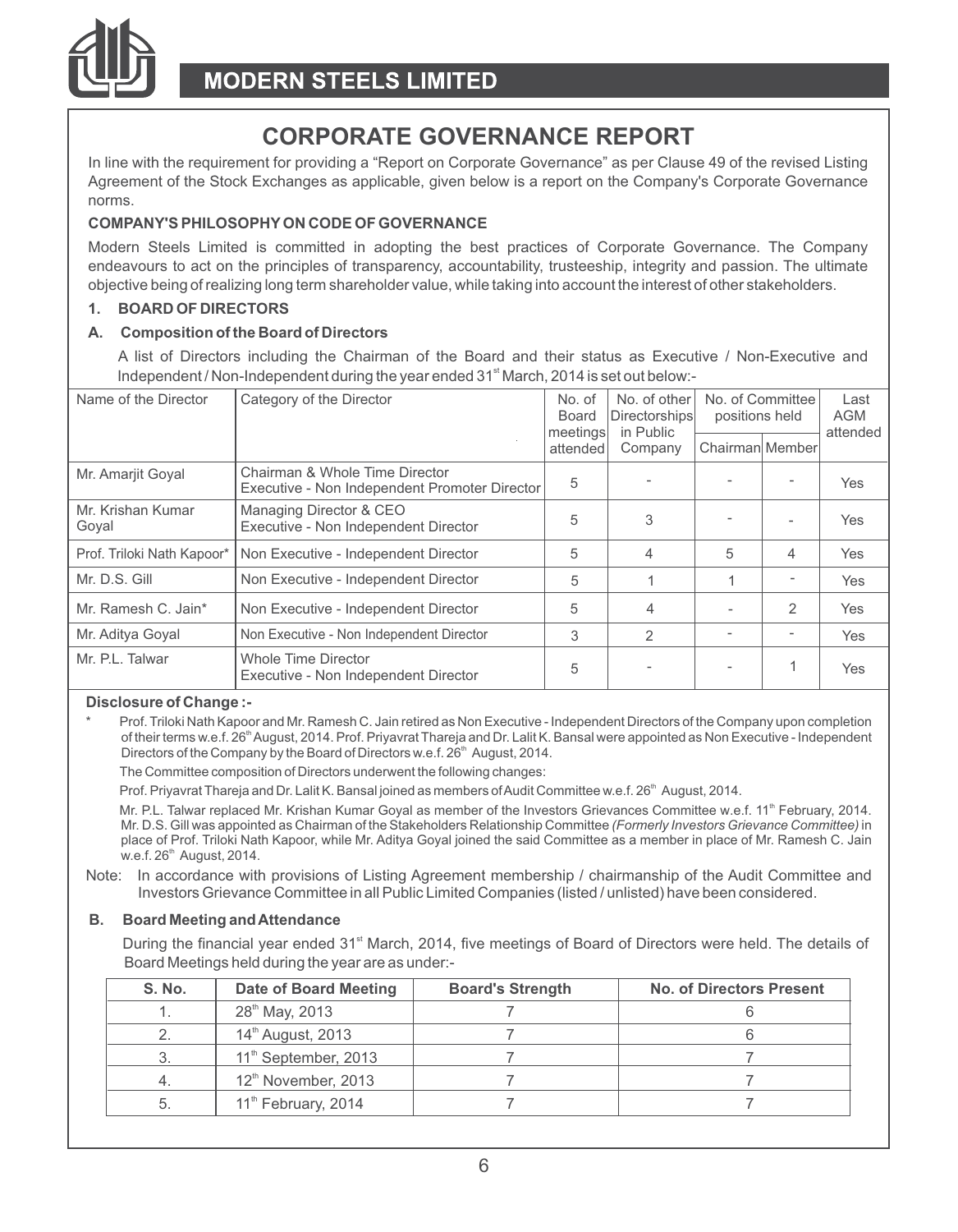

# **CORPORATE GOVERNANCE REPORT**

In line with the requirement for providing a "Report on Corporate Governance" as per Clause 49 of the revised Listing Agreement of the Stock Exchanges as applicable, given below is a report on the Company's Corporate Governance norms.

#### **COMPANY'S PHILOSOPHYON CODE OF GOVERNANCE**

Modern Steels Limited is committed in adopting the best practices of Corporate Governance. The Company endeavours to act on the principles of transparency, accountability, trusteeship, integrity and passion. The ultimate objective being of realizing long term shareholder value, while taking into account the interest of other stakeholders.

#### **1. BOARD OF DIRECTORS**

#### **A. Composition of the Board of Directors**

A list of Directors including the Chairman of the Board and their status as Executive / Non-Executive and Independent / Non-Independent during the year ended 31<sup>st</sup> March, 2014 is set out below:-

| Name of the Director       | Category of the Director                                                        |                      | No. of other<br>Directorships<br>in Public | No. of Committee<br>positions held |   | Last<br><b>AGM</b><br>attended |
|----------------------------|---------------------------------------------------------------------------------|----------------------|--------------------------------------------|------------------------------------|---|--------------------------------|
|                            |                                                                                 | meetings<br>attended | Company                                    | Chairman Member                    |   |                                |
| Mr. Amarjit Goyal          | Chairman & Whole Time Director<br>Executive - Non Independent Promoter Director | 5                    |                                            |                                    |   | Yes                            |
| Mr. Krishan Kumar<br>Goyal | Managing Director & CEO<br>Executive - Non Independent Director                 | 5                    | 3                                          |                                    |   | Yes                            |
| Prof. Triloki Nath Kapoor* | Non Executive - Independent Director                                            | 5                    | 4                                          | 5                                  | 4 | Yes                            |
| Mr. D.S. Gill              | Non Executive - Independent Director                                            | 5                    |                                            |                                    |   | Yes                            |
| Mr. Ramesh C. Jain*        | Non Executive - Independent Director                                            | 5                    | 4                                          | ٠                                  | 2 | Yes                            |
| Mr. Aditya Goyal           | Non Executive - Non Independent Director                                        | 3                    | 2                                          |                                    |   | <b>Yes</b>                     |
| Mr. P.L. Talwar            | Whole Time Director<br>Executive - Non Independent Director                     | 5                    |                                            |                                    |   | Yes                            |

#### **Disclosure of Change :-**

Prof. Triloki Nath Kapoor and Mr. Ramesh C. Jain retired as Non Executive - Independent Directors of the Company upon completion of their terms w.e.f. 26<sup>th</sup> August, 2014. Prof. Priyavrat Thareja and Dr. Lalit K. Bansal were appointed as Non Executive - Independent Directors of the Company by the Board of Directors w.e.f. 26<sup>th</sup> August, 2014.

The Committee composition of Directors underwent the following changes:

Prof. Priyavrat Thareja and Dr. Lalit K. Bansal joined as members of Audit Committee w.e.f. 26<sup>th</sup> August, 2014.

Mr. P.L. Talwar replaced Mr. Krishan Kumar Goyal as member of the Investors Grievances Committee w.e.f. 11<sup>th</sup> February, 2014. Mr. D.S. Gill was appointed as Chairman of the Stakeholders Relationship Committee *(Formerly Investors Grievance Committee)* in place of Prof. Triloki Nath Kapoor, while Mr. Aditya Goyal joined the said Committee as a member in place of Mr. Ramesh C. Jain  $w.e.f. 26<sup>th</sup>$  August, 2014.

Note: In accordance with provisions of Listing Agreement membership / chairmanship of the Audit Committee and Investors Grievance Committee in all Public Limited Companies (listed / unlisted) have been considered.

#### **B. Board Meeting and Attendance**

During the financial year ended 31<sup>st</sup> March, 2014, five meetings of Board of Directors were held. The details of Board Meetings held during the year are as under:-

| S. No. | Date of Board Meeting            | <b>Board's Strength</b> | <b>No. of Directors Present</b> |
|--------|----------------------------------|-------------------------|---------------------------------|
|        | 28 <sup>th</sup> May, 2013       |                         |                                 |
|        | 14 <sup>th</sup> August, 2013    |                         |                                 |
|        | 11 <sup>th</sup> September, 2013 |                         |                                 |
|        | 12 <sup>th</sup> November, 2013  |                         |                                 |
|        | 11 <sup>th</sup> February, 2014  |                         |                                 |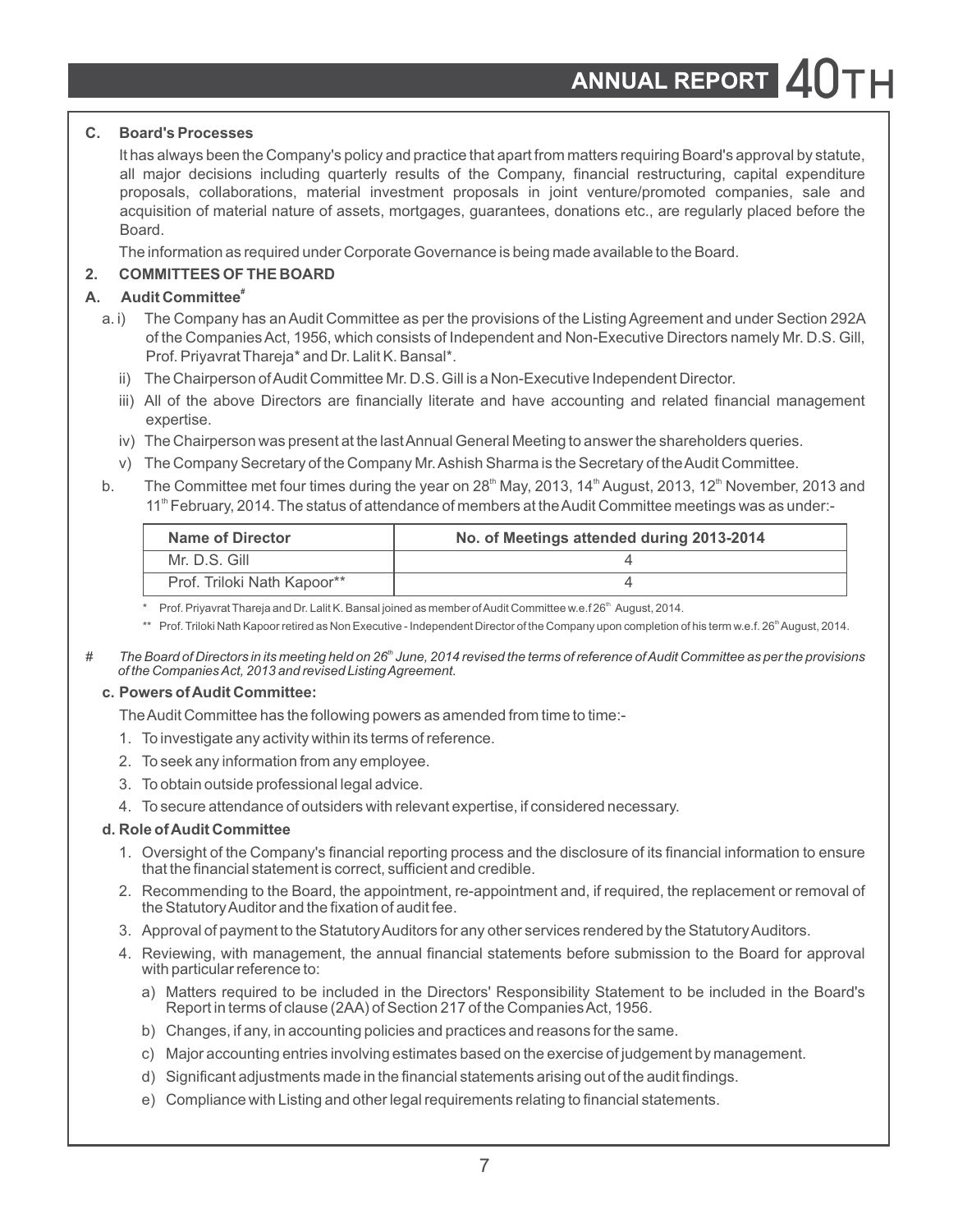### **C. Board's Processes**

It has always been the Company's policy and practice that apart from matters requiring Board's approval by statute, all major decisions including quarterly results of the Company, financial restructuring, capital expenditure proposals, collaborations, material investment proposals in joint venture/promoted companies, sale and acquisition of material nature of assets, mortgages, guarantees, donations etc., are regularly placed before the Board.

The information as required under Corporate Governance is being made available to the Board.

### **2. COMMITTEES OF THE BOARD**

### **# A. Audit Committee**

- a. i) The Company has an Audit Committee as per the provisions of the Listing Agreement and under Section 292A of the Companies Act, 1956, which consists of Independent and Non-Executive Directors namely Mr. D.S. Gill, Prof. Priyavrat Thareja\* and Dr. Lalit K. Bansal\*.
	- ii) The Chairperson of Audit Committee Mr. D.S. Gill is a Non-Executive Independent Director.
	- iii) All of the above Directors are financially literate and have accounting and related financial management expertise.
	- iv) The Chairperson was present at the last Annual General Meeting to answer the shareholders queries.
	- v) The Company Secretary of the Company Mr. Ashish Sharma is the Secretary of the Audit Committee.
- b. The Committee met four times during the year on  $28<sup>th</sup>$  May, 2013, 14<sup>th</sup> August, 2013, 12<sup>th</sup> November, 2013 and 11<sup>th</sup> February, 2014. The status of attendance of members at the Audit Committee meetings was as under:-

| Name of Director            | No. of Meetings attended during 2013-2014 |
|-----------------------------|-------------------------------------------|
| Mr. D.S. Gill               |                                           |
| Prof. Triloki Nath Kapoor** |                                           |

Prof. Priyavrat Thareja and Dr. Lalit K. Bansal joined as member of Audit Committee w.e.f 26<sup>th</sup> August, 2014.

\*\* Prof. Triloki Nath Kapoor retired as Non Executive - Independent Director of the Company upon completion of his term w.e.f. 26<sup>th</sup> August, 2014.

*th # The Board of Directors in its meeting held on 26 June, 2014 revised the terms of reference of Audit Committee as per the provisions of the Companies Act, 2013 and revised Listing Agreement.*

### **c. Powers of Audit Committee:**

- The Audit Committee has the following powers as amended from time to time:-
- 1. To investigate any activity within its terms of reference.
- 2. To seek any information from any employee.
- 3. To obtain outside professional legal advice.
- 4. To secure attendance of outsiders with relevant expertise, if considered necessary.

### **d. Role of Audit Committee**

- 1. Oversight of the Company's financial reporting process and the disclosure of its financial information to ensure that the financial statement is correct, sufficient and credible.
- 2. Recommending to the Board, the appointment, re-appointment and, if required, the replacement or removal of the Statutory Auditor and the fixation of audit fee.
- 3. Approval of payment to the Statutory Auditors for any other services rendered by the Statutory Auditors.
- 4. Reviewing, with management, the annual financial statements before submission to the Board for approval with particular reference to:
	- a) Matters required to be included in the Directors' Responsibility Statement to be included in the Board's Report in terms of clause (2AA) of Section 217 of the Companies Act, 1956.
	- b) Changes, if any, in accounting policies and practices and reasons for the same.
	- c) Major accounting entries involving estimates based on the exercise of judgement by management.
	- d) Significant adjustments made in the financial statements arising out of the audit findings.
	- e) Compliance with Listing and other legal requirements relating to financial statements.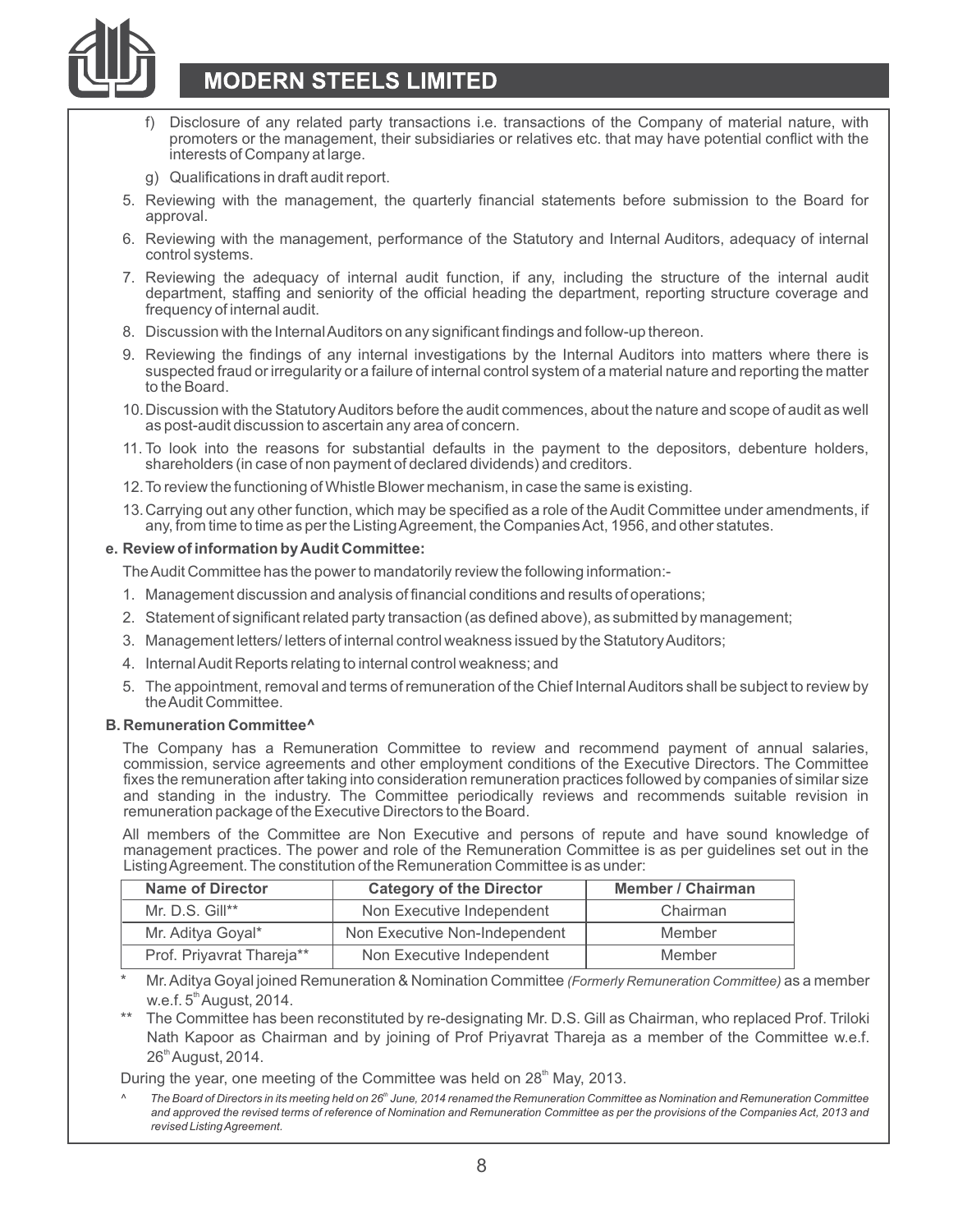

# **MODERN STEELS LIMITED**

- Disclosure of any related party transactions i.e. transactions of the Company of material nature, with promoters or the management, their subsidiaries or relatives etc. that may have potential conflict with the interests of Company at large.
- g) Qualifications in draft audit report.
- 5. Reviewing with the management, the quarterly financial statements before submission to the Board for approval.
- 6. Reviewing with the management, performance of the Statutory and Internal Auditors, adequacy of internal control systems.
- 7. Reviewing the adequacy of internal audit function, if any, including the structure of the internal audit department, staffing and seniority of the official heading the department, reporting structure coverage and frequency of internal audit.
- 8. Discussion with the Internal Auditors on any significant findings and follow-up thereon.
- 9. Reviewing the findings of any internal investigations by the Internal Auditors into matters where there is suspected fraud or irregularity or a failure of internal control system of a material nature and reporting the matter to the Board.
- 10.Discussion with the Statutory Auditors before the audit commences, about the nature and scope of audit as well as post-audit discussion to ascertain any area of concern.
- 11. To look into the reasons for substantial defaults in the payment to the depositors, debenture holders, shareholders (in case of non payment of declared dividends) and creditors.
- 12.To review the functioning of Whistle Blower mechanism, in case the same is existing.
- 13.Carrying out any other function, which may be specified as a role of the Audit Committee under amendments, if any, from time to time as per the Listing Agreement, the Companies Act, 1956, and other statutes.

#### **e. Review of information by Audit Committee:**

The Audit Committee has the power to mandatorily review the following information:-

- 1. Management discussion and analysis of financial conditions and results of operations;
- 2. Statement of significant related party transaction (as defined above), as submitted by management;
- 3. Management letters/ letters of internal control weakness issued by the Statutory Auditors;
- 4. Internal Audit Reports relating to internal control weakness; and
- 5. The appointment, removal and terms of remuneration of the Chief Internal Auditors shall be subject to review by the Audit Committee.

#### **B. Remuneration Committee^**

The Company has a Remuneration Committee to review and recommend payment of annual salaries, commission, service agreements and other employment conditions of the Executive Directors. The Committee fixes the remuneration after taking into consideration remuneration practices followed by companies of similar size and standing in the industry. The Committee periodically reviews and recommends suitable revision in remuneration package of the Executive Directors to the Board.

All members of the Committee are Non Executive and persons of repute and have sound knowledge of management practices. The power and role of the Remuneration Committee is as per guidelines set out in the Listing Agreement. The constitution of the Remuneration Committee is as under:

| <b>Name of Director</b>   | <b>Category of the Director</b> | Member / Chairman |
|---------------------------|---------------------------------|-------------------|
| Mr. $D.S.$ Gill**         | Non Executive Independent       | Chairman          |
| Mr. Aditya Goyal*         | Non Executive Non-Independent   | Member            |
| Prof. Priyavrat Thareja** | Non Executive Independent       | Member            |

- \* Mr. Aditya Goyal joined Remuneration & Nomination Committee *(Formerly Remuneration Committee)* as a member  $w.e.f. 5<sup>th</sup> August, 2014.$
- The Committee has been reconstituted by re-designating Mr. D.S. Gill as Chairman, who replaced Prof. Triloki Nath Kapoor as Chairman and by joining of Prof Priyavrat Thareja as a member of the Committee w.e.f. 26<sup>th</sup> August, 2014.

During the year, one meeting of the Committee was held on 28<sup>th</sup> May, 2013.

*th ^ The Board of Directors in its meeting held on 26 June, 2014 renamed the Remuneration Committee as Nomination and Remuneration Committee and approved the revised terms of reference of Nomination and Remuneration Committee as per the provisions of the Companies Act, 2013 and revised Listing Agreement.*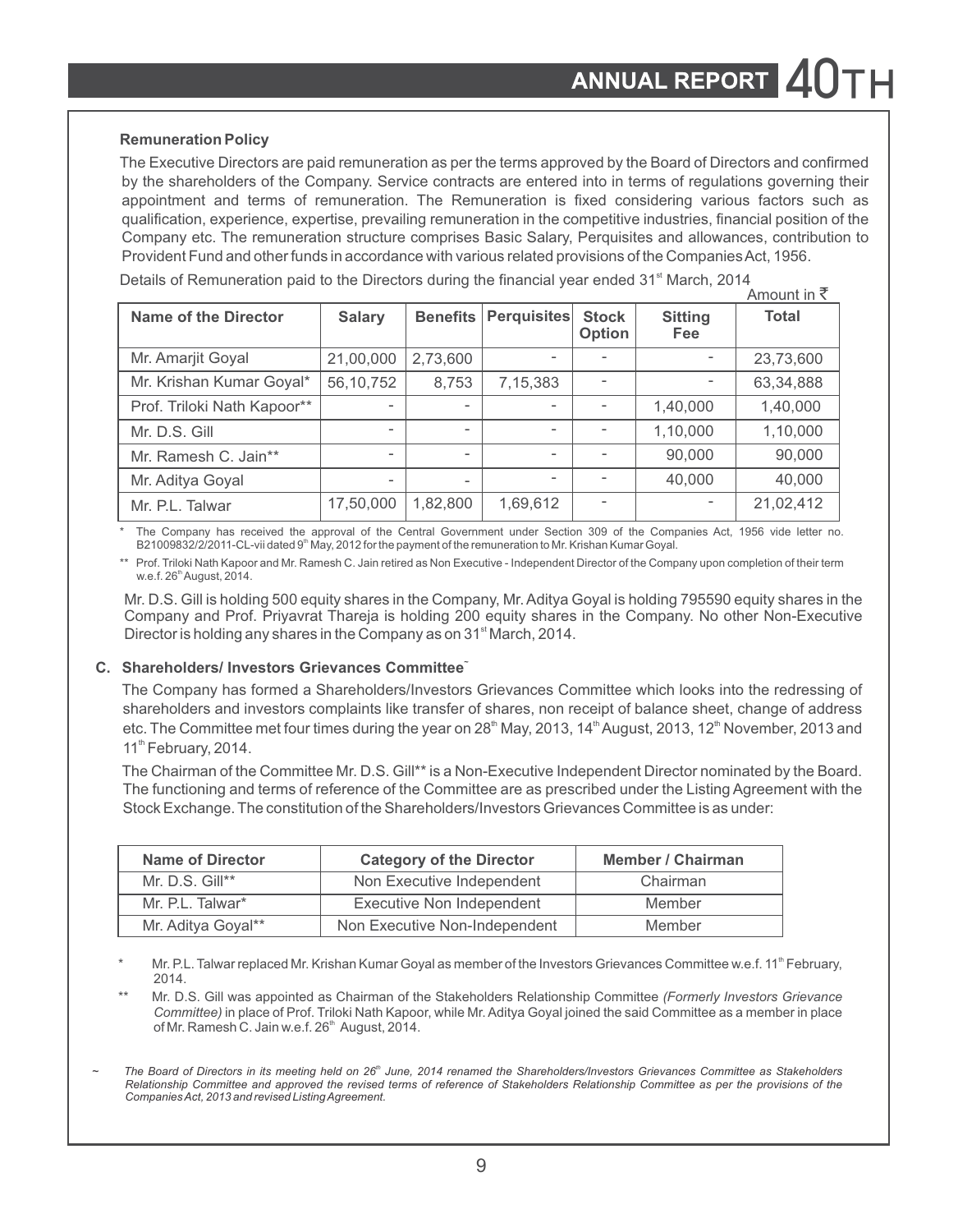#### **Remuneration Policy**

The Executive Directors are paid remuneration as per the terms approved by the Board of Directors and confirmed by the shareholders of the Company. Service contracts are entered into in terms of regulations governing their appointment and terms of remuneration. The Remuneration is fixed considering various factors such as qualification, experience, expertise, prevailing remuneration in the competitive industries, financial position of the Company etc. The remuneration structure comprises Basic Salary, Perquisites and allowances, contribution to Provident Fund and other funds in accordance with various related provisions of the Companies Act, 1956.

Details of Remuneration paid to the Directors during the financial year ended 31<sup>st</sup> March, 2014 Amount in `

|                             |                          |                          |                          |                          |                          | AILIUUILLII N |
|-----------------------------|--------------------------|--------------------------|--------------------------|--------------------------|--------------------------|---------------|
| Name of the Director        | <b>Salary</b>            | <b>Benefits</b>          | <b>Perquisites</b>       | <b>Stock</b><br>Option   | <b>Sitting</b><br>Fee    | <b>Total</b>  |
| Mr. Amarjit Goyal           | 21,00,000                | 2,73,600                 | $\overline{\phantom{a}}$ | $\overline{\phantom{0}}$ | $\overline{\phantom{0}}$ | 23,73,600     |
| Mr. Krishan Kumar Goyal*    | 56, 10, 752              | 8,753                    | 7,15,383                 | ٠                        | $\overline{\phantom{0}}$ | 63,34,888     |
| Prof. Triloki Nath Kapoor** | $\overline{\phantom{a}}$ | $\overline{\phantom{0}}$ | $\overline{\phantom{a}}$ |                          | 1,40,000                 | 1,40,000      |
| Mr. D.S. Gill               | $\overline{\phantom{a}}$ | $\overline{a}$           | ۰                        |                          | 1,10,000                 | 1,10,000      |
| Mr. Ramesh C. Jain**        | $\overline{\phantom{a}}$ | $\overline{\phantom{0}}$ | ۰                        |                          | 90,000                   | 90,000        |
| Mr. Aditya Goyal            | $\overline{\phantom{a}}$ | -                        | ۰                        |                          | 40,000                   | 40,000        |
| Mr. P.L. Talwar             | 17,50,000                | 1,82,800                 | 1,69,612                 |                          | $\overline{\phantom{0}}$ | 21,02,412     |
|                             |                          |                          |                          |                          |                          |               |

The Company has received the approval of the Central Government under Section 309 of the Companies Act, 1956 vide letter no. B21009832/2/2011-CL-vii dated 9<sup>th</sup> May, 2012 for the payment of the remuneration to Mr. Krishan Kumar Goyal.

\*\* Prof. Triloki Nath Kapoor and Mr. Ramesh C. Jain retired as Non Executive - Independent Director of the Company upon completion of their term w.e.f. 26<sup>th</sup> August, 2014.

Mr. D.S. Gill is holding 500 equity shares in the Company, Mr. Aditya Goyal is holding 795590 equity shares in the Company and Prof. Priyavrat Thareja is holding 200 equity shares in the Company. No other Non-Executive Director is holding any shares in the Company as on 31<sup>st</sup> March, 2014.

#### **<sup>~</sup> C. Shareholders/ Investors Grievances Committee**

The Company has formed a Shareholders/Investors Grievances Committee which looks into the redressing of shareholders and investors complaints like transfer of shares, non receipt of balance sheet, change of address etc. The Committee met four times during the year on  $28<sup>m</sup>$  May, 2013, 14<sup>th</sup> August, 2013, 12<sup>th</sup> November, 2013 and  $11<sup>th</sup>$  February, 2014.

The Chairman of the Committee Mr. D.S. Gill\*\* is a Non-Executive Independent Director nominated by the Board. The functioning and terms of reference of the Committee are as prescribed under the Listing Agreement with the Stock Exchange. The constitution of the Shareholders/Investors Grievances Committee is as under:

| Name of Director   | <b>Category of the Director</b> | Member / Chairman |  |
|--------------------|---------------------------------|-------------------|--|
| Mr. D.S. Gill**    | Non Executive Independent       | Chairman          |  |
| Mr. P.I. Talwar*   | Executive Non Independent       | Member            |  |
| Mr. Aditya Goyal** | Non Executive Non-Independent   | Member            |  |

Mr. P.L. Talwar replaced Mr. Krishan Kumar Goyal as member of the Investors Grievances Committee w.e.f. 11<sup>th</sup> February, 2014.

\*\* Mr. D.S. Gill was appointed as Chairman of the Stakeholders Relationship Committee *(Formerly Investors Grievance Committee)* in place of Prof. Triloki Nath Kapoor, while Mr. Aditya Goyal joined the said Committee as a member in place of Mr. Ramesh C. Jain w.e.f. 26<sup>th</sup> August, 2014.

*th ~ The Board of Directors in its meeting held on 26 June, 2014 renamed the Shareholders/Investors Grievances Committee as Stakeholders Relationship Committee and approved the revised terms of reference of Stakeholders Relationship Committee as per the provisions of the Companies Act, 2013 and revised Listing Agreement.*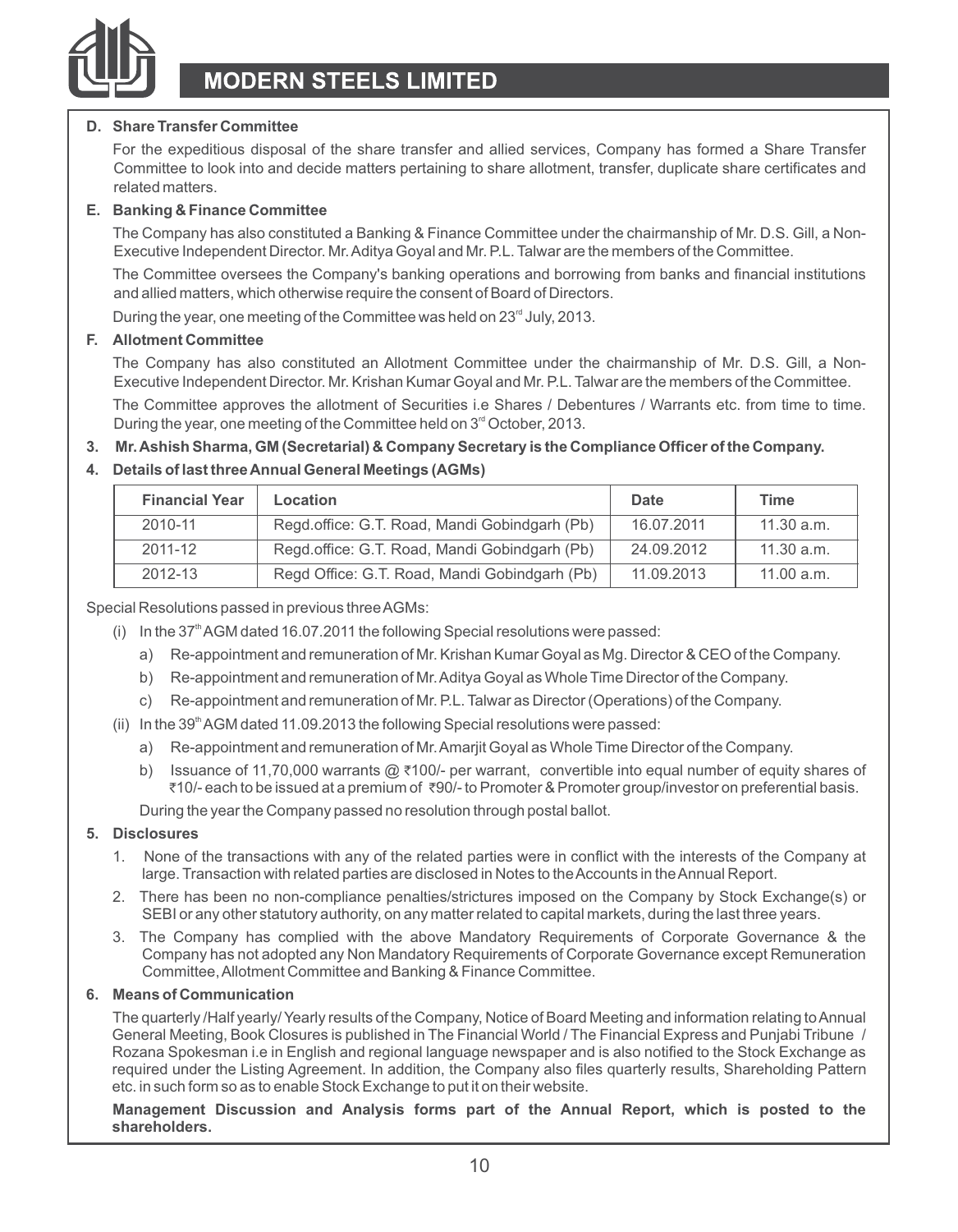

#### **D. Share Transfer Committee**

For the expeditious disposal of the share transfer and allied services, Company has formed a Share Transfer Committee to look into and decide matters pertaining to share allotment, transfer, duplicate share certificates and related matters.

#### **E. Banking & Finance Committee**

The Company has also constituted a Banking & Finance Committee under the chairmanship of Mr. D.S. Gill, a Non-Executive Independent Director. Mr. Aditya Goyal and Mr. P.L. Talwar are the members of the Committee.

The Committee oversees the Company's banking operations and borrowing from banks and financial institutions and allied matters, which otherwise require the consent of Board of Directors.

During the year, one meeting of the Committee was held on 23<sup>rd</sup> July, 2013.

#### **F. Allotment Committee**

The Company has also constituted an Allotment Committee under the chairmanship of Mr. D.S. Gill, a Non-Executive Independent Director. Mr. Krishan Kumar Goyal and Mr. P.L. Talwar are the members of the Committee.

The Committee approves the allotment of Securities i.e Shares / Debentures / Warrants etc. from time to time. During the year, one meeting of the Committee held on 3<sup>rd</sup> October, 2013.

#### **3. Mr. Ashish Sharma, GM (Secretarial) & Company Secretary is the Compliance Officer of the Company.**

#### **4. Details of last three Annual General Meetings (AGMs)**

| <b>Financial Year</b> | Location                                      | Date       | Time       |
|-----------------------|-----------------------------------------------|------------|------------|
| 2010-11               | Regd.office: G.T. Road, Mandi Gobindgarh (Pb) | 16.07.2011 | 11.30 a.m. |
| 2011-12               | Regd.office: G.T. Road, Mandi Gobindgarh (Pb) | 24.09.2012 | 11.30 a.m. |
| 2012-13               | Regd Office: G.T. Road, Mandi Gobindgarh (Pb) | 11.09.2013 | 11.00 a.m. |

Special Resolutions passed in previous three AGMs:

- (i) In the  $37<sup>th</sup>$  AGM dated 16.07.2011 the following Special resolutions were passed:
	- a) Re-appointment and remuneration of Mr. Krishan Kumar Goyal as Mg. Director & CEO of the Company.
	- b) Re-appointment and remuneration of Mr. Aditya Goyal as Whole Time Director of the Company.
	- c) Re-appointment and remuneration of Mr. P.L. Talwar as Director (Operations) of the Company.
- (ii) In the 39<sup>th</sup> AGM dated 11.09.2013 the following Special resolutions were passed:
	- a) Re-appointment and remuneration of Mr. Amarjit Goyal as Whole Time Director of the Company.
	- b) Issuance of 11,70,000 warrants @ ₹100/- per warrant, convertible into equal number of equity shares of ₹10/- each to be issued at a premium of ₹90/- to Promoter & Promoter group/investor on preferential basis.

During the year the Company passed no resolution through postal ballot.

#### **5. Disclosures**

- 1. None of the transactions with any of the related parties were in conflict with the interests of the Company at large. Transaction with related parties are disclosed in Notes to the Accounts in the Annual Report.
- 2. There has been no non-compliance penalties/strictures imposed on the Company by Stock Exchange(s) or SEBI or any other statutory authority, on any matter related to capital markets, during the last three years.
- 3. The Company has complied with the above Mandatory Requirements of Corporate Governance & the Company has not adopted any Non Mandatory Requirements of Corporate Governance except Remuneration Committee, Allotment Committee and Banking & Finance Committee.

#### **6. Means of Communication**

The quarterly /Half yearly/ Yearly results of the Company, Notice of Board Meeting and information relating to Annual General Meeting, Book Closures is published in The Financial World / The Financial Express and Punjabi Tribune / Rozana Spokesman i.e in English and regional language newspaper and is also notified to the Stock Exchange as required under the Listing Agreement. In addition, the Company also files quarterly results, Shareholding Pattern etc. in such form so as to enable Stock Exchange to put it on their website.

**Management Discussion and Analysis forms part of the Annual Report, which is posted to the shareholders.**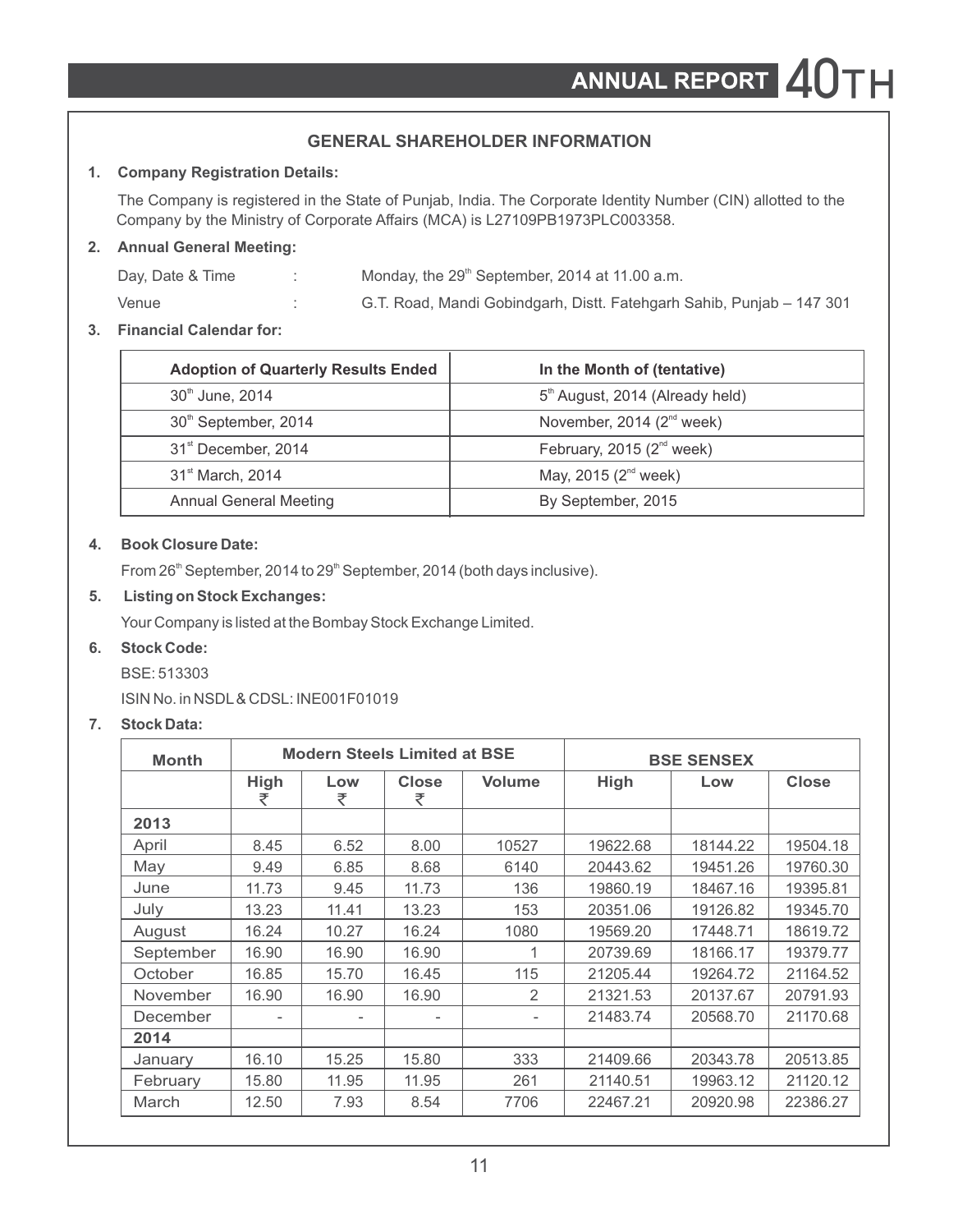### **GENERAL SHAREHOLDER INFORMATION**

### **1. Company Registration Details:**

The Company is registered in the State of Punjab, India. The Corporate Identity Number (CIN) allotted to the Company by the Ministry of Corporate Affairs (MCA) is L27109PB1973PLC003358.

### **2. Annual General Meeting:**

| Day, Date & Time | Monday, the 29 <sup>th</sup> September, 2014 at 11.00 a.m.            |
|------------------|-----------------------------------------------------------------------|
| Venue            | G.T. Road, Mandi Gobindgarh, Distt. Fatehgarh Sahib, Punjab – 147 301 |

### **3. Financial Calendar for:**

| <b>Adoption of Quarterly Results Ended</b> | In the Month of (tentative)                 |
|--------------------------------------------|---------------------------------------------|
| 30 <sup>th</sup> June, 2014                | 5 <sup>th</sup> August, 2014 (Already held) |
| 30 <sup>th</sup> September, 2014           | November, 2014 (2 <sup>nd</sup> week)       |
| 31 <sup>st</sup> December, 2014            | February, 2015 $(2^{nd}$ week)              |
| 31 <sup>st</sup> March, 2014               | May, 2015 (2 <sup>nd</sup> week)            |
| <b>Annual General Meeting</b>              | By September, 2015                          |

### **4. Book Closure Date:**

From  $26<sup>th</sup>$  September, 2014 to  $29<sup>th</sup>$  September, 2014 (both days inclusive).

### **5. Listing on Stock Exchanges:**

Your Company is listed at the Bombay Stock Exchange Limited.

### **6. Stock Code:**

BSE: 513303

ISIN No. in NSDL& CDSL: INE001F01019

### **7. Stock Data:**

| <b>Month</b> |           | <b>Modern Steels Limited at BSE</b> |            |        | <b>BSE SENSEX</b> |          |          |
|--------------|-----------|-------------------------------------|------------|--------|-------------------|----------|----------|
|              | High<br>₹ | Low<br>₹                            | Close<br>₹ | Volume | High              | Low      | Close    |
| 2013         |           |                                     |            |        |                   |          |          |
| April        | 8.45      | 6.52                                | 8.00       | 10527  | 19622.68          | 18144.22 | 19504.18 |
| May          | 9.49      | 6.85                                | 8.68       | 6140   | 20443.62          | 19451.26 | 19760.30 |
| June         | 11.73     | 9.45                                | 11.73      | 136    | 19860.19          | 18467.16 | 19395.81 |
| July         | 13.23     | 11.41                               | 13.23      | 153    | 20351.06          | 19126.82 | 19345.70 |
| August       | 16.24     | 10.27                               | 16.24      | 1080   | 19569.20          | 17448.71 | 18619.72 |
| September    | 16.90     | 16.90                               | 16.90      | 1      | 20739.69          | 18166.17 | 19379.77 |
| October      | 16.85     | 15.70                               | 16.45      | 115    | 21205.44          | 19264.72 | 21164.52 |
| November     | 16.90     | 16.90                               | 16.90      | 2      | 21321.53          | 20137.67 | 20791.93 |
| December     |           | $\overline{\phantom{a}}$            |            |        | 21483.74          | 20568.70 | 21170.68 |
| 2014         |           |                                     |            |        |                   |          |          |
| January      | 16.10     | 15.25                               | 15.80      | 333    | 21409.66          | 20343.78 | 20513.85 |
| February     | 15.80     | 11.95                               | 11.95      | 261    | 21140.51          | 19963.12 | 21120.12 |
| March        | 12.50     | 7.93                                | 8.54       | 7706   | 22467.21          | 20920.98 | 22386.27 |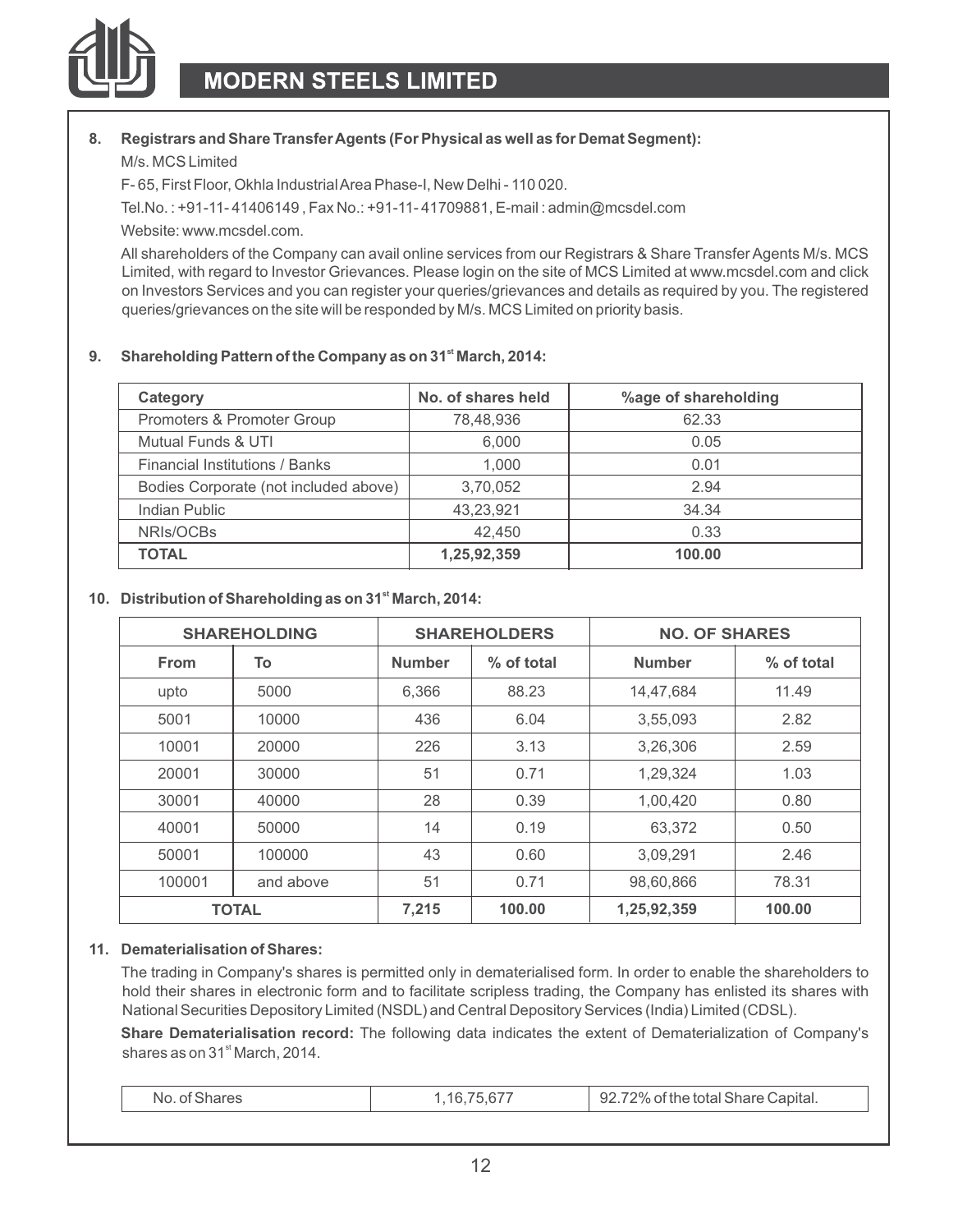

#### **8. Registrars and Share Transfer Agents (For Physical as well as for Demat Segment):**

M/s. MCS Limited

F- 65, First Floor, Okhla Industrial Area Phase-I, New Delhi - 110 020.

Tel.No. : +91-11- 41406149 , Fax No.: +91-11- 41709881, E-mail : admin@mcsdel.com

Website: www.mcsdel.com.

All shareholders of the Company can avail online services from our Registrars & Share Transfer Agents M/s. MCS Limited, with regard to Investor Grievances. Please login on the site of MCS Limited at www.mcsdel.com and click on Investors Services and you can register your queries/grievances and details as required by you. The registered queries/grievances on the site will be responded by M/s. MCS Limited on priority basis.

#### **st 9. Shareholding Pattern of the Company as on 31 March, 2014:**

| Category                              | No. of shares held | %age of shareholding |
|---------------------------------------|--------------------|----------------------|
| Promoters & Promoter Group            | 78.48.936          | 62.33                |
| Mutual Funds & UTI                    | 6.000              | 0.05                 |
| <b>Financial Institutions / Banks</b> | 1.000              | 0.01                 |
| Bodies Corporate (not included above) | 3,70,052           | 2.94                 |
| Indian Public                         | 43,23,921          | 34.34                |
| NRIs/OCBs                             | 42.450             | 0.33                 |
| <b>TOTAL</b>                          | 1,25,92,359        | 100.00               |

#### **st 10. Distribution of Shareholding as on 31 March, 2014:**

|             | <b>SHAREHOLDING</b> |               | <b>SHAREHOLDERS</b> | <b>NO. OF SHARES</b> |            |
|-------------|---------------------|---------------|---------------------|----------------------|------------|
| <b>From</b> | To                  | <b>Number</b> | % of total          | <b>Number</b>        | % of total |
| upto        | 5000                | 6.366         | 88.23               | 14.47.684            | 11.49      |
| 5001        | 10000               | 436           | 6.04                | 3,55,093             | 2.82       |
| 10001       | 20000               | 226           | 3.13                | 3.26.306             | 2.59       |
| 20001       | 30000               | 51            | 0.71                | 1,29,324             | 1.03       |
| 30001       | 40000               | 28            | 0.39                | 1,00,420             | 0.80       |
| 40001       | 50000               | 14            | 0.19                | 63,372               | 0.50       |
| 50001       | 100000              | 43            | 0.60                | 3.09.291             | 2.46       |
| 100001      | and above           | 51            | 0.71                | 98,60,866            | 78.31      |
|             | <b>TOTAL</b>        | 7,215         | 100.00              | 1,25,92,359          | 100.00     |

#### **11. Dematerialisation of Shares:**

The trading in Company's shares is permitted only in dematerialised form. In order to enable the shareholders to hold their shares in electronic form and to facilitate scripless trading, the Company has enlisted its shares with National Securities Depository Limited (NSDL) and Central Depository Services (India) Limited (CDSL).

**Share Dematerialisation record:** The following data indicates the extent of Dematerialization of Company's shares as on 31<sup>st</sup> March, 2014.

| No<br>דר |  | Capital.<br>ົ<br>ч,<br>…… …uai ∂∏8f⊌ Udum∽<br>$\overline{\phantom{a}}$ |  |
|----------|--|------------------------------------------------------------------------|--|
|----------|--|------------------------------------------------------------------------|--|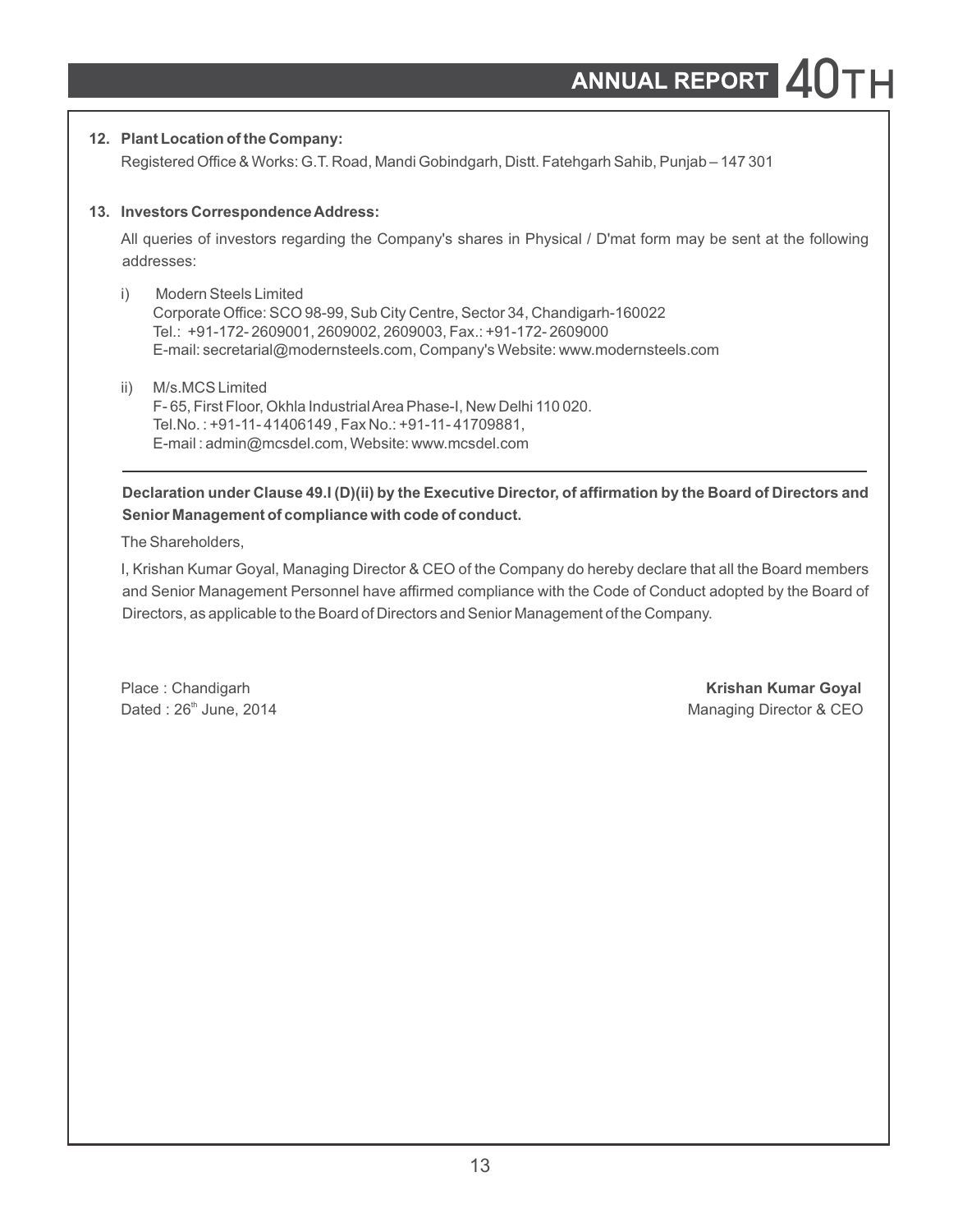#### **12. Plant Location of the Company:**

Registered Office & Works: G.T. Road, Mandi Gobindgarh, Distt. Fatehgarh Sahib, Punjab – 147 301

#### **13. Investors Correspondence Address:**

All queries of investors regarding the Company's shares in Physical / D'mat form may be sent at the following addresses:

- i) Modern Steels Limited Corporate Office: SCO 98-99, Sub City Centre, Sector 34, Chandigarh-160022 Tel.: +91-172- 2609001, 2609002, 2609003, Fax.: +91-172- 2609000 E-mail: secretarial@modernsteels.com, Company's Website: www.modernsteels.com
- ii) M/s.MCS Limited F- 65, First Floor, Okhla Industrial Area Phase-I, New Delhi 110 020. Tel.No. : +91-11- 41406149 , Fax No.: +91-11- 41709881, E-mail : admin@mcsdel.com, Website: www.mcsdel.com

### **Declaration under Clause 49.I (D)(ii) by the Executive Director, of affirmation by the Board of Directors and Senior Management of compliance with code of conduct.**

The Shareholders,

I, Krishan Kumar Goyal, Managing Director & CEO of the Company do hereby declare that all the Board members and Senior Management Personnel have affirmed compliance with the Code of Conduct adopted by the Board of Directors, as applicable to the Board of Directors and Senior Management of the Company.

Place : Chandigarh **Krishan Kumar Goyal** Dated : 26<sup>th</sup> June, 2014 **Managing Director & CEO**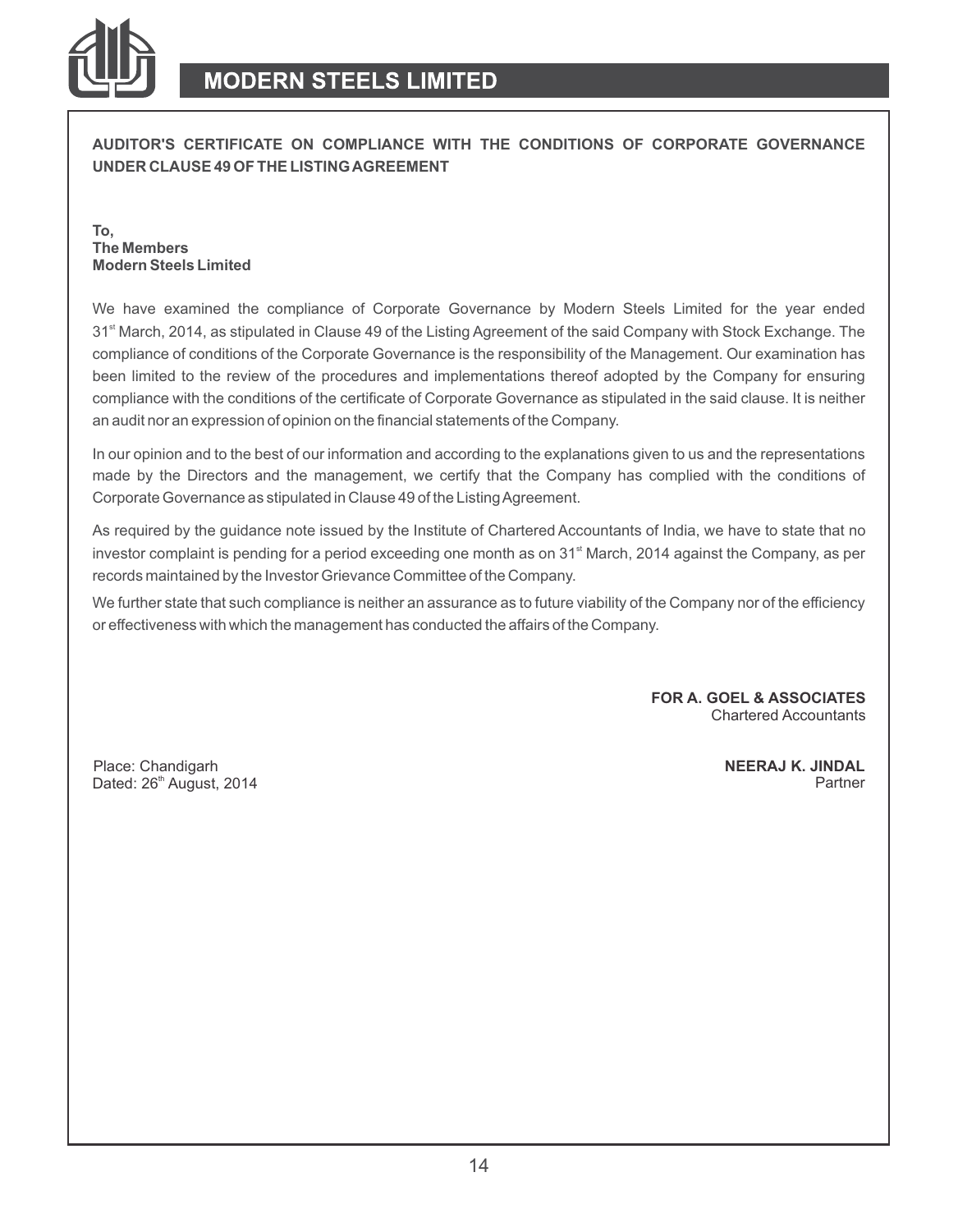

**AUDITOR'S CERTIFICATE ON COMPLIANCE WITH THE CONDITIONS OF CORPORATE GOVERNANCE UNDER CLAUSE 49 OF THE LISTING AGREEMENT**

**To, The Members Modern Steels Limited**

We have examined the compliance of Corporate Governance by Modern Steels Limited for the year ended 31<sup><sup>st</sup> March, 2014, as stipulated in Clause 49 of the Listing Agreement of the said Company with Stock Exchange. The</sup> compliance of conditions of the Corporate Governance is the responsibility of the Management. Our examination has been limited to the review of the procedures and implementations thereof adopted by the Company for ensuring compliance with the conditions of the certificate of Corporate Governance as stipulated in the said clause. It is neither an audit nor an expression of opinion on the financial statements of the Company.

In our opinion and to the best of our information and according to the explanations given to us and the representations made by the Directors and the management, we certify that the Company has complied with the conditions of Corporate Governance as stipulated in Clause 49 of the Listing Agreement.

As required by the guidance note issued by the Institute of Chartered Accountants of India, we have to state that no investor complaint is pending for a period exceeding one month as on  $31<sup>st</sup>$  March, 2014 against the Company, as per records maintained by the Investor Grievance Committee of the Company.

We further state that such compliance is neither an assurance as to future viability of the Company nor of the efficiency or effectiveness with which the management has conducted the affairs of the Company.

> **FOR A. GOEL & ASSOCIATES** Chartered Accountants

Place: Chandigarh Dated: 26<sup>th</sup> August, 2014 **NEERAJ K. JINDAL** Partner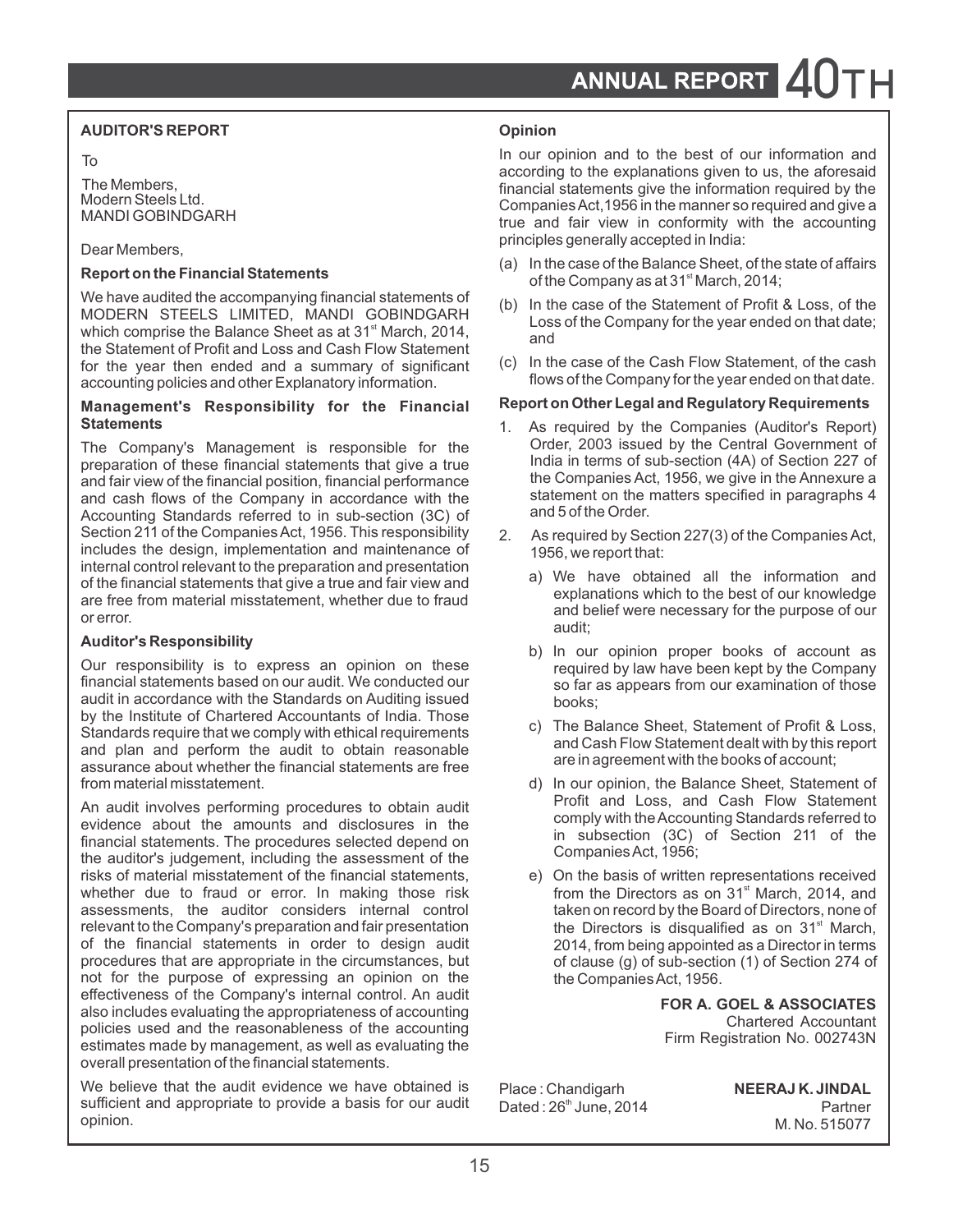### **AUDITOR'S REPORT Opinion**

We have audited the accompanying infinition statements of<br>
MODERN STEELS LIMITED, MANDI GOBINDGARH<br>
which comprise the Balance Sheet as at 31<sup>\*</sup> March, 2014,<br>
the Statement of Profit and Loss and Cash Flow Statement for th for the year then ended and a summary of significant (c) In the case of the Cash Flow Statement, of the cash accounting policies and other Explanatory information flows of the Company for the year ended on that date. accounting policies and other Explanatory information.

# **Management's Responsibility for the Financial Report on Other Legal and Regulatory Requirements**

The Company's Management is responsible for the Corder, 2003 issued by the Central Government of interpretation of these financial statements that give a true India in terms of sub-section (4A) of Section 227 of preparation of these financial statements that give a true labor india in terms of sub-section (4A) of Section 227 of the formation financial performance the Companies Act, 1956, we give in the Annexure a and fair view of the financial position, financial performance the Companies Act, 1956, we give in the Annexure a<br>and cash flows of the Company in accordance with the statement on the matters specified in paragraphs 4 and cash flows of the Company in accordance with the statement on the respectively of the Matters specified in  $\frac{1}{2}$  and  $\frac{1}{2}$  of and  $\frac{1}{2}$  of the Order. Accounting Standards referred to in sub-section (3C) of Section 211 of the Companies Act, 1956. This responsibility 2. As required by Section 227(3) of the Companies Act, includes the design, implementation and maintenance of 1956, we report that: includes the design, implementation and maintenance of internal control relevant to the preparation and presentation of the financial statements that give a true and fair view and<br>of the financial statements that give a true and fair view and<br>of the financial statements that give a true and fair view and<br>or explanations which to the best

Our responsibility is to express an opinion on these required by law have been kept by the Company<br>financial statements based on our audit. We conducted our so far as appears from our examination of those audit in accordance with the Standards on Auditing issued<br>by the Institute of Chartered Accountants of India, Those by the mistige of chartered Accountants of higher than the comply with ethical requirements<br>
and plan and perform the audit to obtain reasonable<br>
and Cash Flow Statement dealt with by this report<br>
are in agreement with the assurance about whether the financial statements are free from material misstatement. The statement of the Balance Sheet, Statement of

An audit involves performing procedures to obtain audit<br>
evidence about the amounts and disclosures in the<br>
financial statements. The procedures selected depend on<br>
the auditor's judgement, including the assessment of the<br> whether due to fraud or error. In making those risk from the Directors as on 31<sup>st</sup> March, 2014, and assessments, the auditor considers internal control taken on record by the Board of Directors none of assessments, the auditor considers internal control taken on record by the Board of Directors, none of relevant to the Company's preparation and fair presentation the Directors is disqualified as on 31<sup>\*</sup> March, relevant to the Company's preparation and fair presentation of the financial statements in order to design audit procedures that are appropriate in the circumstances, but of clause (g) of sub-section of the purpose of expressing an opinion on the the Companies Act, 1956. not for the purpose of expressing an opinion on the effectiveness of the Company's internal control. An audit EDITERTIES OF THE COMPANY STRENGT CONTOUR AND AND THE COMPANY CONDUCT THE COMPANY CONDUCT CONDUCT THE PROCEL SURFER POINT CONTROLLED POINT CONTROLLED POINT CONTROLLED POINT CONTROLLED POINT CONTROLLED POINT CONTROLLED CONT overall presentation of the financial statements.

We believe that the audit evidence we have obtained is Place : Chandigarh **NEERAJ K. JINDAL**<br>sufficient and appropriate to provide a basis for our audit Dated : 26<sup>th</sup> June, 2014 Partner sufficient and appropriate to provide a basis for our audit opinion.

In our opinion and to the best of our information and To according to the explanations given to us, the aforesaid The Members,<br>
Modern Steels Ltd.<br>
Modern Steels Ltd.<br>
Companies Act 1956 in the managers arguined and give a Modern Steels Ltd. Companies Act,1956 in the manner so required and give a MANDI GOBINDGARH true and fair view in conformity with the accounting principles generally accepted in India: Dear Members,

- Four members,<br> **Report on the Financial Statements** (a) In the case of the Balance Sheet, of the state of affairs<br>
We have audited the accompanying financial statements of (b) In the sees of the Statement of Profit 8 Lege
	-
	-

- 1. As required by the Companies (Auditor's Report) Order, 2003 issued by the Central Government of
- - audit;
- **Auditor's Responsibility**<br>Our responsibility is to express an opinion on these the company of the Company<br>Provided by law have been kent by the Company so far as appears from our examination of those<br>books:
	-
	-
	- e) On the basis of written representations received<br>from the Directors as on 31<sup>st</sup> March, 2014, and 2014, from being appointed as a Director in terms of clause (q) of sub-section (1) of Section 274 of

M. No. 515077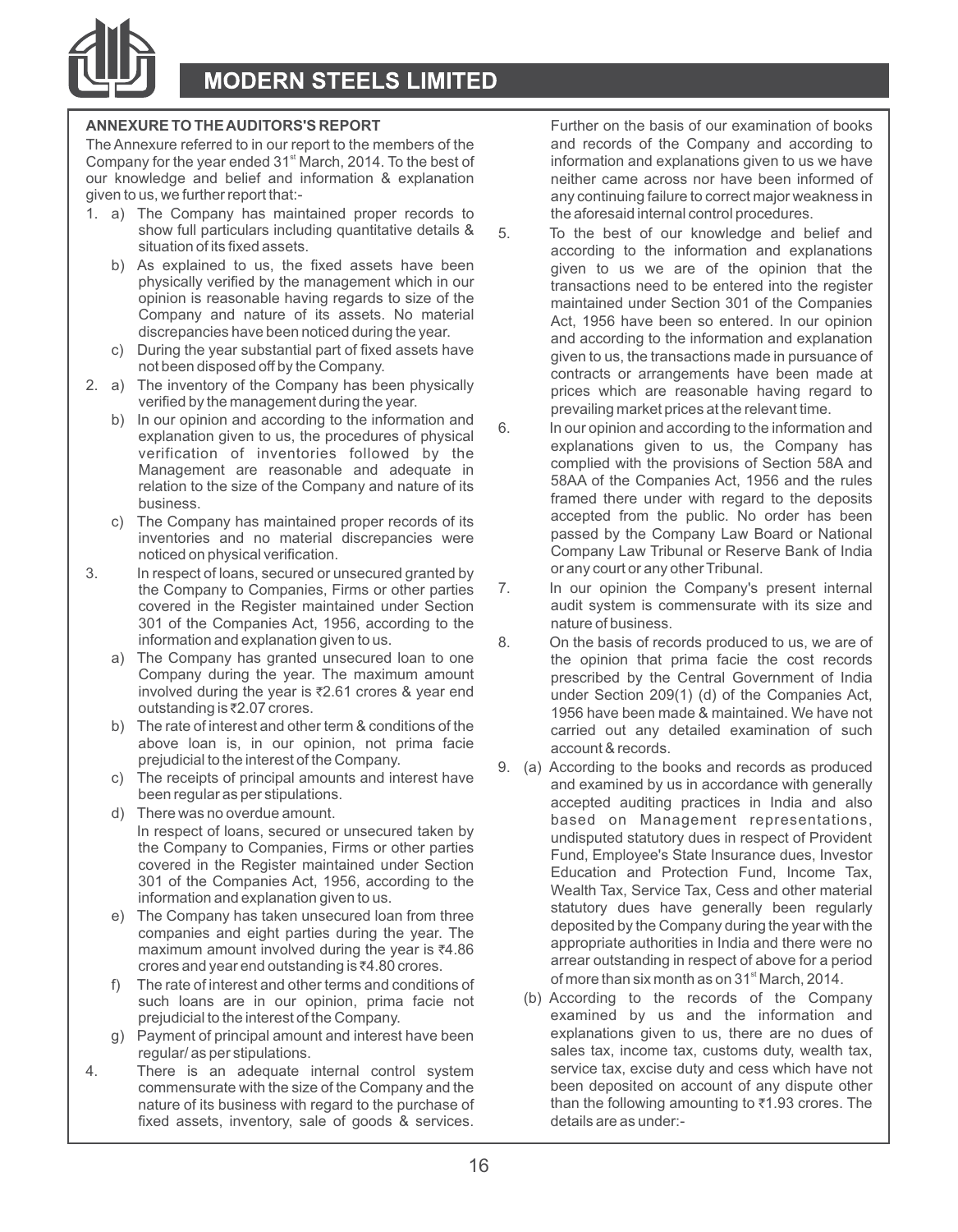

The Annexure referred to in our report to the members of the and records of the Company and according to Company for the year ended 31<sup>st</sup> March, 2014. To the best of and records of the Company for the year ended 31<sup>st</sup> Ma Company for the year ended 31<sup>st</sup> March, 2014. To the best of information and explanations given to us we have been informed of our knowledge and belief and information & explanation **inclusively** neither came across nor h our knowledge and belief and information & explanation qiven to us, we further report that:-

- 1. a) The Company has maintained proper records to the aforesaid internal control procedures.<br>show full particulars including quantitative details  $\&5$  To the hest of our knowledge and he
	-
	-
- - b) In our opinion and according to the information and<br>explanation given to us, the procedures of physical<br>explanations given to us, the Company has<br>verification of inventories followed by the complied with the provisions relation to the size of the Company and nature of its
	- inventories and no material discrepancies were noticed on physical verification.
- 3. In respect of loans, secured or unsecured granted by exam or any court or any other Tribunal.<br>
the Company to Companies Firms or other parties 7. In our opinion the Company's present internal covered in the Register maintained under Section 301 of the Companies Act, 1956, according to the nature of business.<br>information and explanation given to us. 8 0n the basis of rec
	-
	- above loan is, in our opinion, not prima facie prejudicial to the interest of the Company.
	-
	-
	-
	-
	- such loans are in our opinion, prima facie not prejudicial to the interest of the Company.
	- g) Payment of principal amount and interest have been regular/ as per stipulations.
- 4. There is an adequate internal control system service tax, excise duty and cess which have not is an adequate internal control system service tax, excise duty and cess which have not is an account of any dispute other nature of its business with regard to the purchase of than the following amounting to the purchase of the purchase of than the following amounting to all the purchase of the purchase of the analytic details are as underfixed assets, inventory, sale of goods & services.

**ANNEXURE TO THE AUDITORS'S REPORT** Further on the basis of our examination of books any continuing failure to correct major weakness in

- show full particulars including quantitative details & 5. To the best of our knowledge and belief and<br>situation of its fixed assets. situation of its fixed assets.<br>b) As explained to us, the fixed assets have been a solution to us we are of the opinion that the As explained to us, the fixed assets have been given to us we are of the opinion that the physically verified by the management which in our<br>transactions need to be entered into the register physically verified by the management which in our transactions need to be entered into the register<br>opinion is reasonable having regards to size of the maintained under Section 301 of the Companies opinion is reasonable having regards to size of the maintained under Section 301 of the Companies<br>Company and nature of its assets. No material and the 1956 have been so entered in our opinion Company and nature of its assets. No material Act, 1956 have been so entered. In our opinion discrepancies have been noticed during the year. and according to the information and explanation c) During the year substantial part of fixed assets have given to us, the transactions made in pursuance of not<br>been disposed off by the Company. contracts or arrangements have been made at 2. a) The inventory of the Company has been physically prices which are reasonable having regard to verified by the management during the year.
	- Management are reasonable and adequate in complied with the provisions of Section 58A and Management are reasonable and adequate in 58AA of the Companies Act. 1956 and the rules Framed there under with regard to the deposits<br>business.<br>The Company has maintained proper records of its accepted from the public. No order has been c) The Company has maintained proper records of its<br>c) The Company has maintained proper records of its<br>passed by the Company Law Board or National Company Law Tribunal or Reserve Bank of India<br>or any court or any other Tribunal.
		- the Company to Companies, Firms or other parties 7. In our opinion the Company's present internal<br>covered in the Register maintained under Section audit system is commensurate with its size and
	- information and explanation given to us. <br>a) The Company has granted unsecured loan to one the opinion that prima facie the cost records The Company has granted unsecured loan to one the opinion that prima facie the cost records<br>Company during the year. The maximum amount onescribed by the Central Government of India Company during the year. The maximum amount prescribed by the Central Government of India<br>
	involved during the year is ₹2.61 crores & year end<br>
	under Section 209(1) (d) of the Companies Act involved during the year is `2.61 crores & year end under Section 209(1) (d) of the Companies Act, outstanding is  $\overline{\epsilon}$ 2.07 crores.<br>
	b) The rate of interest and other term & conditions of the carried out, any detailed examination of such carried out any detailed examination of such account & records.
	- Englandario di e interestioni e Company.<br>
	C) The receipts of principal amounts and interest have<br>
	been regular as per stipulations.<br>
	d) There was no overdue amount.<br>
	In respect of loans, secured or unsecured taken by<br>  $\frac{$ In respect of loans, secured or unsecured taken by<br>
	the Company to Companies, Firms or other parties<br>
	covered in the Register maintained under Section<br>
	301 of the Companies Act, 1956, according to the<br>
	information and Pro maximum amount involved during the year is  $\overline{*}4.86$  crores and year end outstanding is  $\overline{*}4.80$  crores.<br>
	The rate of interest and other terms and conditions of  $\overline{...}$  of more than six month as on 31<sup>\*</sup> March, 2014
		- examined by us and the information and explanations given to us, there are no dues of sales tax, income tax, customs duty, wealth tax, service tax, excise duty and cess which have not commensurate with the size of the Company and the been deposited on account of any dispute other nature of its business with regard to the purchase of than the following amounting to ₹1.93 crores. The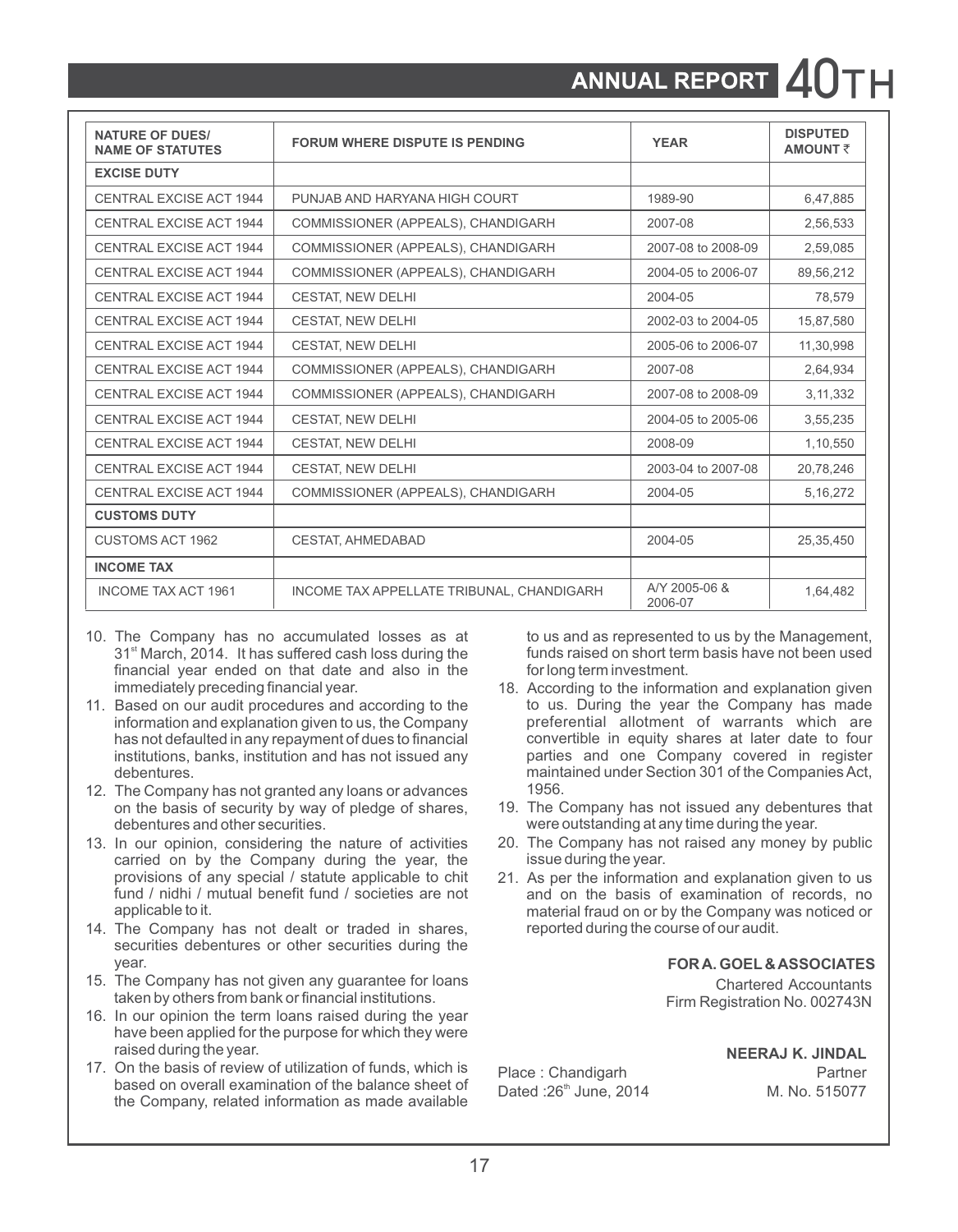# **ANNUAL REPORT** 40

| <b>NATURE OF DUES/</b><br><b>NAME OF STATUTES</b> | <b>FORUM WHERE DISPUTE IS PENDING</b>     | <b>YEAR</b>              | <b>DISPUTED</b><br><b>AMOUNT₹</b> |
|---------------------------------------------------|-------------------------------------------|--------------------------|-----------------------------------|
| <b>EXCISE DUTY</b>                                |                                           |                          |                                   |
| CENTRAL EXCISE ACT 1944                           | PUNJAB AND HARYANA HIGH COURT             | 1989-90                  | 6,47,885                          |
| CENTRAL EXCISE ACT 1944                           | COMMISSIONER (APPEALS), CHANDIGARH        | 2007-08                  | 2,56,533                          |
| CENTRAL EXCISE ACT 1944                           | COMMISSIONER (APPEALS), CHANDIGARH        | 2007-08 to 2008-09       | 2,59,085                          |
| <b>CENTRAL EXCISE ACT 1944</b>                    | COMMISSIONER (APPEALS), CHANDIGARH        | 2004-05 to 2006-07       | 89.56.212                         |
| CENTRAL EXCISE ACT 1944                           | <b>CESTAT, NEW DELHI</b>                  | 2004-05                  | 78,579                            |
| CENTRAL EXCISE ACT 1944                           | <b>CESTAT, NEW DELHI</b>                  | 2002-03 to 2004-05       | 15,87,580                         |
| <b>CENTRAL EXCISE ACT 1944</b>                    | <b>CESTAT, NEW DELHI</b>                  | 2005-06 to 2006-07       | 11,30,998                         |
| CENTRAL EXCISE ACT 1944                           | COMMISSIONER (APPEALS), CHANDIGARH        | 2007-08                  | 2,64,934                          |
| CENTRAL EXCISE ACT 1944                           | COMMISSIONER (APPEALS), CHANDIGARH        | 2007-08 to 2008-09       | 3, 11, 332                        |
| CENTRAL EXCISE ACT 1944                           | <b>CESTAT, NEW DELHI</b>                  | 2004-05 to 2005-06       | 3,55,235                          |
| <b>CENTRAL EXCISE ACT 1944</b>                    | <b>CESTAT, NEW DELHI</b>                  | 2008-09                  | 1,10,550                          |
| CENTRAL EXCISE ACT 1944                           | <b>CESTAT, NEW DELHI</b>                  | 2003-04 to 2007-08       | 20,78,246                         |
| <b>CENTRAL EXCISE ACT 1944</b>                    | COMMISSIONER (APPEALS), CHANDIGARH        | 2004-05                  | 5, 16, 272                        |
| <b>CUSTOMS DUTY</b>                               |                                           |                          |                                   |
| <b>CUSTOMS ACT 1962</b>                           | <b>CESTAT, AHMEDABAD</b>                  | 2004-05                  | 25,35,450                         |
| <b>INCOME TAX</b>                                 |                                           |                          |                                   |
| <b>INCOME TAX ACT 1961</b>                        | INCOME TAX APPELLATE TRIBUNAL, CHANDIGARH | A/Y 2005-06 &<br>2006-07 | 1,64,482                          |

- 10. The Company has no accumulated losses as at to us and as represented to us by the Management,<br>31<sup>st</sup> March, 2014. It has suffered cash loss during the funds raised on short term basis have not been used 31<sup><sup>st</sup> March, 2014. It has suffered cash loss during the funds raised on short term<br>financial vear ended on that date and also in the forlong term investment.</sup> financial year ended on that date and also in the immediately preceding financial year.
- institutions, banks, institution and has not issued any debentures.
- 12. The Company has not granted any loans or advances<br>on the basis of security by way of pledge of shares.
- 13. In our opinion, considering the nature of activities 20. The Company has not raised any by the Company during the vear, the signal during the vear. carried on by the Company during the year, the provisions of any special / statute applicable to chit provisions of any special / statute applicable to chit 21. As per the information and explanation given to us<br>fund / nidhi / mutual benefit fund / societies are not and on the basis of examination of records no
- 14. The Company has not dealt or traded in shares. securities debentures or other securities during the year. **FOR A. GOEL & ASSOCIATES**
- 15. The Company has not given any guarantee for loans and the chartered Accountants taken by others from bank or financial institutions. taken by others from bank or financial institutions.
- 16. In our opinion the term loans raised during the year have been applied for the purpose for which they were<br>raised during the year.
- 17. On the basis of review of utilization of funds, which is Place : Chandigarh Partner<br>based on overall examination of the balance sheet of Dated :26<sup>th</sup> June, 2014 M. No. 515077 the Company, related information as made available

- 18. According to the information and explanation given<br>to us. During the vear the Company has made 11. Based on our audit procedures and according to the to us. During the year the Company has made<br>information and explanation given to us, the Company breferential allotment of warrants which are information and explanation given to us, the Company expreferential allotment of warrants which are<br>has not defaulted in any repayment of dues to financial convertible in equity shares at later date to four has not defaulted in any repayment of dues to financial convertible in equity shares at later date to four<br>institutions, banks, institution and has not issued any sparties and one Company covered in register maintained under Section 301 of the Companies Act,<br>1956
	- on the basis of security by way of pledge of shares, 19. The Company has not issued any debentures that debentures and other securities. were outstanding at any time during the year.<br>20. The Company has not raised any money by public
		-
	- fund / nidhi / mutual benefit fund / societies are not and on the basis of examination of records, no<br>applicable to it. and it and on or by the Company was noticed or material fraud on or by the Company was noticed or<br>reported during the course of our audit.

**NEERAJ K. JINDAL**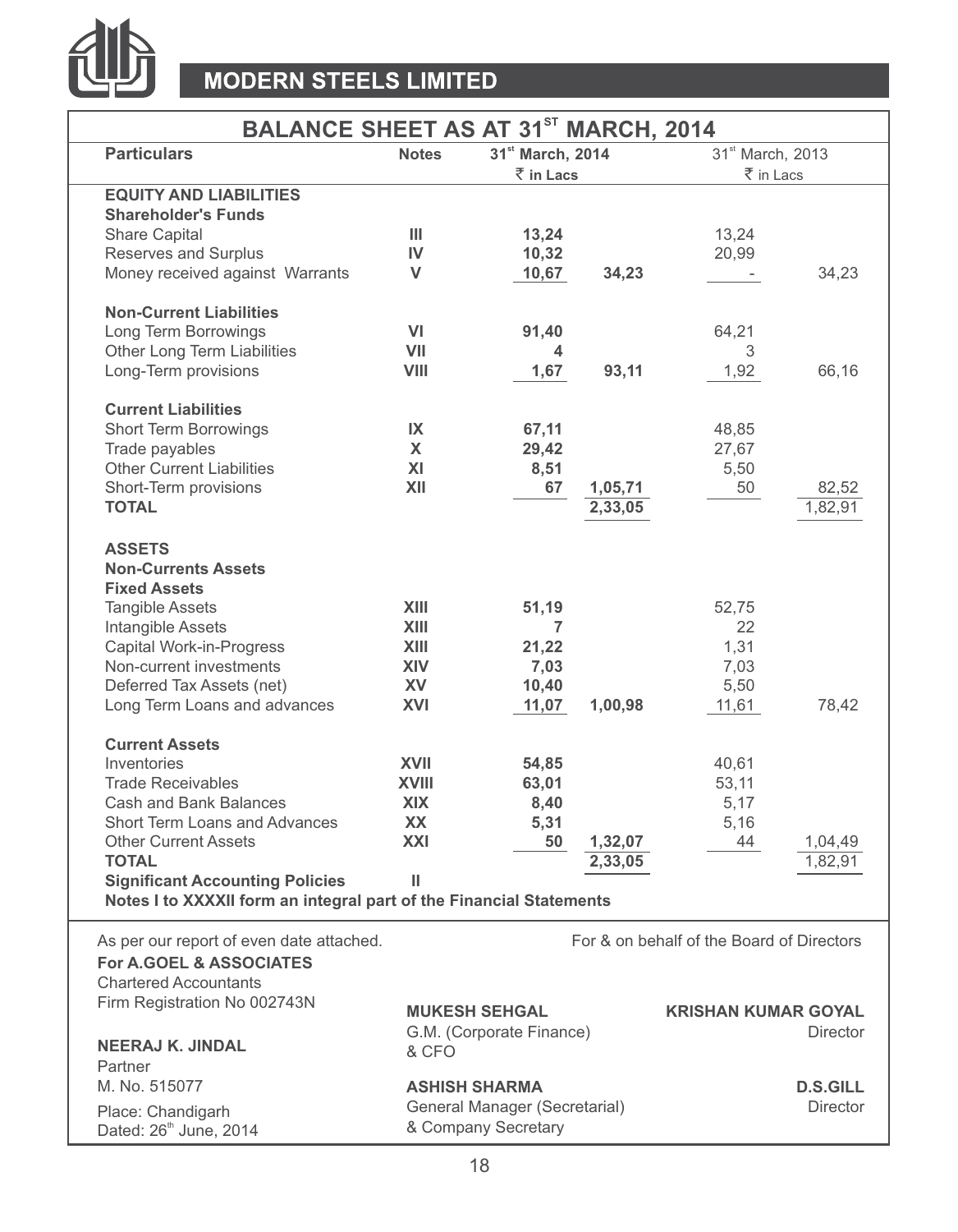

# **MODERN STEELS LIMITED**

# **BALANCE SHEET AS AT 31<sup>ST</sup> MARCH, 2014**

| וט וח טח ושבווט שטוחש                                               |              |                               | 111111011, 2017 |                                           |                  |
|---------------------------------------------------------------------|--------------|-------------------------------|-----------------|-------------------------------------------|------------------|
| <b>Particulars</b>                                                  | <b>Notes</b> | 31 <sup>st</sup> March, 2014  |                 | 31st March, 2013                          |                  |
|                                                                     |              | ₹ in Lacs                     |                 | ₹ in Lacs                                 |                  |
| <b>EQUITY AND LIABILITIES</b>                                       |              |                               |                 |                                           |                  |
| <b>Shareholder's Funds</b>                                          |              |                               |                 |                                           |                  |
| Share Capital                                                       | Ш            | 13,24                         |                 | 13,24                                     |                  |
| Reserves and Surplus                                                | IV           | 10,32                         |                 | 20,99                                     |                  |
| Money received against Warrants                                     | v            | 10,67                         | 34,23           |                                           | 34,23            |
| <b>Non-Current Liabilities</b>                                      |              |                               |                 |                                           |                  |
| Long Term Borrowings                                                | VI           | 91,40                         |                 | 64,21                                     |                  |
| Other Long Term Liabilities                                         | VII          | 4                             |                 | 3                                         |                  |
| Long-Term provisions                                                | VIII         | 1,67                          | 93,11           | 1,92                                      | 66,16            |
|                                                                     |              |                               |                 |                                           |                  |
| <b>Current Liabilities</b>                                          |              |                               |                 |                                           |                  |
| Short Term Borrowings                                               | IX           | 67,11                         |                 | 48,85                                     |                  |
| Trade payables                                                      | X            | 29,42                         |                 | 27,67                                     |                  |
| <b>Other Current Liabilities</b>                                    | XI           | 8,51                          |                 | 5,50                                      |                  |
| Short-Term provisions                                               | XII          | 67                            | 1,05,71         | 50                                        | 82,52            |
| <b>TOTAL</b>                                                        |              |                               | 2,33,05         |                                           | 1.82.91          |
|                                                                     |              |                               |                 |                                           |                  |
| <b>ASSETS</b>                                                       |              |                               |                 |                                           |                  |
| <b>Non-Currents Assets</b>                                          |              |                               |                 |                                           |                  |
| <b>Fixed Assets</b>                                                 |              |                               |                 |                                           |                  |
| <b>Tangible Assets</b>                                              | XIII         | 51,19                         |                 | 52,75                                     |                  |
| Intangible Assets                                                   | XIII         | 7                             |                 | 22                                        |                  |
| Capital Work-in-Progress                                            | XIII         | 21,22                         |                 | 1,31                                      |                  |
| Non-current investments                                             | <b>XIV</b>   | 7,03                          |                 | 7,03                                      |                  |
| Deferred Tax Assets (net)                                           | <b>XV</b>    | 10,40                         |                 | 5,50                                      |                  |
| Long Term Loans and advances                                        | XVI          | 11,07                         | 1,00,98         | 11,61                                     | 78,42            |
| <b>Current Assets</b>                                               |              |                               |                 |                                           |                  |
| Inventories                                                         | <b>XVII</b>  | 54,85                         |                 | 40,61                                     |                  |
| <b>Trade Receivables</b>                                            | <b>XVIII</b> | 63,01                         |                 | 53,11                                     |                  |
| Cash and Bank Balances                                              | <b>XIX</b>   | 8,40                          |                 | 5,17                                      |                  |
| <b>Short Term Loans and Advances</b>                                | <b>XX</b>    | 5,31                          |                 | 5,16                                      |                  |
| <b>Other Current Assets</b>                                         | XXI          | 50                            | 1,32,07         | 44                                        | 1,04,49          |
| <b>TOTAL</b>                                                        |              |                               | 2,33,05         |                                           | $1.82.9^{\circ}$ |
| <b>Significant Accounting Policies</b>                              | Ш            |                               |                 |                                           |                  |
| Notes I to XXXXII form an integral part of the Financial Statements |              |                               |                 |                                           |                  |
|                                                                     |              |                               |                 |                                           |                  |
| As per our report of even date attached.                            |              |                               |                 | For & on behalf of the Board of Directors |                  |
| <b>For A.GOEL &amp; ASSOCIATES</b>                                  |              |                               |                 |                                           |                  |
| <b>Chartered Accountants</b>                                        |              |                               |                 |                                           |                  |
| Firm Registration No 002743N                                        |              | <b>MUKESH SEHGAL</b>          |                 | <b>KRISHAN KUMAR GOYAL</b>                |                  |
|                                                                     |              | G.M. (Corporate Finance)      |                 |                                           | <b>Director</b>  |
| <b>NEERAJ K. JINDAL</b>                                             | & CFO        |                               |                 |                                           |                  |
| Partner                                                             |              |                               |                 |                                           |                  |
| M. No. 515077                                                       |              | <b>ASHISH SHARMA</b>          |                 |                                           | <b>D.S.GILL</b>  |
|                                                                     |              | General Manager (Secretarial) |                 |                                           | Director         |
| Place: Chandigarh                                                   |              | & Company Secretary           |                 |                                           |                  |
| Dated: 26 <sup>th</sup> June, 2014                                  |              |                               |                 |                                           |                  |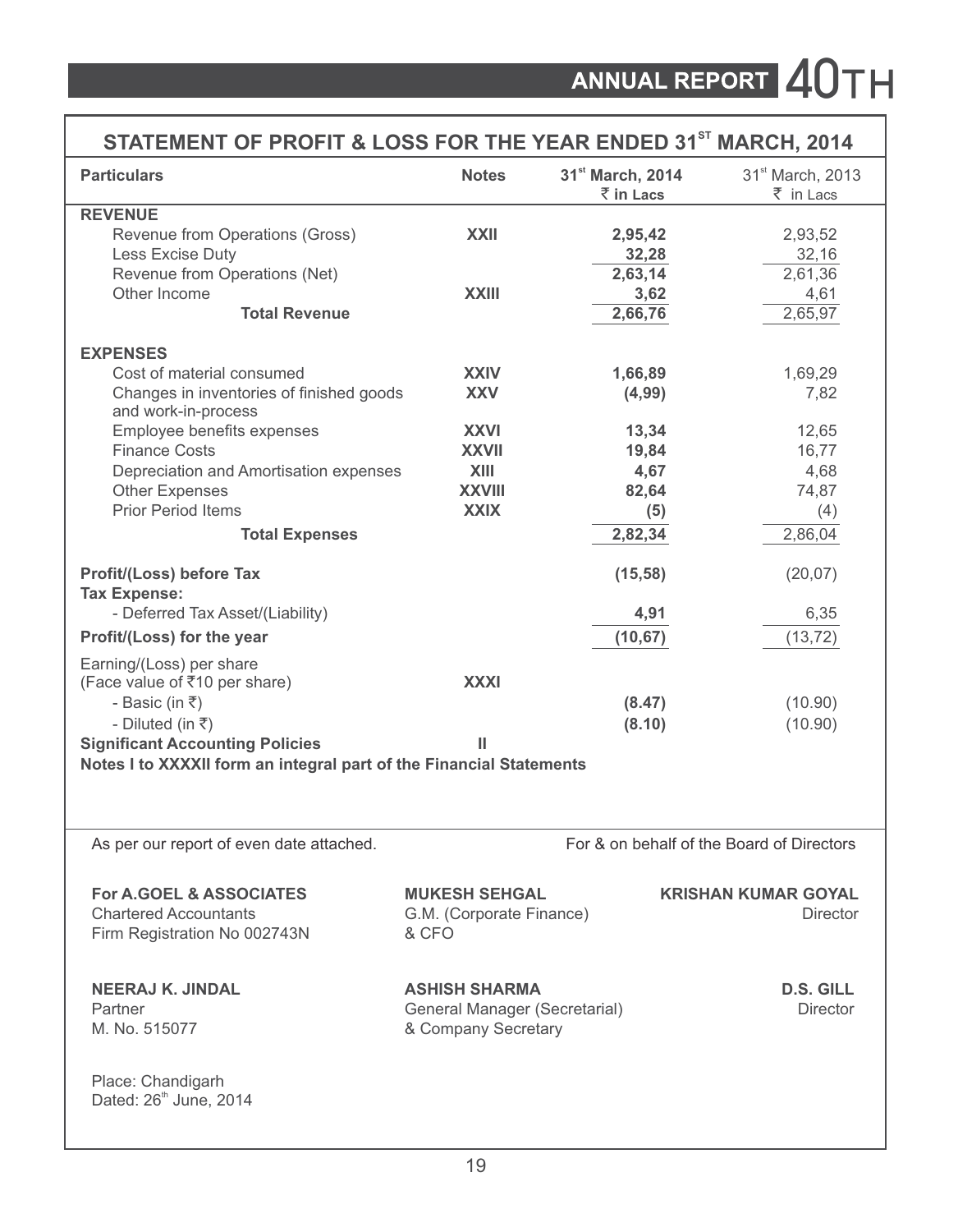| STATEMENT OF PROFIT & LOSS FOR THE YEAR ENDED 31 <sup>ST</sup> MARCH, 2014                         |                                                                       |                                           |                                               |
|----------------------------------------------------------------------------------------------------|-----------------------------------------------------------------------|-------------------------------------------|-----------------------------------------------|
| <b>Particulars</b>                                                                                 | <b>Notes</b>                                                          | 31 <sup>st</sup> March, 2014<br>₹ in Lacs | 31 <sup>st</sup> March, 2013<br>₹ in Lacs     |
| <b>REVENUE</b>                                                                                     |                                                                       |                                           |                                               |
| Revenue from Operations (Gross)                                                                    | <b>XXII</b>                                                           | 2,95,42                                   | 2,93,52                                       |
| Less Excise Duty                                                                                   |                                                                       | 32,28                                     | 32,16                                         |
| Revenue from Operations (Net)                                                                      |                                                                       | 2,63,14                                   | 2,61,36                                       |
| Other Income                                                                                       | <b>XXIII</b>                                                          | 3,62                                      | 4,61                                          |
| <b>Total Revenue</b>                                                                               |                                                                       | 2,66,76                                   | 2,65,97                                       |
| <b>EXPENSES</b>                                                                                    |                                                                       |                                           |                                               |
| Cost of material consumed                                                                          | <b>XXIV</b>                                                           | 1,66,89                                   | 1,69,29                                       |
| Changes in inventories of finished goods                                                           | <b>XXV</b>                                                            | (4, 99)                                   | 7,82                                          |
| and work-in-process                                                                                |                                                                       |                                           |                                               |
| Employee benefits expenses                                                                         | <b>XXVI</b>                                                           | 13,34                                     | 12,65                                         |
| <b>Finance Costs</b>                                                                               | <b>XXVII</b>                                                          | 19,84                                     | 16,77                                         |
| Depreciation and Amortisation expenses                                                             | XIII                                                                  | 4,67                                      | 4,68                                          |
| Other Expenses                                                                                     | <b>XXVIII</b>                                                         | 82,64                                     | 74,87                                         |
| Prior Period Items                                                                                 | <b>XXIX</b>                                                           | (5)                                       | (4)                                           |
| <b>Total Expenses</b>                                                                              |                                                                       | 2,82,34                                   | 2,86,04                                       |
| Profit/(Loss) before Tax<br><b>Tax Expense:</b>                                                    |                                                                       | (15, 58)                                  | (20, 07)                                      |
| - Deferred Tax Asset/(Liability)                                                                   |                                                                       | 4,91                                      | 6,35                                          |
| Profit/(Loss) for the year                                                                         |                                                                       | (10, 67)                                  | (13, 72)                                      |
| Earning/(Loss) per share<br>(Face value of ₹10 per share)                                          | <b>XXXI</b>                                                           |                                           |                                               |
| - Basic (in $\overline{\tau}$ )                                                                    |                                                                       | (8.47)                                    | (10.90)                                       |
| - Diluted (in $\overline{\tau}$ )                                                                  |                                                                       | (8.10)                                    | (10.90)                                       |
| <b>Significant Accounting Policies</b>                                                             | Ш                                                                     |                                           |                                               |
| Notes I to XXXXII form an integral part of the Financial Statements                                |                                                                       |                                           |                                               |
| As per our report of even date attached.                                                           |                                                                       |                                           | For & on behalf of the Board of Directors     |
| <b>For A.GOEL &amp; ASSOCIATES</b><br><b>Chartered Accountants</b><br>Firm Registration No 002743N | <b>MUKESH SEHGAL</b><br>G.M. (Corporate Finance)<br>& CFO             |                                           | <b>KRISHAN KUMAR GOYAL</b><br><b>Director</b> |
| <b>NEERAJ K. JINDAL</b><br>Partner<br>M. No. 515077                                                | ASHISH SHARMA<br>General Manager (Secretarial)<br>& Company Secretary |                                           | D.S. GILL<br><b>Director</b>                  |
| Place: Chandigarh<br>Dated: 26 <sup>th</sup> June, 2014                                            |                                                                       |                                           |                                               |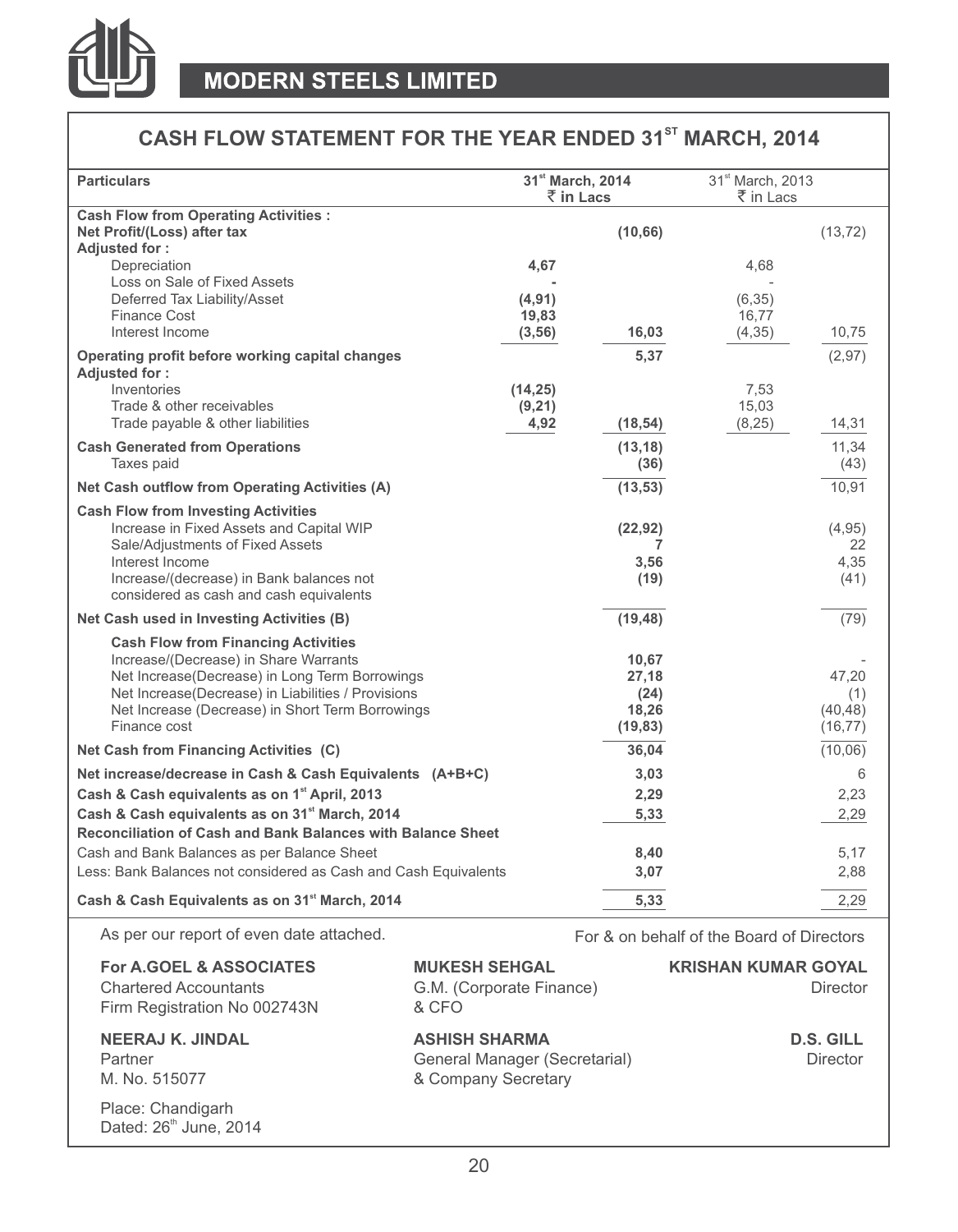

# **CASH FLOW STATEMENT FOR THE YEAR ENDED 31<sup>st</sup> MARCH, 2014**

| <b>Particulars</b>                                               | 31 <sup>st</sup> March, 2014<br>₹ in Lacs |              | 31 <sup>st</sup> March, 2013<br>₹ in Lacs |            |
|------------------------------------------------------------------|-------------------------------------------|--------------|-------------------------------------------|------------|
| <b>Cash Flow from Operating Activities:</b>                      |                                           |              |                                           |            |
| Net Profit/(Loss) after tax                                      |                                           | (10, 66)     |                                           | (13, 72)   |
| Adjusted for:                                                    |                                           |              |                                           |            |
| Depreciation                                                     | 4.67                                      |              | 4.68                                      |            |
| Loss on Sale of Fixed Assets                                     |                                           |              |                                           |            |
| Deferred Tax Liability/Asset                                     | (4, 91)                                   |              | (6, 35)                                   |            |
| <b>Finance Cost</b>                                              | 19,83                                     |              | 16.77                                     |            |
| Interest Income                                                  | (3, 56)                                   | 16,03        | (4, 35)                                   | 10,75      |
| Operating profit before working capital changes<br>Adjusted for: |                                           | 5,37         |                                           | (2, 97)    |
| Inventories                                                      | (14, 25)                                  |              | 7,53                                      |            |
| Trade & other receivables                                        | (9,21)                                    |              | 15,03                                     |            |
| Trade payable & other liabilities                                | 4,92                                      | (18, 54)     | (8,25)                                    | 14,31      |
| <b>Cash Generated from Operations</b>                            |                                           | (13, 18)     |                                           | 11,34      |
| Taxes paid                                                       |                                           | (36)         |                                           | (43)       |
| Net Cash outflow from Operating Activities (A)                   |                                           | (13, 53)     |                                           | 10,91      |
|                                                                  |                                           |              |                                           |            |
| <b>Cash Flow from Investing Activities</b>                       |                                           |              |                                           |            |
| Increase in Fixed Assets and Capital WIP                         |                                           | (22, 92)     |                                           | (4, 95)    |
| Sale/Adjustments of Fixed Assets<br>Interest Income              |                                           | 7            |                                           | 22<br>4,35 |
| Increase/(decrease) in Bank balances not                         |                                           | 3,56<br>(19) |                                           | (41)       |
| considered as cash and cash equivalents                          |                                           |              |                                           |            |
| Net Cash used in Investing Activities (B)                        |                                           | (19, 48)     |                                           | (79)       |
| <b>Cash Flow from Financing Activities</b>                       |                                           |              |                                           |            |
| Increase/(Decrease) in Share Warrants                            |                                           | 10,67        |                                           |            |
| Net Increase(Decrease) in Long Term Borrowings                   |                                           | 27,18        |                                           | 47,20      |
| Net Increase(Decrease) in Liabilities / Provisions               |                                           | (24)         |                                           | (1)        |
| Net Increase (Decrease) in Short Term Borrowings                 |                                           | 18,26        |                                           | (40, 48)   |
| Finance cost                                                     |                                           | (19, 83)     |                                           | (16, 77)   |
| Net Cash from Financing Activities (C)                           |                                           | 36,04        |                                           | (10,06)    |
| Net increase/decrease in Cash & Cash Equivalents (A+B+C)         |                                           | 3,03         |                                           | 6          |
| Cash & Cash equivalents as on 1st April, 2013                    |                                           | 2,29         |                                           | 2,23       |
| Cash & Cash equivalents as on 31 <sup>st</sup> March, 2014       |                                           | 5,33         |                                           | 2,29       |
| Reconciliation of Cash and Bank Balances with Balance Sheet      |                                           |              |                                           |            |
| Cash and Bank Balances as per Balance Sheet                      |                                           | 8,40         |                                           | 5,17       |
| Less: Bank Balances not considered as Cash and Cash Equivalents  |                                           | 3,07         |                                           | 2,88       |
|                                                                  |                                           |              |                                           |            |
| Cash & Cash Equivalents as on 31 <sup>st</sup> March, 2014       |                                           | 5,33         |                                           | 2,29       |
| as all somewhat all a salaboration and and                       |                                           |              |                                           |            |

As per our report of even date attached. For & on behalf of the Board of Directors

Dated: 26<sup>th</sup> June, 2014

| <b>For A.GOEL &amp; ASSOCIATES</b><br><b>Chartered Accountants</b><br>Firm Registration No 002743N | <b>MUKESH SEHGAL</b><br>G.M. (Corporate Finance)<br>& CFO                    | <b>KRISHAN KUMAR GOYAL</b><br><b>Director</b> |
|----------------------------------------------------------------------------------------------------|------------------------------------------------------------------------------|-----------------------------------------------|
| <b>NEERAJ K. JINDAL</b><br>Partner<br>M. No. 515077                                                | <b>ASHISH SHARMA</b><br>General Manager (Secretarial)<br>& Company Secretary | <b>D.S. GILL</b><br>Director                  |
| Place: Chandigarh                                                                                  |                                                                              |                                               |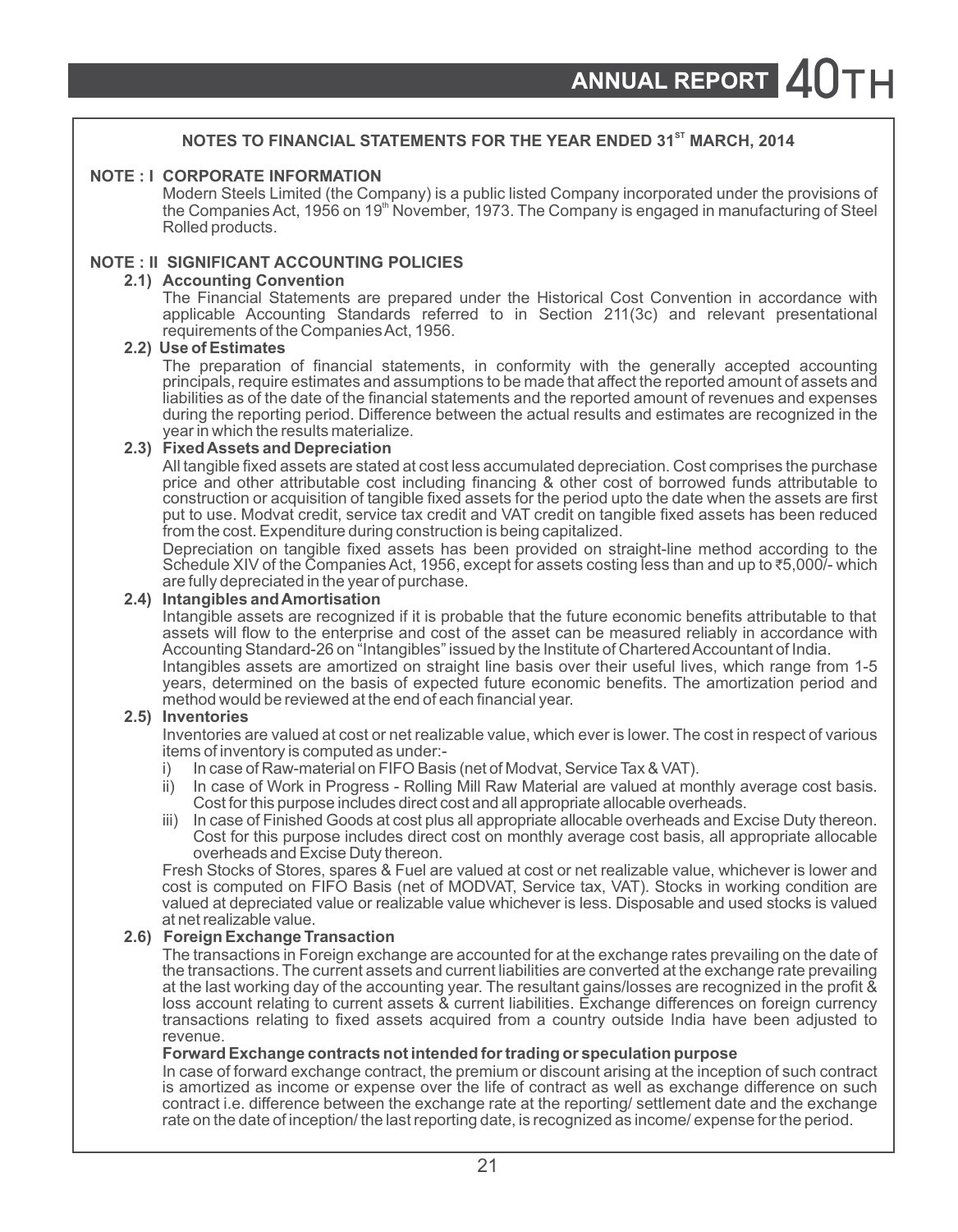#### **NOTES TO FINANCIAL STATEMENTS FOR THE YEAR ENDED 31<sup>st</sup> MARCH, 2014**

#### **NOTE : I CORPORATE INFORMATION**

Modern Steels Limited (the Company) is a public listed Company incorporated under the provisions of the Companies Act, 1956 on 19<sup>th</sup> November, 1973. The Company is engaged in manufacturing of Steel Rolled products.

#### **NOTE : II SIGNIFICANT ACCOUNTING POLICIES**

#### **2.1) Accounting Convention**

The Financial Statements are prepared under the Historical Cost Convention in accordance with applicable Accounting Standards referred to in Section 211(3c) and relevant presentational requirements of the Companies Act, 1956.

#### **2.2) Use of Estimates**

The preparation of financial statements, in conformity with the generally accepted accounting principals, require estimates and assumptions to be made that affect the reported amount of assets and liabilities as of the date of the financial statements and the reported amount of revenues and expenses during the reporting period. Difference between the actual results and estimates are recognized in the year in which the results materialize.

#### **2.3) Fixed Assets and Depreciation**

All tangible fixed assets are stated at cost less accumulated depreciation. Cost comprises the purchase price and other attributable cost including financing & other cost of borrowed funds attributable to construction or acquisition of tangible fixed assets for the period upto the date when the assets are first put to use. Modvat credit, service tax credit and VAT credit on tangible fixed assets has been reduced from the cost. Expenditure during construction is being capitalized.

Depreciation on tangible fixed assets has been provided on straight-line method according to the Schedule XIV of the Companies Act, 1956, except for assets costing less than and up to ₹5,000/- which are fully depreciated in the year of purchase.

#### **2.4) Intangibles and Amortisation**

Intangible assets are recognized if it is probable that the future economic benefits attributable to that assets will flow to the enterprise and cost of the asset can be measured reliably in accordance with Accounting Standard-26 on "Intangibles" issued by the Institute of Chartered Accountant of India. Intangibles assets are amortized on straight line basis over their useful lives, which range from 1-5

years, determined on the basis of expected future economic benefits. The amortization period and method would be reviewed at the end of each financial year.

#### **2.5) Inventories**

Inventories are valued at cost or net realizable value, which ever is lower. The cost in respect of various items of inventory is computed as under:-

- i) In case of Raw-material on FIFO Basis (net of Modvat, Service Tax & VAT).
- ii) In case of Work in Progress Rolling Mill Raw Material are valued at monthly average cost basis. Cost for this purpose includes direct cost and all appropriate allocable overheads.
- iii) In case of Finished Goods at cost plus all appropriate allocable overheads and Excise Duty thereon. Cost for this purpose includes direct cost on monthly average cost basis, all appropriate allocable overheads and Excise Duty thereon.

Fresh Stocks of Stores, spares & Fuel are valued at cost or net realizable value, whichever is lower and cost is computed on FIFO Basis (net of MODVAT, Service tax, VAT). Stocks in working condition are valued at depreciated value or realizable value whichever is less. Disposable and used stocks is valued at net realizable value.

#### **2.6) Foreign Exchange Transaction**

The transactions in Foreign exchange are accounted for at the exchange rates prevailing on the date of the transactions. The current assets and current liabilities are converted at the exchange rate prevailing at the last working day of the accounting year. The resultant gains/losses are recognized in the profit & loss account relating to current assets & current liabilities. Exchange differences on foreign currency transactions relating to fixed assets acquired from a country outside India have been adjusted to revenue.

#### **Forward Exchange contracts not intended for trading or speculation purpose**

In case of forward exchange contract, the premium or discount arising at the inception of such contract is amortized as income or expense over the life of contract as well as exchange difference on such contract i.e. difference between the exchange rate at the reporting/ settlement date and the exchange rate on the date of inception/ the last reporting date, is recognized as income/ expense for the period.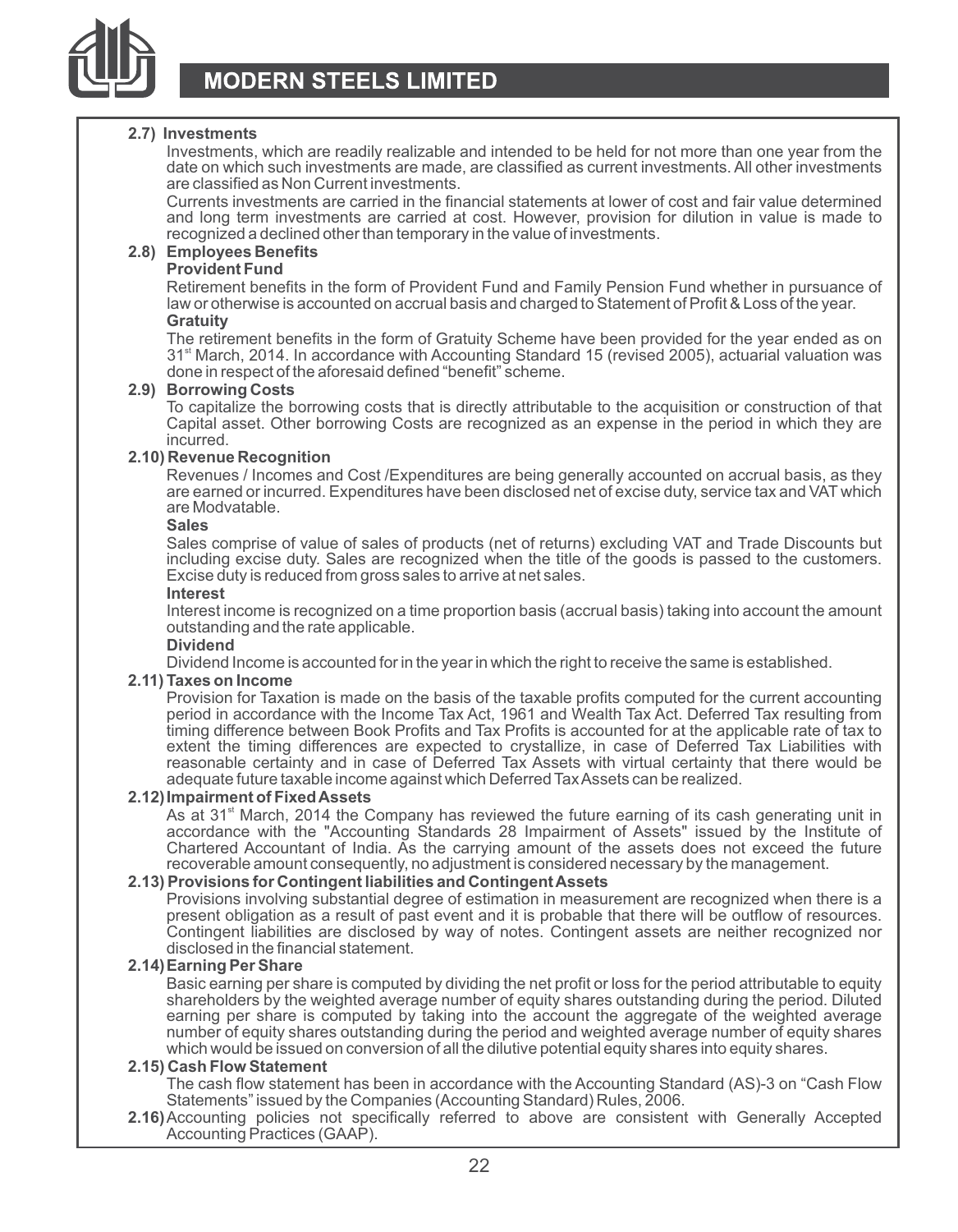

#### **2.7) Investments**

Investments, which are readily realizable and intended to be held for not more than one year from the date on which such investments are made, are classified as current investments. All other investments are classified as Non Current investments.

Currents investments are carried in the financial statements at lower of cost and fair value determined and long term investments are carried at cost. However, provision for dilution in value is made to recognized a declined other than temporary in the value of investments.

#### **2.8) Employees Benefits**

#### **Provident Fund**

Retirement benefits in the form of Provident Fund and Family Pension Fund whether in pursuance of law or otherwise is accounted on accrual basis and charged to Statement of Profit & Loss of the year. **Gratuity** 

The retirement benefits in the form of Gratuity Scheme have been provided for the year ended as on 31<sup><sup>st</sup> March, 2014. In accordance with Accounting Standard 15 (revised 2005), actuarial valuation was</sup> done in respect of the aforesaid defined "benefit" scheme.

#### **2.9) Borrowing Costs**

To capitalize the borrowing costs that is directly attributable to the acquisition or construction of that Capital asset. Other borrowing Costs are recognized as an expense in the period in which they are incurred.

#### **2.10) Revenue Recognition**

Revenues / Incomes and Cost /Expenditures are being generally accounted on accrual basis, as they are earned or incurred. Expenditures have been disclosed net of excise duty, service tax and VAT which are Modvatable.

#### **Sales**

Sales comprise of value of sales of products (net of returns) excluding VAT and Trade Discounts but including excise duty. Sales are recognized when the title of the goods is passed to the customers. Excise duty is reduced from gross sales to arrive at net sales.

#### **Interest**

Interest income is recognized on a time proportion basis (accrual basis) taking into account the amount outstanding and the rate applicable.

#### **Dividend**

Dividend Income is accounted for in the year in which the right to receive the same is established.

#### **2.11) Taxes on Income**

Provision for Taxation is made on the basis of the taxable profits computed for the current accounting period in accordance with the Income Tax Act, 1961 and Wealth Tax Act. Deferred Tax resulting from timing difference between Book Profits and Tax Profits is accounted for at the applicable rate of tax to extent the timing differences are expected to crystallize, in case of Deferred Tax Liabilities with reasonable certainty and in case of Deferred Tax Assets with virtual certainty that there would be adequate future taxable income against which Deferred Tax Assets can be realized.

#### **2.12)Impairment of Fixed Assets**

As at 31 $^{\circ}$  March, 2014 the Company has reviewed the future earning of its cash generating unit in accordance with the "Accounting Standards 28 Impairment of Assets" issued by the Institute of Chartered Accountant of India. As the carrying amount of the assets does not exceed the future recoverable amount consequently, no adjustment is considered necessary by the management.

#### **2.13) Provisions for Contingent liabilities and Contingent Assets**

Provisions involving substantial degree of estimation in measurement are recognized when there is a present obligation as a result of past event and it is probable that there will be outflow of resources. Contingent liabilities are disclosed by way of notes. Contingent assets are neither recognized nor disclosed in the financial statement.

#### **2.14)Earning Per Share**

Basic earning per share is computed by dividing the net profit or loss for the period attributable to equity shareholders by the weighted average number of equity shares outstanding during the period. Diluted earning per share is computed by taking into the account the aggregate of the weighted average number of equity shares outstanding during the period and weighted average number of equity shares which would be issued on conversion of all the dilutive potential equity shares into equity shares.

#### **2.15) Cash Flow Statement**

The cash flow statement has been in accordance with the Accounting Standard (AS)-3 on "Cash Flow Statements" issued by the Companies (Accounting Standard) Rules, 2006.

**2.16)**Accounting policies not specifically referred to above are consistent with Generally Accepted Accounting Practices (GAAP).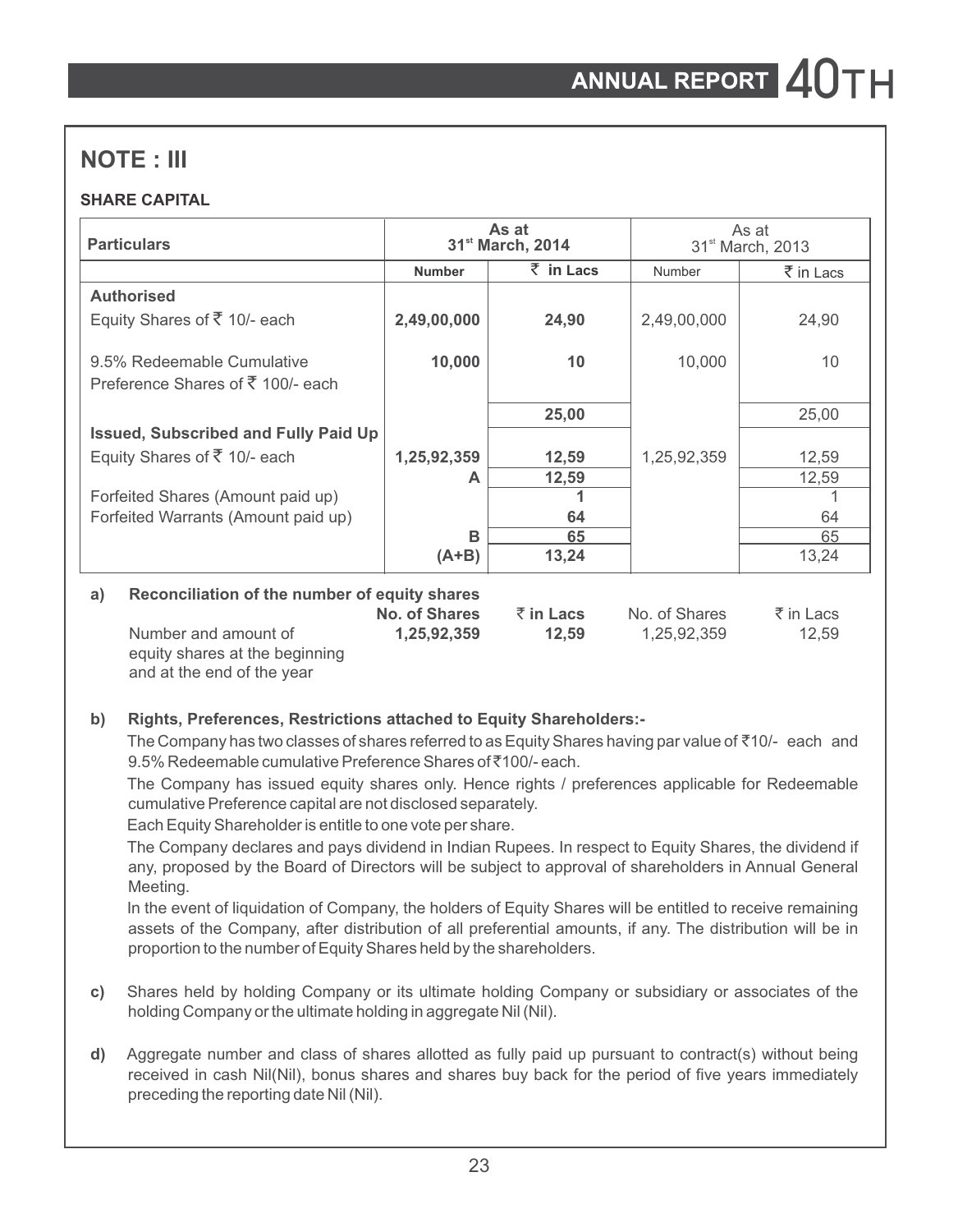# **NOTE : III**

### **SHARE CAPITAL**

| <b>Particulars</b>                                  |               | As at<br>31 <sup>st</sup> March, 2014 |               | As at<br>31 <sup>st</sup> March, 2013 |  |
|-----------------------------------------------------|---------------|---------------------------------------|---------------|---------------------------------------|--|
|                                                     | <b>Number</b> | $\bar{z}$ in Lacs                     | Number        | $\bar{\bar{\xi}}$ in Lacs             |  |
| <b>Authorised</b>                                   |               |                                       |               |                                       |  |
| Equity Shares of $\overline{5}$ 10/- each           | 2,49,00,000   | 24,90                                 | 2,49,00,000   | 24,90                                 |  |
|                                                     |               |                                       |               |                                       |  |
| 9.5% Redeemable Cumulative                          | 10,000        | 10                                    | 10,000        | 10                                    |  |
| Preference Shares of ₹ 100/- each                   |               |                                       |               |                                       |  |
|                                                     |               | 25,00                                 |               | 25,00                                 |  |
| <b>Issued, Subscribed and Fully Paid Up</b>         |               |                                       |               |                                       |  |
| Equity Shares of ₹ 10/- each                        | 1,25,92,359   | 12,59                                 | 1,25,92,359   | 12,59                                 |  |
|                                                     | А             | 12,59                                 |               | 12,59                                 |  |
| Forfeited Shares (Amount paid up)                   |               |                                       |               |                                       |  |
| Forfeited Warrants (Amount paid up)                 |               | 64                                    |               | 64                                    |  |
|                                                     | B             | 65                                    |               | 65                                    |  |
|                                                     | $(A+B)$       | 13,24                                 |               | 13,24                                 |  |
| Reconciliation of the number of equity shares<br>a) |               |                                       |               |                                       |  |
|                                                     | No. of Shares | $\bar{z}$ in Lacs                     | No. of Shares | $\bar{\tau}$ in Lacs                  |  |
| Number and amount of                                | 1,25,92,359   | 12,59                                 | 1,25,92,359   | 12,59                                 |  |

equity shares at the beginning and at the end of the year

### **b) Rights, Preferences, Restrictions attached to Equity Shareholders:-**

The Company has two classes of shares referred to as Equity Shares having par value of  $\bar{\zeta}$ 10/- each and 9.5% Redeemable cumulative Preference Shares of ₹100/- each.

The Company has issued equity shares only. Hence rights / preferences applicable for Redeemable cumulative Preference capital are not disclosed separately.

Each Equity Shareholder is entitle to one vote per share.

The Company declares and pays dividend in Indian Rupees. In respect to Equity Shares, the dividend if any, proposed by the Board of Directors will be subject to approval of shareholders in Annual General Meeting.

In the event of liquidation of Company, the holders of Equity Shares will be entitled to receive remaining assets of the Company, after distribution of all preferential amounts, if any. The distribution will be in proportion to the number of Equity Shares held by the shareholders.

- **c)** Shares held by holding Company or its ultimate holding Company or subsidiary or associates of the holding Company or the ultimate holding in aggregate Nil (Nil).
- **d)** Aggregate number and class of shares allotted as fully paid up pursuant to contract(s) without being received in cash Nil(Nil), bonus shares and shares buy back for the period of five years immediately preceding the reporting date Nil (Nil).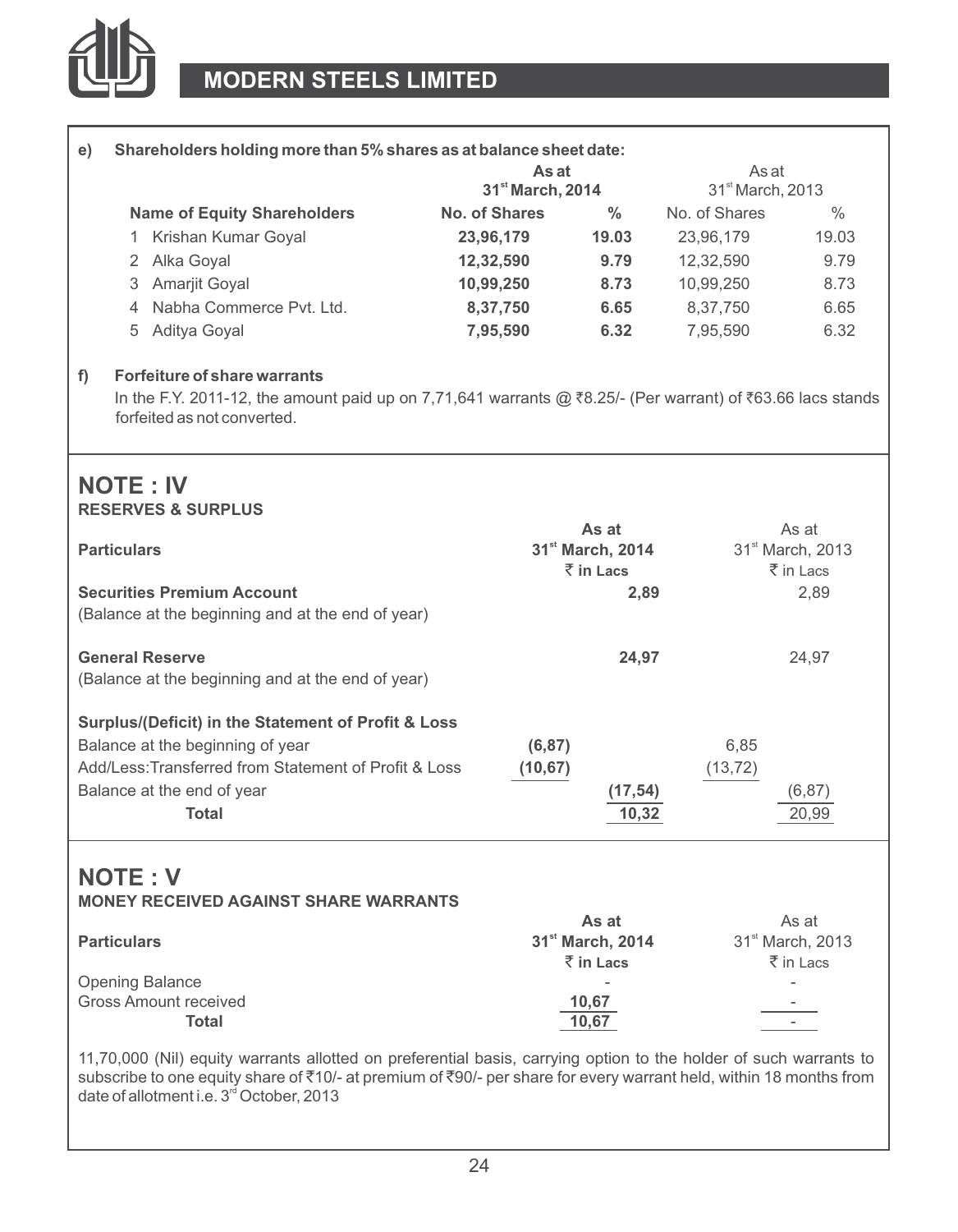

|                        |                                                                                                                                                                                                    | As at                        |                              | As at                        |                              |
|------------------------|----------------------------------------------------------------------------------------------------------------------------------------------------------------------------------------------------|------------------------------|------------------------------|------------------------------|------------------------------|
|                        |                                                                                                                                                                                                    | 31 <sup>st</sup> March, 2014 |                              | 31 <sup>st</sup> March, 2013 |                              |
|                        | <b>Name of Equity Shareholders</b>                                                                                                                                                                 | No. of Shares                | $\frac{0}{0}$                | No. of Shares                | $\frac{0}{0}$                |
|                        | 1 Krishan Kumar Goyal                                                                                                                                                                              | 23,96,179                    | 19.03                        | 23,96,179                    | 19.03                        |
| 2                      | Alka Goyal                                                                                                                                                                                         | 12,32,590                    | 9.79                         | 12,32,590                    | 9.79                         |
| 3                      | <b>Amarjit Goval</b>                                                                                                                                                                               | 10,99,250                    | 8.73                         | 10,99,250                    | 8.73                         |
|                        | 4 Nabha Commerce Pvt. Ltd.                                                                                                                                                                         | 8,37,750                     | 6.65                         | 8,37,750                     | 6.65                         |
| 5                      | Aditya Goyal                                                                                                                                                                                       | 7,95,590                     | 6.32                         | 7,95,590                     | 6.32                         |
| f                      | <b>Forfeiture of share warrants</b><br>In the F.Y. 2011-12, the amount paid up on 7,71,641 warrants @ $\bar{x}$ 8.25/- (Per warrant) of $\bar{x}$ 63.66 lacs stands<br>forfeited as not converted. |                              |                              |                              |                              |
|                        |                                                                                                                                                                                                    |                              |                              |                              |                              |
| <b>NOTE: IV</b>        | <b>RESERVES &amp; SURPLUS</b>                                                                                                                                                                      |                              |                              |                              |                              |
|                        |                                                                                                                                                                                                    |                              | As at                        |                              | As at                        |
| <b>Particulars</b>     |                                                                                                                                                                                                    |                              | 31 <sup>st</sup> March, 2014 |                              | 31 <sup>st</sup> March, 2013 |
|                        |                                                                                                                                                                                                    |                              | $\bar{z}$ in Lacs            |                              | ₹ in Lacs                    |
|                        | <b>Securities Premium Account</b><br>(Balance at the beginning and at the end of year)                                                                                                             |                              | 2,89                         |                              | 2,89                         |
| <b>General Reserve</b> |                                                                                                                                                                                                    |                              | 24,97                        |                              | 24.97                        |
|                        | (Balance at the beginning and at the end of year)                                                                                                                                                  |                              |                              |                              |                              |
|                        | Surplus/(Deficit) in the Statement of Profit & Loss                                                                                                                                                |                              |                              |                              |                              |
|                        | Balance at the beginning of year                                                                                                                                                                   | (6, 87)                      |                              | 6,85                         |                              |
|                        | Add/Less: Transferred from Statement of Profit & Loss                                                                                                                                              | (10, 67)                     |                              | (13, 72)                     |                              |
|                        | Balance at the end of year                                                                                                                                                                         |                              | (17, 54)                     |                              | (6, 87)                      |

# **NOTE : V**

### **MONEY RECEIVED AGAINST SHARE WARRANTS**

|                              | As at                        | As at                        |
|------------------------------|------------------------------|------------------------------|
| <b>Particulars</b>           | 31 <sup>st</sup> March, 2014 | 31 <sup>st</sup> March, 2013 |
|                              | $\bar{z}$ in Lacs            | $\bar{\bar{\tau}}$ in Lacs   |
| Opening Balance              | $\overline{\phantom{0}}$     | -                            |
| <b>Gross Amount received</b> | 10,67                        | -                            |
| Total                        | 10,67                        |                              |

11,70,000 (Nil) equity warrants allotted on preferential basis, carrying option to the holder of such warrants to subscribe to one equity share of `10/- at premium of `90/- per share for every warrant held, within 18 months from date of allotment i.e. 3<sup>rd</sup> October, 2013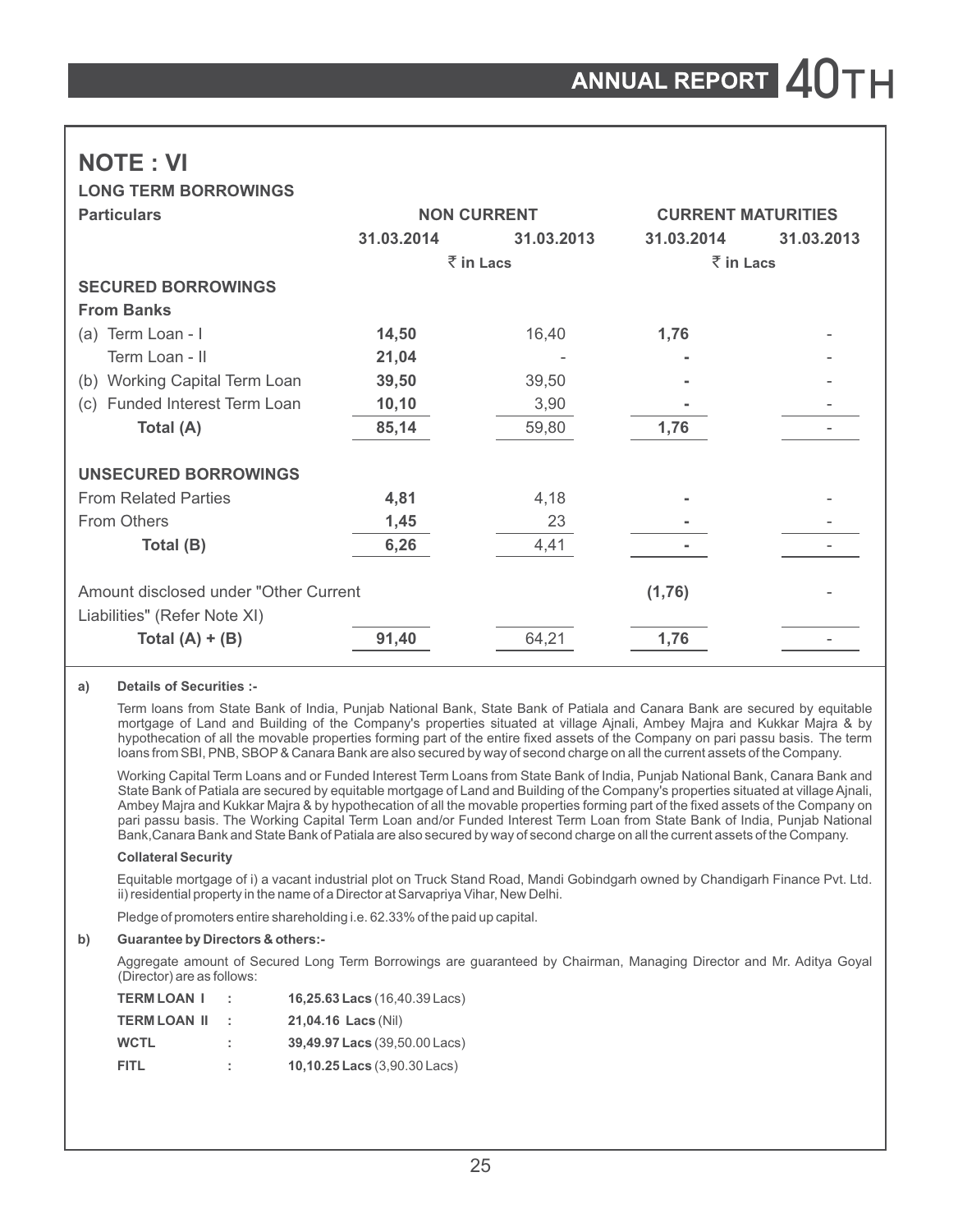# **NOTE : VI**

**LONG TERM BORROWINGS**

| <b>Particulars</b>                                                     |            | <b>NON CURRENT</b> | <b>CURRENT MATURITIES</b> |            |  |
|------------------------------------------------------------------------|------------|--------------------|---------------------------|------------|--|
|                                                                        | 31.03.2014 | 31.03.2013         | 31.03.2014                | 31.03.2013 |  |
|                                                                        |            | $\bar{z}$ in Lacs  | $\bar{z}$ in Lacs         |            |  |
| <b>SECURED BORROWINGS</b>                                              |            |                    |                           |            |  |
| <b>From Banks</b>                                                      |            |                    |                           |            |  |
| (a) Term Loan - I                                                      | 14,50      | 16,40              | 1,76                      |            |  |
| Term Loan - II                                                         | 21,04      |                    |                           |            |  |
| (b) Working Capital Term Loan                                          | 39,50      | 39,50              |                           |            |  |
| Funded Interest Term Loan<br>(c)                                       | 10, 10     | 3,90               |                           |            |  |
| Total (A)                                                              | 85,14      | 59,80              | 1,76                      |            |  |
| <b>UNSECURED BORROWINGS</b>                                            |            |                    |                           |            |  |
| <b>From Related Parties</b>                                            | 4,81       | 4,18               |                           |            |  |
| From Others                                                            | 1,45       | 23                 |                           |            |  |
| Total (B)                                                              | 6,26       | 4,41               |                           |            |  |
| Amount disclosed under "Other Current"<br>Liabilities" (Refer Note XI) |            |                    | (1,76)                    |            |  |
| Total $(A) + (B)$                                                      | 91,40      | 64,21              | 1,76                      |            |  |

#### **a) Details of Securities :-**

Term loans from State Bank of India, Punjab National Bank, State Bank of Patiala and Canara Bank are secured by equitable mortgage of Land and Building of the Company's properties situated at village Ajnali, Ambey Majra and Kukkar Majra & by hypothecation of all the movable properties forming part of the entire fixed assets of the Company on pari passu basis. The term loans from SBI, PNB, SBOP& Canara Bank are also secured by way of second charge on all the current assets of the Company.

Working Capital Term Loans and or Funded Interest Term Loans from State Bank of India, Punjab National Bank, Canara Bank and State Bank of Patiala are secured by equitable mortgage of Land and Building of the Company's properties situated at village Ajnali, Ambey Majra and Kukkar Majra & by hypothecation of all the movable properties forming part of the fixed assets of the Company on pari passu basis. The Working Capital Term Loan and/or Funded Interest Term Loan from State Bank of India, Punjab National Bank,Canara Bank and State Bank of Patiala are also secured by way of second charge on all the current assets of the Company.

#### **Collateral Security**

Equitable mortgage of i) a vacant industrial plot on Truck Stand Road, Mandi Gobindgarh owned by Chandigarh Finance Pvt. Ltd. ii) residential property in the name of a Director at Sarvapriya Vihar, New Delhi.

Pledge of promoters entire shareholding i.e. 62.33% of the paid up capital.

#### **b) Guarantee by Directors & others:-**

Aggregate amount of Secured Long Term Borrowings are guaranteed by Chairman, Managing Director and Mr. Aditya Goyal (Director) are as follows:

| <b>TERM LOAN I</b>  |     | 16,25.63 Lacs (16,40.39 Lacs) |
|---------------------|-----|-------------------------------|
| <b>TERM LOAN II</b> | . . | 21.04.16 Lacs (Nil)           |
| WCTL                | ÷.  | 39,49.97 Lacs (39,50.00 Lacs) |
| FITL                | ÷.  | 10,10.25 Lacs (3,90.30 Lacs)  |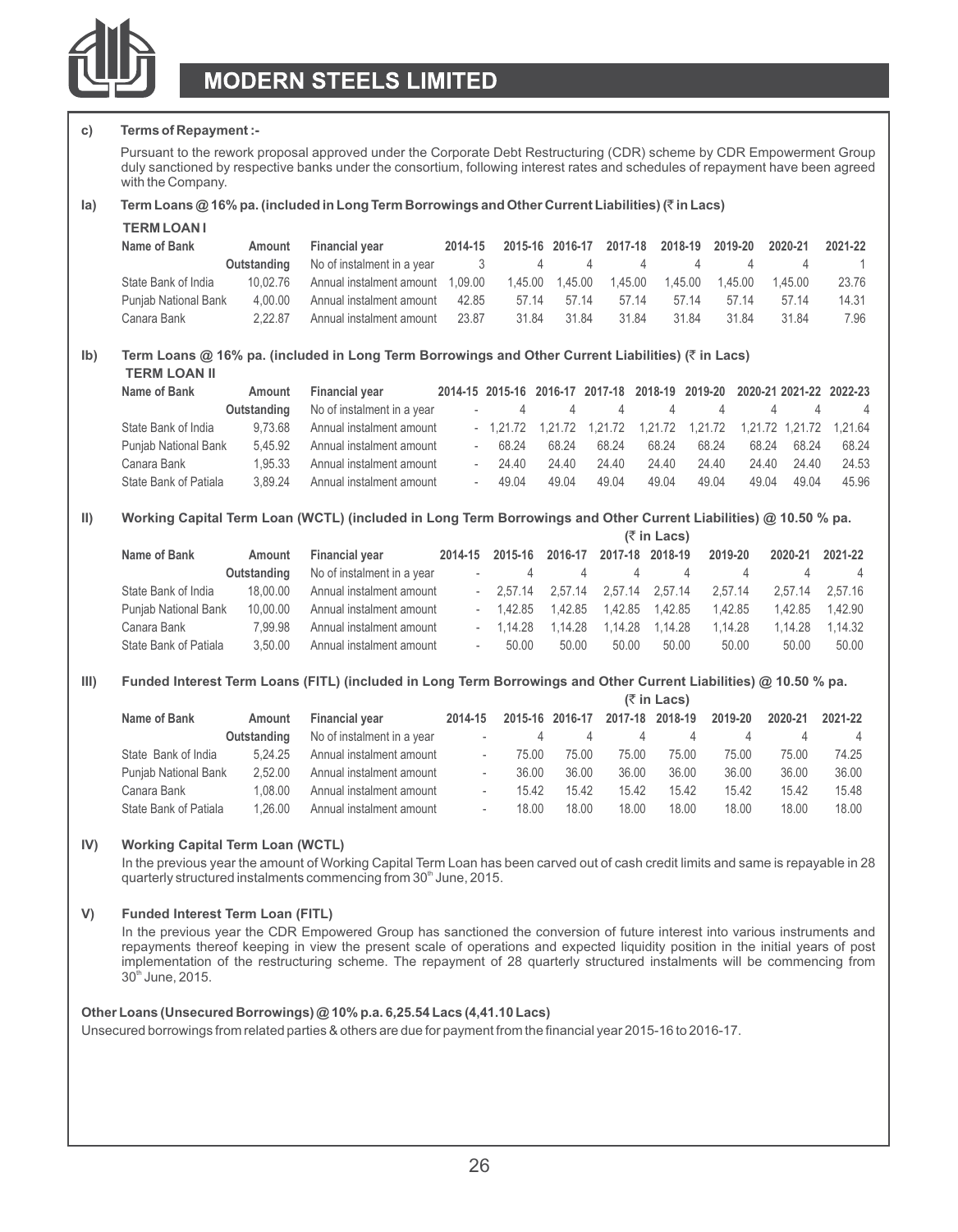

#### **c) Terms of Repayment :-**

Pursuant to the rework proposal approved under the Corporate Debt Restructuring (CDR) scheme by CDR Empowerment Group duly sanctioned by respective banks under the consortium, following interest rates and schedules of repayment have been agreed with the Company.

#### **Ia) Term Loans @ 16% pa. (included in Long Term Borrowings and Other Current Liabilities) (**` **in Lacs)**

| <b>TERM LOAN I</b> |  |
|--------------------|--|
|--------------------|--|

| Name of Bank         | Amount   | <b>Financial vear</b>                                                                                                                                                                                                               | 2014-15 |       |       | 2015-16 2016-17 2017-18 2018-19 2019-20 2020-21 |       |       |       | 2021-22 |
|----------------------|----------|-------------------------------------------------------------------------------------------------------------------------------------------------------------------------------------------------------------------------------------|---------|-------|-------|-------------------------------------------------|-------|-------|-------|---------|
|                      |          | <b>Outstanding</b> No of instalment in a vear and the same state of the state of the state of the state of the state of the state of the state of the state of the state of the state of the state of the state of the state of the |         |       |       |                                                 |       |       |       |         |
| State Bank of India  | 10.02.76 | Annual instalment amount 1.09.00  1.45.00  1.45.00  1.45.00  1.45.00  1.45.00  1.45.00                                                                                                                                              |         |       |       |                                                 |       |       |       | 23.76   |
| Punjab National Bank | 4.00.00  | Annual instalment amount 42.85                                                                                                                                                                                                      |         | 57 14 | 57 14 | 57 14                                           | 57 14 | 57 14 | 57 14 | 14.31   |
| Canara Bank          | 2.22.87  | Annual instalment amount 23.87                                                                                                                                                                                                      |         | 31.84 | 31.84 | 31.84                                           | 31.84 | 31.84 | 3184  | 7.96    |

#### **Ib) Term Loans @ 16% pa. (included in Long Term Borrowings and Other Current Liabilities) (**` **in Lacs) TERM LOAN II**

| Name of Bank          | Amount      | <b>Financial vear</b>      |       |       |          |       | 2014-15 2015-16 2016-17 2017-18 2018-19 2019-20 2020-21 2021-22 2022-23 |       |                    |       |
|-----------------------|-------------|----------------------------|-------|-------|----------|-------|-------------------------------------------------------------------------|-------|--------------------|-------|
|                       | Outstanding | No of instalment in a year |       | 4     | $\Delta$ |       | 4 4                                                                     |       | 4<br>$\mathcal{L}$ | 4     |
| State Bank of India   | 9.73.68     | Annual instalment amount   |       |       |          |       | $-1,21.72$ 1,21.72 1,21.72 1,21.72 1,21.72 1,21.72 1,21.72 1,21.64      |       |                    |       |
| Punjab National Bank  | 5.45.92     | Annual instalment amount   | 68 24 | 68 24 | 68 24    | 68 24 | 68.24                                                                   | 68 24 | 68 24              | 68 24 |
| Canara Bank           | 1.95.33     | Annual instalment amount   | 24 40 | 24.40 | 24.40    | 24.40 | 24.40                                                                   | 24.40 | 24 40              | 24.53 |
| State Bank of Patiala | 3.89.24     | Annual instalment amount   | 49.04 | 49 04 | 49.04    | 49.04 | 49.04                                                                   | 49 04 | 49.04              | 45.96 |

#### **II) Working Capital Term Loan (WCTL) (included in Long Term Borrowings and Other Current Liabilities) @ 10.50 % pa. (**` **in Lacs)**

|                       |             |                            | IK IN LACSI              |                           |                                          |                 |                  |         |                 |                |  |
|-----------------------|-------------|----------------------------|--------------------------|---------------------------|------------------------------------------|-----------------|------------------|---------|-----------------|----------------|--|
| Name of Bank          | Amount      | <b>Financial vear</b>      | 2014-15                  |                           | 2015-16 2016-17                          | 2017-18 2018-19 |                  | 2019-20 | 2020-21         | 2021-22        |  |
|                       | Outstanding | No of instalment in a year |                          | 4<br><b>Service</b> State | 4                                        | 4               | 4                | 4       |                 | $\overline{4}$ |  |
| State Bank of India   | 18.00.00    | Annual instalment amount   |                          |                           | $-2.57.14$ $2.57.14$ $2.57.14$ $2.57.14$ |                 |                  | 2.57.14 | 2.57.14 2.57.16 |                |  |
| Punjab National Bank  | 10.00.00    | Annual instalment amount   |                          | $-1.42.85$                | 1.42.85                                  |                 |                  | 1.42.85 | 1.42.85         | 1.42.90        |  |
| Canara Bank           | 7.99.98     | Annual instalment amount   |                          | $-1.14.28$                | 1.14.28                                  |                 | 1.14.28  1.14.28 | 1.14.28 | 1.14.28         | 1.14.32        |  |
| State Bank of Patiala | 3.50.00     | Annual instalment amount   | $\overline{\phantom{a}}$ | 50.00                     | 50.00                                    | 50.00           | 50.00            | 50.00   | 50.00           | 50.00          |  |

#### **III) Funded Interest Term Loans (FITL) (included in Long Term Borrowings and Other Current Liabilities) @ 10.50 % pa.**

|                       |             |                            |                          |       |                 |       | $(5 \in \mathsf{Lacs})$ |         |         |         |
|-----------------------|-------------|----------------------------|--------------------------|-------|-----------------|-------|-------------------------|---------|---------|---------|
| Name of Bank          | Amount      | <b>Financial vear</b>      | 2014-15                  |       | 2015-16 2016-17 |       | 2017-18 2018-19         | 2019-20 | 2020-21 | 2021-22 |
|                       | Outstanding | No of instalment in a year | $\overline{\phantom{a}}$ | Δ     |                 | 4     | 4                       |         | 4       | 4       |
| State Bank of India   | 5.24.25     | Annual instalment amount   | $\overline{\phantom{a}}$ | 75.00 | 75.00           | 75.00 | 75.00                   | 75.00   | 75.00   | 74.25   |
| Punjab National Bank  | 2.52.00     | Annual instalment amount   | ٠                        | 36.00 | 36.00           | 36.00 | 36.00                   | 36.00   | 36.00   | 36.00   |
| Canara Bank           | 1.08.00     | Annual instalment amount   | ٠                        | 15.42 | 15.42           | 15.42 | 15.42                   | 15.42   | 15.42   | 15.48   |
| State Bank of Patiala | 1.26.00     | Annual instalment amount   | $\overline{\phantom{a}}$ | 18.00 | 18.00           | 18.00 | 18.00                   | 18.00   | 18.00   | 18.00   |

#### **IV) Working Capital Term Loan (WCTL)**

In the previous year the amount of Working Capital Term Loan has been carved out of cash credit limits and same is repayable in 28 quarterly structured instalments commencing from 30<sup>th</sup> June, 2015.

#### **V) Funded Interest Term Loan (FITL)**

In the previous year the CDR Empowered Group has sanctioned the conversion of future interest into various instruments and repayments thereof keeping in view the present scale of operations and expected liquidity position in the initial years of post implementation of the restructuring scheme. The repayment of 28 quarterly structured instalments will be commencing from  $30<sup>th</sup>$  June, 2015.

#### **Other Loans (Unsecured Borrowings) @ 10% p.a. 6,25.54 Lacs (4,41.10 Lacs)**

Unsecured borrowings from related parties & others are due for payment from the financial year 2015-16 to 2016-17.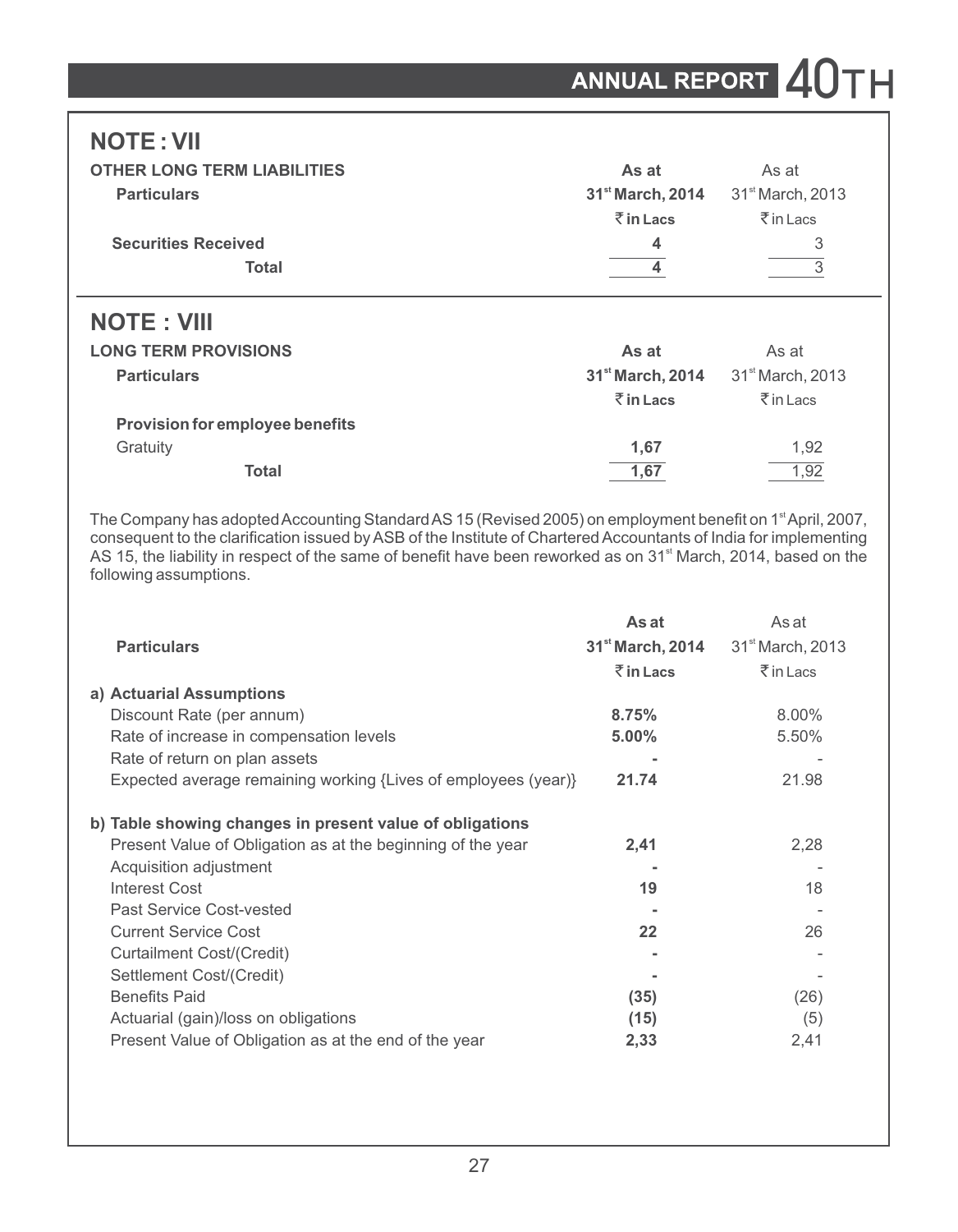# **NOTE : VII**

| <b>OTHER LONG TERM LIABILITIES</b> | As at                        | As at                             |  |
|------------------------------------|------------------------------|-----------------------------------|--|
| <b>Particulars</b>                 | 31 <sup>st</sup> March, 2014 | 31 <sup>st</sup> March, 2013      |  |
|                                    | $\bar{z}$ in Lacs            | $\bar{\bar{\tau}}$ in Lacs        |  |
| <b>Securities Received</b>         | 4                            | 3                                 |  |
| <b>Total</b>                       |                              |                                   |  |
| <b>NOTE: VIII</b>                  |                              |                                   |  |
| <b>LONG TERM PROVISIONS</b>        | As at                        | As at                             |  |
| <b>Particulars</b>                 | 31 <sup>st</sup> March, 2014 | 31 <sup>st</sup> March, 2013      |  |
|                                    | $\bar{z}$ in Lacs            | $\bar{\bar{\mathcal{J}}}$ in Lacs |  |

| <b>Provision for employee benefits</b> |      |      |
|----------------------------------------|------|------|
| Gratuity                               | 1.67 | 1.92 |
| Total                                  | 1.67 | 1.92 |

The Company has adopted Accounting Standard AS 15 (Revised 2005) on employment benefit on 1<sup>st</sup> April, 2007, consequent to the clarification issued by ASB of the Institute of Chartered Accountants of India for implementing AS 15, the liability in respect of the same of benefit have been reworked as on 31<sup>st</sup> March, 2014, based on the following assumptions.

|                                                                | As at                        | As at                        |
|----------------------------------------------------------------|------------------------------|------------------------------|
| <b>Particulars</b>                                             | 31 <sup>st</sup> March, 2014 | 31 <sup>st</sup> March, 2013 |
|                                                                | $\bar{z}$ in Lacs            | $\bar{\bar{\tau}}$ in Lacs   |
| a) Actuarial Assumptions                                       |                              |                              |
| Discount Rate (per annum)                                      | 8.75%                        | 8.00%                        |
| Rate of increase in compensation levels                        | $5.00\%$                     | 5.50%                        |
| Rate of return on plan assets                                  |                              |                              |
| Expected average remaining working {Lives of employees (year)} | 21.74                        | 21.98                        |
| b) Table showing changes in present value of obligations       |                              |                              |
| Present Value of Obligation as at the beginning of the year    | 2,41                         | 2,28                         |
| Acquisition adjustment                                         |                              |                              |
| <b>Interest Cost</b>                                           | 19                           | 18                           |
| Past Service Cost-vested                                       |                              |                              |
| <b>Current Service Cost</b>                                    | 22                           | 26                           |
| Curtailment Cost/(Credit)                                      |                              |                              |
| Settlement Cost/(Credit)                                       |                              |                              |
| <b>Benefits Paid</b>                                           | (35)                         | (26)                         |
| Actuarial (gain)/loss on obligations                           | (15)                         | (5)                          |
| Present Value of Obligation as at the end of the year          | 2,33                         | 2,41                         |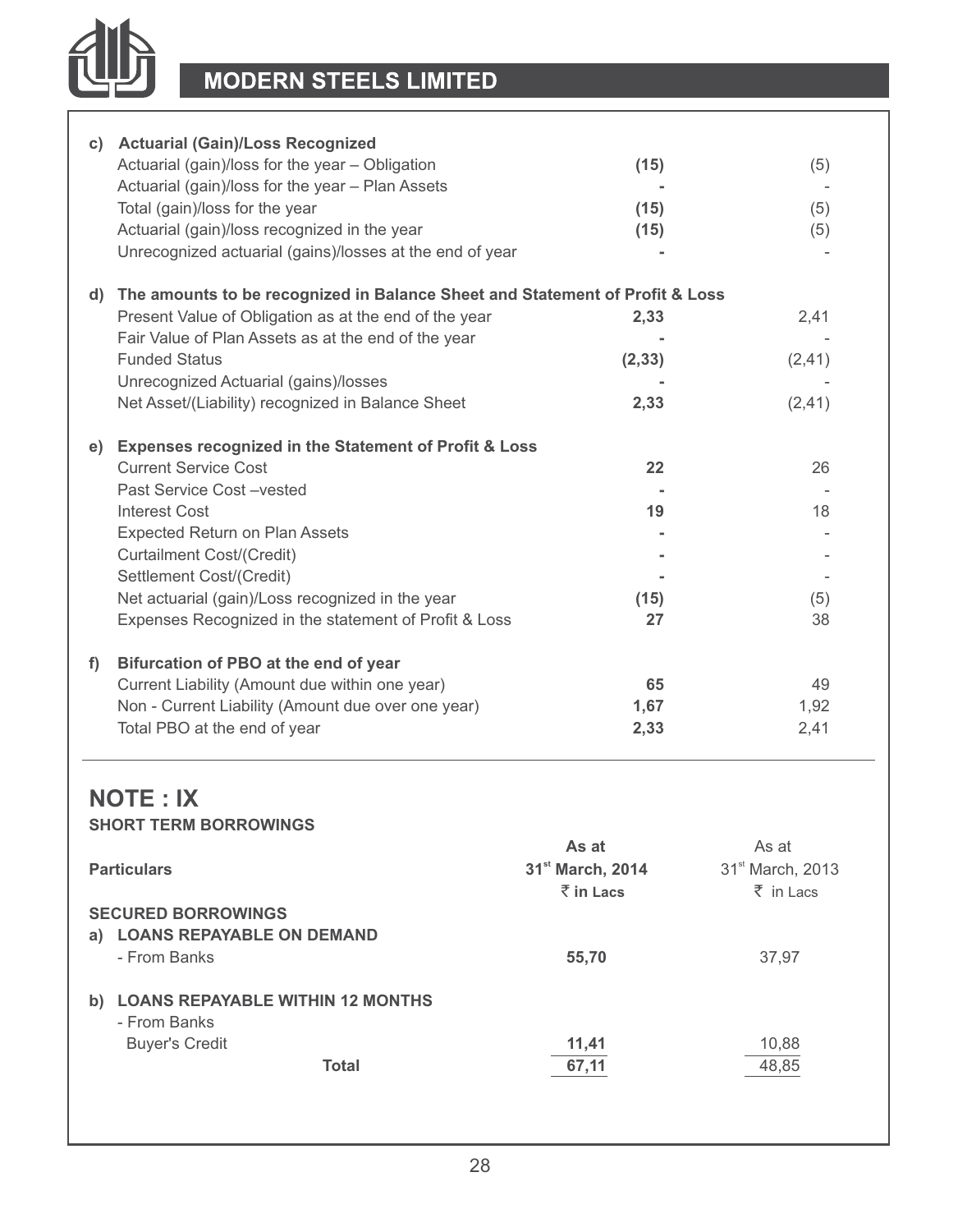

|    | c) Actuarial (Gain)/Loss Recognized<br>Actuarial (gain)/loss for the year - Obligation<br>Actuarial (gain)/loss for the year - Plan Assets<br>Total (gain)/loss for the year<br>Actuarial (gain)/loss recognized in the year<br>Unrecognized actuarial (gains)/losses at the end of year                                                            | (15)<br>(15)<br>(15)    | (5)<br>(5)<br>(5)          |
|----|-----------------------------------------------------------------------------------------------------------------------------------------------------------------------------------------------------------------------------------------------------------------------------------------------------------------------------------------------------|-------------------------|----------------------------|
|    | d) The amounts to be recognized in Balance Sheet and Statement of Profit & Loss<br>Present Value of Obligation as at the end of the year<br>Fair Value of Plan Assets as at the end of the year<br><b>Funded Status</b><br>Unrecognized Actuarial (gains)/losses<br>Net Asset/(Liability) recognized in Balance Sheet                               | 2,33<br>(2, 33)<br>2,33 | 2,41<br>(2, 41)<br>(2, 41) |
|    | e) Expenses recognized in the Statement of Profit & Loss<br><b>Current Service Cost</b><br>Past Service Cost-vested<br>Interest Cost<br><b>Expected Return on Plan Assets</b><br>Curtailment Cost/(Credit)<br>Settlement Cost/(Credit)<br>Net actuarial (gain)/Loss recognized in the year<br>Expenses Recognized in the statement of Profit & Loss | 22<br>19<br>(15)<br>27  | 26<br>18<br>(5)<br>38      |
| f) | Bifurcation of PBO at the end of year<br>Current Liability (Amount due within one year)<br>Non - Current Liability (Amount due over one year)<br>Total PBO at the end of year                                                                                                                                                                       | 65<br>1,67<br>2,33      | 49<br>1,92<br>2,41         |

### **NOTE : IX SHORT TERM BORROWINGS**

|                                               | As at                        | As at                        |
|-----------------------------------------------|------------------------------|------------------------------|
| <b>Particulars</b>                            | 31 <sup>st</sup> March, 2014 | 31 <sup>st</sup> March, 2013 |
|                                               | $\bar{z}$ in Lacs            | $\bar{z}$ in Lacs            |
| <b>SECURED BORROWINGS</b>                     |                              |                              |
| <b>LOANS REPAYABLE ON DEMAND</b><br>a)        |                              |                              |
| - From Banks                                  | 55,70                        | 37,97                        |
|                                               |                              |                              |
| <b>LOANS REPAYABLE WITHIN 12 MONTHS</b><br>b) |                              |                              |
| - From Banks                                  |                              |                              |
| <b>Buyer's Credit</b>                         | 11,41                        | 10,88                        |
| Total                                         | 67.11                        | 48,85                        |
|                                               |                              |                              |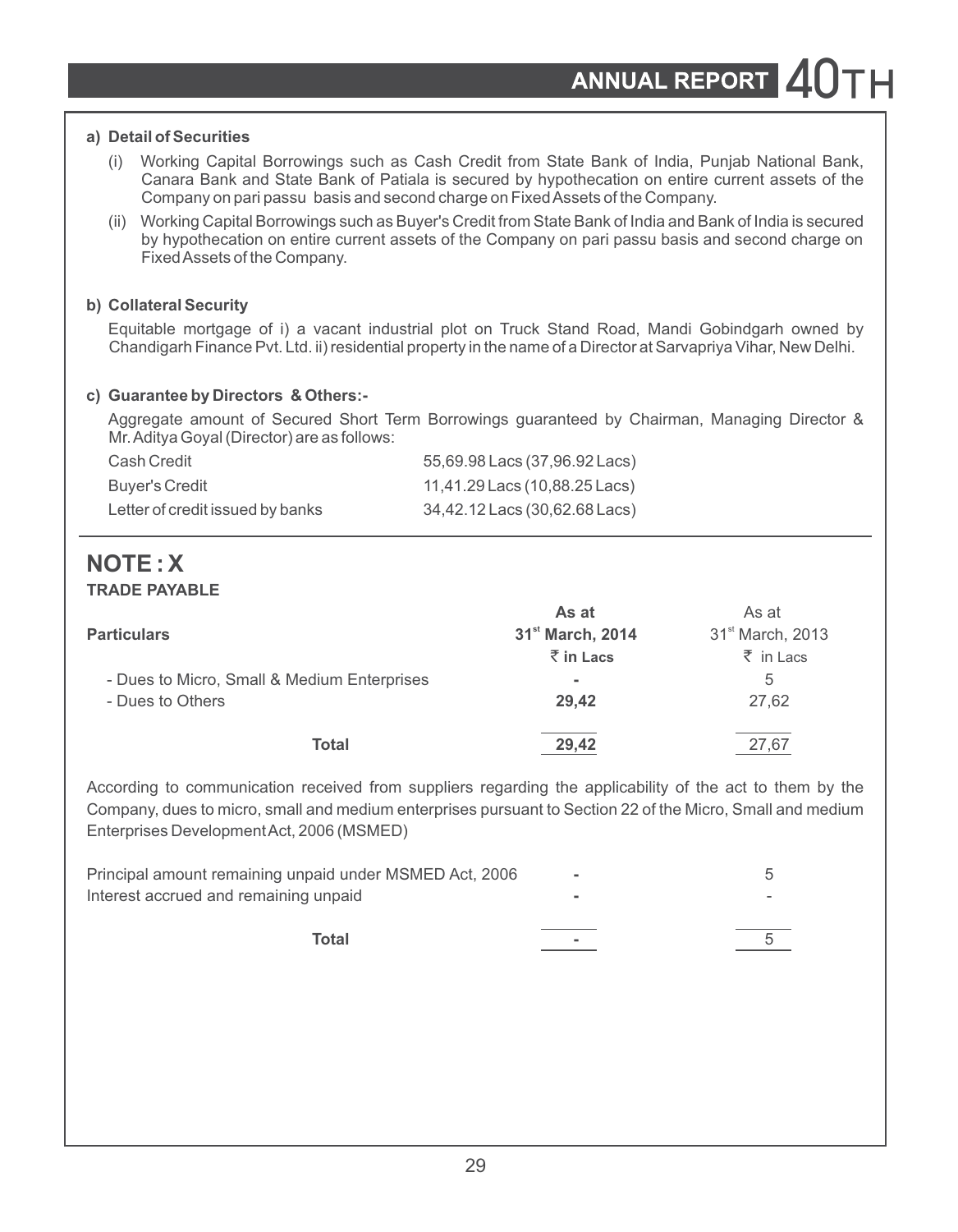### **a) Detail of Securities**

- (i) Working Capital Borrowings such as Cash Credit from State Bank of India, Punjab National Bank, Canara Bank and State Bank of Patiala is secured by hypothecation on entire current assets of the Company on pari passu basis and second charge on Fixed Assets of the Company.
- (ii) Working Capital Borrowings such as Buyer's Credit from State Bank of India and Bank of India is secured by hypothecation on entire current assets of the Company on pari passu basis and second charge on Fixed Assets of the Company.

### **b) Collateral Security**

Equitable mortgage of i) a vacant industrial plot on Truck Stand Road, Mandi Gobindgarh owned by Chandigarh Finance Pvt. Ltd. ii) residential property in the name of a Director at Sarvapriya Vihar, New Delhi.

### **c) Guarantee by Directors & Others:-**

Aggregate amount of Secured Short Term Borrowings guaranteed by Chairman, Managing Director & Mr. Aditya Goyal (Director) are as follows:

| Cash Credit                      | 55,69.98 Lacs (37,96.92 Lacs) |
|----------------------------------|-------------------------------|
| Buver's Credit                   | 11,41.29 Lacs (10,88.25 Lacs) |
| Letter of credit issued by banks | 34,42.12 Lacs (30,62.68 Lacs) |

### **NOTE : X TRADE PAYABLE**

|                                                                                       | As at                        | As at                        |
|---------------------------------------------------------------------------------------|------------------------------|------------------------------|
| <b>Particulars</b><br>- Dues to Micro, Small & Medium Enterprises<br>- Dues to Others | 31 <sup>st</sup> March, 2014 | 31 <sup>st</sup> March, 2013 |
|                                                                                       | $\bar{z}$ in Lacs            | $\bar{z}$ in Lacs            |
|                                                                                       | ۰                            | 5                            |
|                                                                                       | 29.42                        | 27.62                        |
| Total                                                                                 | 29.42                        | 27.67                        |

According to communication received from suppliers regarding the applicability of the act to them by the Company, dues to micro, small and medium enterprises pursuant to Section 22 of the Micro, Small and medium Enterprises Development Act, 2006 (MSMED)

| Principal amount remaining unpaid under MSMED Act, 2006 |   |  |
|---------------------------------------------------------|---|--|
| Interest accrued and remaining unpaid                   |   |  |
| Total                                                   | ۰ |  |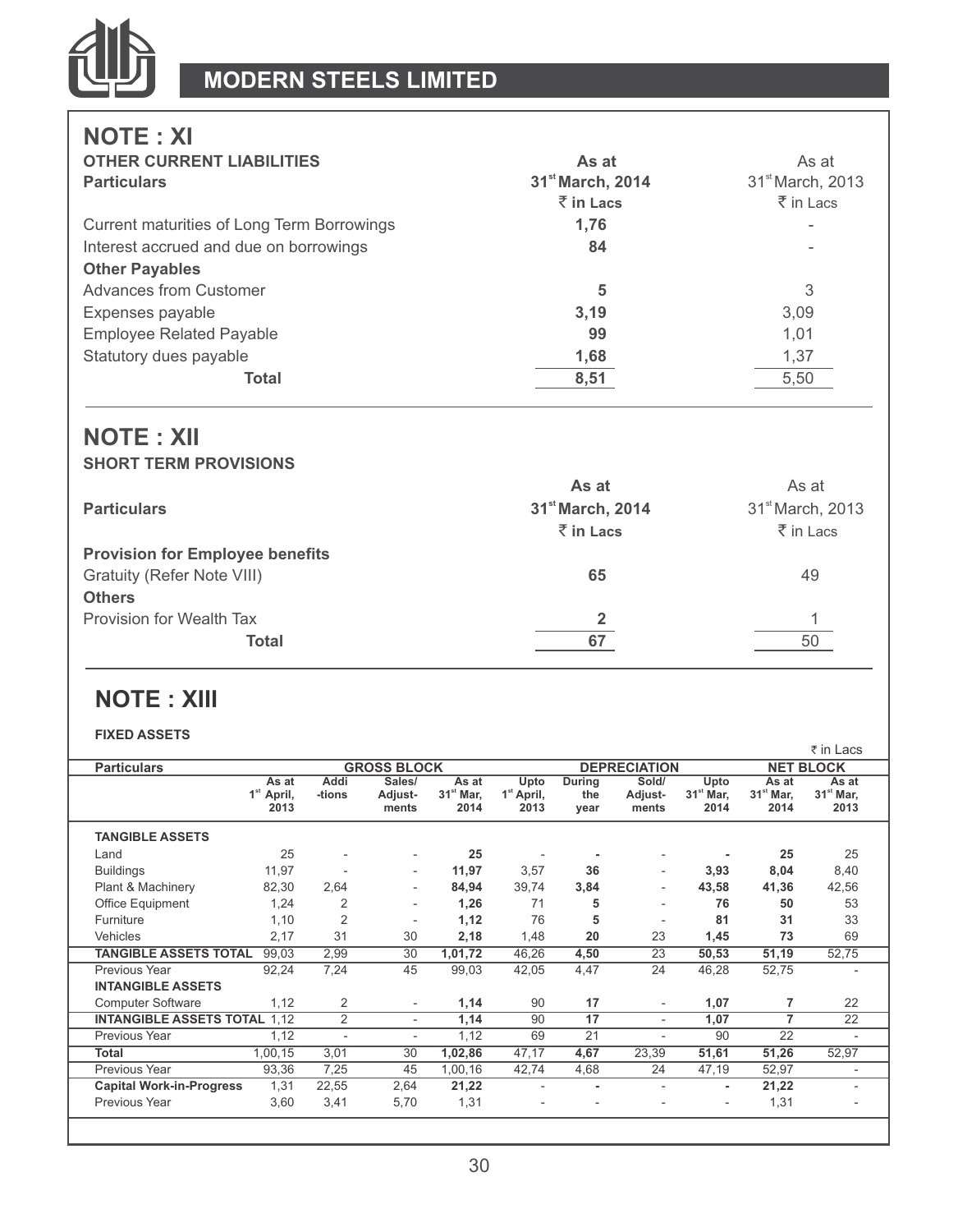

# **NOTE : XI**

| <b>OTHER CURRENT LIABILITIES</b>           | As at                        | As at                        |
|--------------------------------------------|------------------------------|------------------------------|
| <b>Particulars</b>                         | 31 <sup>st</sup> March, 2014 | 31 <sup>st</sup> March, 2013 |
|                                            | $\bar{z}$ in Lacs            | $\bar{z}$ in Lacs            |
| Current maturities of Long Term Borrowings | 1.76                         |                              |
| Interest accrued and due on borrowings     | 84                           |                              |
| <b>Other Payables</b>                      |                              |                              |
| Advances from Customer                     | 5                            | 3                            |
| Expenses payable                           | 3,19                         | 3.09                         |
| <b>Employee Related Payable</b>            | 99                           | 1.01                         |
| Statutory dues payable                     | 1,68                         | 1,37                         |
| Total                                      | 8,51                         | 5,50                         |

### **NOTE : XII SHORT TERM PROVISIONS**

|                                        | As at                        | As at                        |
|----------------------------------------|------------------------------|------------------------------|
| <b>Particulars</b>                     | 31 <sup>st</sup> March, 2014 | 31 <sup>st</sup> March, 2013 |
|                                        | ₹ in Lacs                    | $\bar{\bar{\xi}}$ in Lacs    |
| <b>Provision for Employee benefits</b> |                              |                              |
| Gratuity (Refer Note VIII)             | 65                           | 49                           |
| <b>Others</b>                          |                              |                              |
| Provision for Wealth Tax               |                              |                              |
| Total                                  | 67                           | 50                           |
|                                        |                              |                              |

# **NOTE : XIII**

#### **FIXED ASSETS**

|                                     |                                         |                          |                            |                                        |                                        |                          |                           |                             |                              | ₹ in Lacs                    |
|-------------------------------------|-----------------------------------------|--------------------------|----------------------------|----------------------------------------|----------------------------------------|--------------------------|---------------------------|-----------------------------|------------------------------|------------------------------|
| <b>Particulars</b>                  |                                         |                          | <b>GROSS BLOCK</b>         |                                        |                                        |                          | <b>DEPRECIATION</b>       |                             |                              | <b>NET BLOCK</b>             |
|                                     | As at<br>1 <sup>st</sup> April,<br>2013 | Addi<br>-tions           | Sales/<br>Adjust-<br>ments | As at<br>31 <sup>st</sup> Mar,<br>2014 | Upto<br>1 <sup>st</sup> April,<br>2013 | During<br>the<br>year    | Sold/<br>Adjust-<br>ments | Upto<br>$31st$ Mar,<br>2014 | As at<br>$31st$ Mar,<br>2014 | As at<br>$31st$ Mar,<br>2013 |
| <b>TANGIBLE ASSETS</b>              |                                         |                          |                            |                                        |                                        |                          |                           |                             |                              |                              |
| Land                                | 25                                      | $\overline{a}$           | $\overline{\phantom{a}}$   | 25                                     |                                        |                          | $\overline{\phantom{0}}$  |                             | 25                           | 25                           |
| <b>Buildings</b>                    | 11,97                                   | $\overline{\phantom{a}}$ | $\overline{\phantom{a}}$   | 11,97                                  | 3,57                                   | 36                       | $\overline{\phantom{0}}$  | 3,93                        | 8,04                         | 8,40                         |
| Plant & Machinery                   | 82,30                                   | 2,64                     | $\overline{\phantom{a}}$   | 84.94                                  | 39.74                                  | 3,84                     |                           | 43,58                       | 41,36                        | 42,56                        |
| Office Equipment                    | 1,24                                    | 2                        | $\sim$                     | 1,26                                   | 71                                     | 5                        | $\overline{\phantom{0}}$  | 76                          | 50                           | 53                           |
| Furniture                           | 1,10                                    | $\overline{2}$           | $\overline{\phantom{a}}$   | 1,12                                   | 76                                     | 5                        | $\overline{\phantom{a}}$  | 81                          | 31                           | 33                           |
| Vehicles                            | 2,17                                    | 31                       | 30                         | 2,18                                   | 1,48                                   | 20                       | 23                        | 1,45                        | 73                           | 69                           |
| <b>TANGIBLE ASSETS TOTAL</b>        | 99,03                                   | 2,99                     | 30                         | 1,01,72                                | 46,26                                  | 4,50                     | 23                        | 50,53                       | 51,19                        | 52,75                        |
| Previous Year                       | 92.24                                   | 7,24                     | 45                         | 99.03                                  | 42.05                                  | 4.47                     | 24                        | 46.28                       | 52,75                        | $\overline{a}$               |
| <b>INTANGIBLE ASSETS</b>            |                                         |                          |                            |                                        |                                        |                          |                           |                             |                              |                              |
| <b>Computer Software</b>            | 1.12                                    | $\overline{2}$           | $\overline{\phantom{a}}$   | 1,14                                   | 90                                     | 17                       | $\overline{\phantom{0}}$  | 1,07                        | 7                            | 22                           |
| <b>INTANGIBLE ASSETS TOTAL 1.12</b> |                                         | $\overline{2}$           | $\overline{\phantom{a}}$   | 1,14                                   | 90                                     | 17                       | $\overline{\phantom{0}}$  | 1,07                        | $\overline{7}$               | $\overline{22}$              |
| Previous Year                       | 1,12                                    | $\overline{a}$           | $\overline{\phantom{a}}$   | 1,12                                   | 69                                     | 21                       | $\overline{\phantom{a}}$  | 90                          | 22                           | $\overline{a}$               |
| <b>Total</b>                        | 1,00,15                                 | 3,01                     | 30                         | 1,02,86                                | 47,17                                  | 4,67                     | 23,39                     | 51,61                       | 51,26                        | 52,97                        |
| Previous Year                       | 93,36                                   | 7,25                     | 45                         | 1,00,16                                | 42,74                                  | 4,68                     | 24                        | 47,19                       | 52,97                        | $\overline{a}$               |
| <b>Capital Work-in-Progress</b>     | 1,31                                    | 22,55                    | 2,64                       | 21,22                                  | $\overline{\phantom{a}}$               | ٠                        | $\overline{\phantom{0}}$  | ۰                           | 21,22                        |                              |
| Previous Year                       | 3,60                                    | 3,41                     | 5,70                       | 1,31                                   | $\qquad \qquad \blacksquare$           | $\overline{\phantom{0}}$ | $\overline{\phantom{0}}$  |                             | 1,31                         | $\overline{a}$               |
|                                     |                                         |                          |                            |                                        |                                        |                          |                           |                             |                              |                              |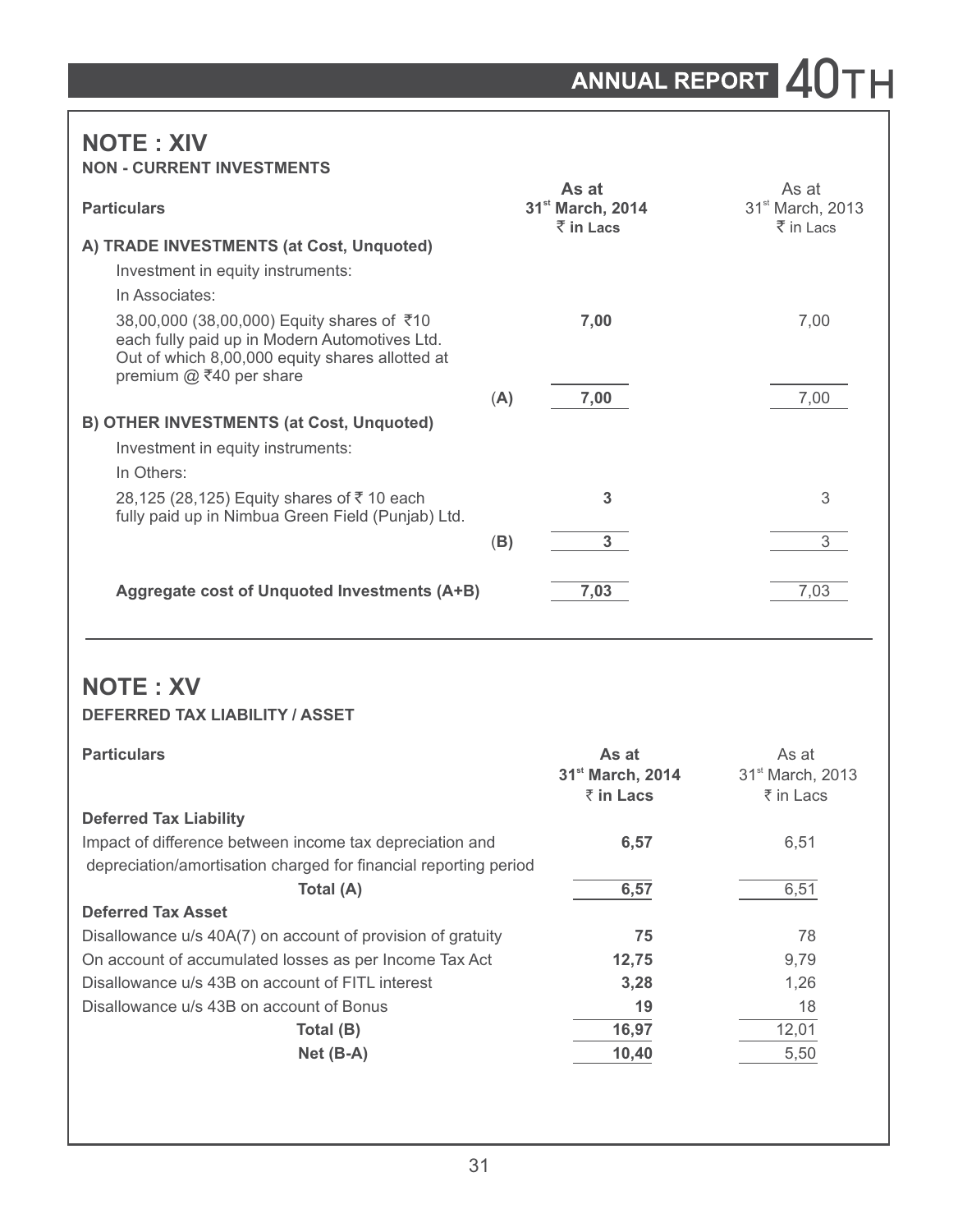# ANNUAL REPORT 40TH

## **NOTE : XIV NON - CURRENT INVESTMENTS**

| <b>Particulars</b>                                                                                                                                                          |     | As at<br>31 <sup>st</sup> March, 2014<br>$\bar{z}$ in Lacs | As at<br>31 <sup>st</sup> March, 2013<br>$\bar{z}$ in Lacs |
|-----------------------------------------------------------------------------------------------------------------------------------------------------------------------------|-----|------------------------------------------------------------|------------------------------------------------------------|
| A) TRADE INVESTMENTS (at Cost, Unquoted)                                                                                                                                    |     |                                                            |                                                            |
| Investment in equity instruments:                                                                                                                                           |     |                                                            |                                                            |
| In Associates:                                                                                                                                                              |     |                                                            |                                                            |
| 38,00,000 (38,00,000) Equity shares of ₹10<br>each fully paid up in Modern Automotives Ltd.<br>Out of which 8,00,000 equity shares allotted at<br>premium $@$ ₹40 per share |     | 7,00                                                       | 7,00                                                       |
|                                                                                                                                                                             | (A) | 7,00                                                       | 7,00                                                       |
| <b>B) OTHER INVESTMENTS (at Cost, Unquoted)</b>                                                                                                                             |     |                                                            |                                                            |
| Investment in equity instruments:                                                                                                                                           |     |                                                            |                                                            |
| In Others:                                                                                                                                                                  |     |                                                            |                                                            |
| 28,125 (28,125) Equity shares of ₹10 each<br>fully paid up in Nimbua Green Field (Punjab) Ltd.                                                                              |     | 3                                                          | 3                                                          |
|                                                                                                                                                                             | (B) | 3 <sup>1</sup>                                             | 3                                                          |
| Aggregate cost of Unquoted Investments (A+B)                                                                                                                                |     | 7,03                                                       | 7,03                                                       |

# **NOTE : XV**

#### **DEFERRED TAX LIABILITY / ASSET**

| <b>Particulars</b>                                               | As at<br>31 <sup>st</sup> March, 2014<br>$\bar{z}$ in Lacs | As at<br>31 <sup>st</sup> March, 2013<br>₹ in Lacs |
|------------------------------------------------------------------|------------------------------------------------------------|----------------------------------------------------|
| <b>Deferred Tax Liability</b>                                    |                                                            |                                                    |
| Impact of difference between income tax depreciation and         | 6,57                                                       | 6,51                                               |
| depreciation/amortisation charged for financial reporting period |                                                            |                                                    |
| Total (A)                                                        | 6,57                                                       | 6,51                                               |
| <b>Deferred Tax Asset</b>                                        |                                                            |                                                    |
| Disallowance u/s 40A(7) on account of provision of gratuity      | 75                                                         | 78                                                 |
| On account of accumulated losses as per Income Tax Act           | 12,75                                                      | 9.79                                               |
| Disallowance u/s 43B on account of FITL interest                 | 3,28                                                       | 1.26                                               |
| Disallowance u/s 43B on account of Bonus                         | 19                                                         | 18                                                 |
| Total (B)                                                        | 16,97                                                      | 12,01                                              |
| $Net(B-A)$                                                       | 10,40                                                      | 5,50                                               |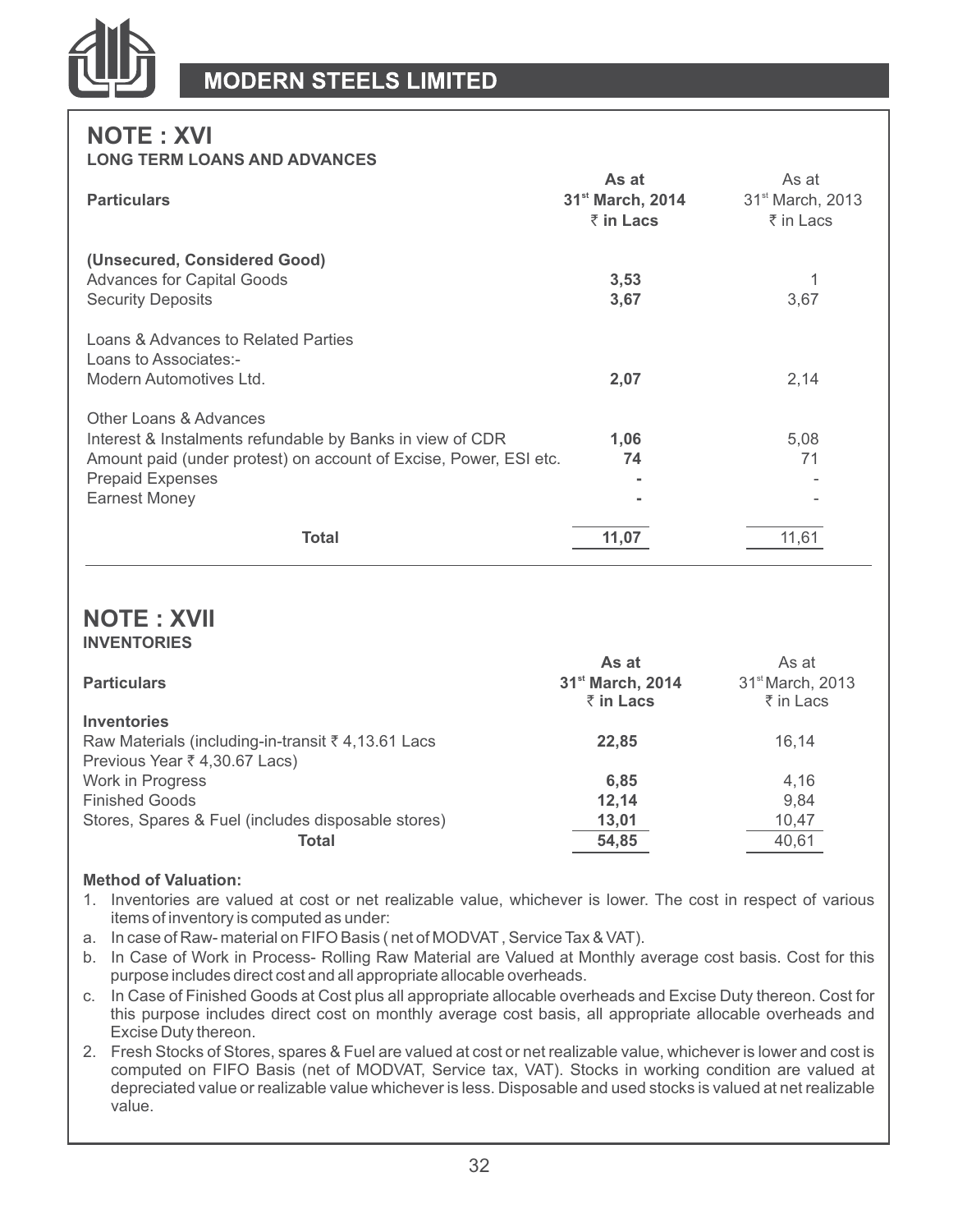

# **NOTE : XVI**

#### **LONG TERM LOANS AND ADVANCES**

|                                                                                                                                                                                                      | As at                        | As at                        |
|------------------------------------------------------------------------------------------------------------------------------------------------------------------------------------------------------|------------------------------|------------------------------|
| <b>Particulars</b>                                                                                                                                                                                   | 31 <sup>st</sup> March, 2014 | 31 <sup>st</sup> March, 2013 |
|                                                                                                                                                                                                      | ₹ in Lacs                    | ₹ in Lacs                    |
| (Unsecured, Considered Good)<br><b>Advances for Capital Goods</b><br><b>Security Deposits</b>                                                                                                        | 3,53<br>3,67                 | 3,67                         |
| Loans & Advances to Related Parties<br>Loans to Associates:-<br>Modern Automotives Ltd.                                                                                                              | 2,07                         | 2,14                         |
| Other Loans & Advances<br>Interest & Instalments refundable by Banks in view of CDR<br>Amount paid (under protest) on account of Excise, Power, ESI etc.<br><b>Prepaid Expenses</b><br>Earnest Money | 1,06<br>74<br>۰<br>۰         | 5,08<br>71                   |
| Total                                                                                                                                                                                                | 11,07                        | 11.61                        |

### **NOTE : XVII INVENTORIES**

|                                                    | As at                                     | As at                                     |
|----------------------------------------------------|-------------------------------------------|-------------------------------------------|
| <b>Particulars</b>                                 | 31 <sup>st</sup> March, 2014<br>₹ in Lacs | 31 <sup>st</sup> March, 2013<br>₹ in Lacs |
| Inventories                                        |                                           |                                           |
| Raw Materials (including-in-transit ₹ 4,13.61 Lacs | 22.85                                     | 16.14                                     |
| Previous Year ₹ 4,30.67 Lacs)                      |                                           |                                           |
| Work in Progress                                   | 6,85                                      | 4,16                                      |
| <b>Finished Goods</b>                              | 12.14                                     | 9.84                                      |
| Stores, Spares & Fuel (includes disposable stores) | 13,01                                     | 10,47                                     |
| Total                                              | 54,85                                     | 40,61                                     |

#### **Method of Valuation:**

- 1. Inventories are valued at cost or net realizable value, whichever is lower. The cost in respect of various items of inventory is computed as under:
- a. In case of Raw- material on FIFO Basis ( net of MODVAT, Service Tax & VAT).
- b. In Case of Work in Process- Rolling Raw Material are Valued at Monthly average cost basis. Cost for this purpose includes direct cost and all appropriate allocable overheads.
- c. In Case of Finished Goods at Cost plus all appropriate allocable overheads and Excise Duty thereon. Cost for this purpose includes direct cost on monthly average cost basis, all appropriate allocable overheads and Excise Duty thereon.
- 2. Fresh Stocks of Stores, spares & Fuel are valued at cost or net realizable value, whichever is lower and cost is computed on FIFO Basis (net of MODVAT, Service tax, VAT). Stocks in working condition are valued at depreciated value or realizable value whichever is less. Disposable and used stocks is valued at net realizable value.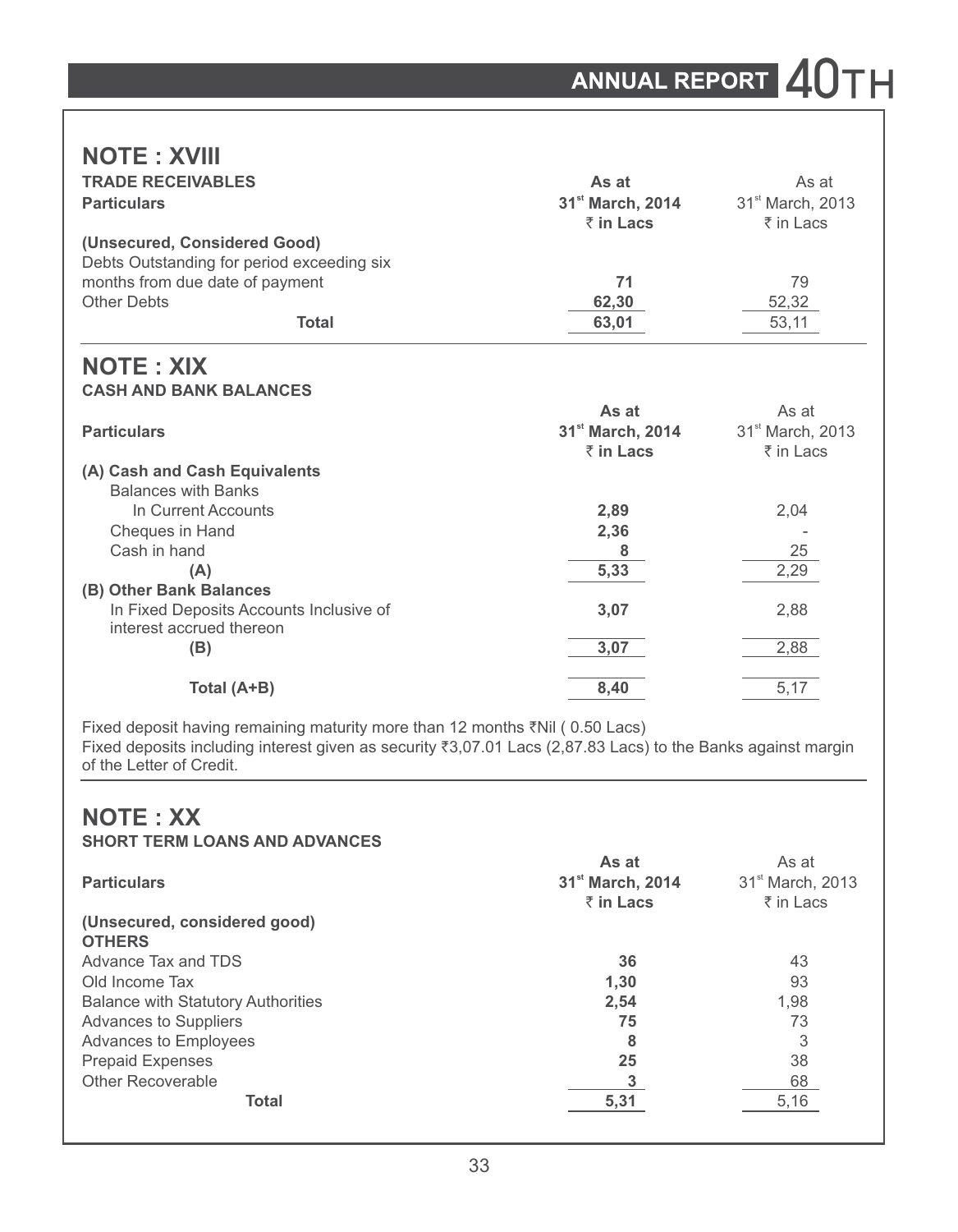# **NOTE : XVIII**

| <b>TRADE RECEIVABLES</b>                                            | As at                        | As at                        |
|---------------------------------------------------------------------|------------------------------|------------------------------|
| <b>Particulars</b>                                                  | 31 <sup>st</sup> March, 2014 | 31 <sup>st</sup> March, 2013 |
|                                                                     | $\bar{z}$ in Lacs            | ₹ in Lacs                    |
| (Unsecured, Considered Good)                                        |                              |                              |
| Debts Outstanding for period exceeding six                          |                              |                              |
| months from due date of payment                                     | 71                           | 79                           |
| <b>Other Debts</b>                                                  | 62,30                        | 52,32                        |
| <b>Total</b>                                                        | 63,01                        | 53,11                        |
| <b>NOTE: XIX</b>                                                    |                              |                              |
| <b>CASH AND BANK BALANCES</b>                                       |                              |                              |
|                                                                     | As at                        | As at                        |
| <b>Particulars</b>                                                  | 31 <sup>st</sup> March, 2014 | 31 <sup>st</sup> March, 2013 |
|                                                                     | $\bar{z}$ in Lacs            | ₹ in Lacs                    |
| (A) Cash and Cash Equivalents                                       |                              |                              |
| <b>Balances with Banks</b>                                          |                              |                              |
| In Current Accounts                                                 | 2,89                         | 2,04                         |
| Cheques in Hand                                                     | 2,36                         |                              |
| Cash in hand                                                        | 8                            | 25                           |
| (A)                                                                 | 5,33                         | 2,29                         |
| (B) Other Bank Balances                                             |                              |                              |
| In Fixed Deposits Accounts Inclusive of<br>interest accrued thereon | 3,07                         | 2,88                         |
| (B)                                                                 | 3,07                         | 2,88                         |
| Total (A+B)                                                         | 8,40                         | 5,17                         |

Fixed deposit having remaining maturity more than 12 months  $\bar{\tau}$ Nil (0.50 Lacs) Fixed deposits including interest given as security ₹3,07.01 Lacs (2,87.83 Lacs) to the Banks against margin of the Letter of Credit.

# **NOTE : XX**

| <b>Particulars</b>                            | As at<br>31 <sup>st</sup> March, 2014<br>₹ in Lacs | As at<br>31 <sup>st</sup> March, 2013<br>₹ in Lacs |
|-----------------------------------------------|----------------------------------------------------|----------------------------------------------------|
| (Unsecured, considered good)<br><b>OTHERS</b> |                                                    |                                                    |
| Advance Tax and TDS                           | 36                                                 | 43                                                 |
| Old Income Tax                                | 1,30                                               | 93                                                 |
| <b>Balance with Statutory Authorities</b>     | 2,54                                               | 1.98                                               |
| <b>Advances to Suppliers</b>                  | 75                                                 | 73                                                 |
| Advances to Employees                         | 8                                                  | 3                                                  |
| <b>Prepaid Expenses</b>                       | 25                                                 | 38                                                 |
| Other Recoverable                             |                                                    | 68                                                 |
| <b>Total</b>                                  | 5.31                                               | 5,16                                               |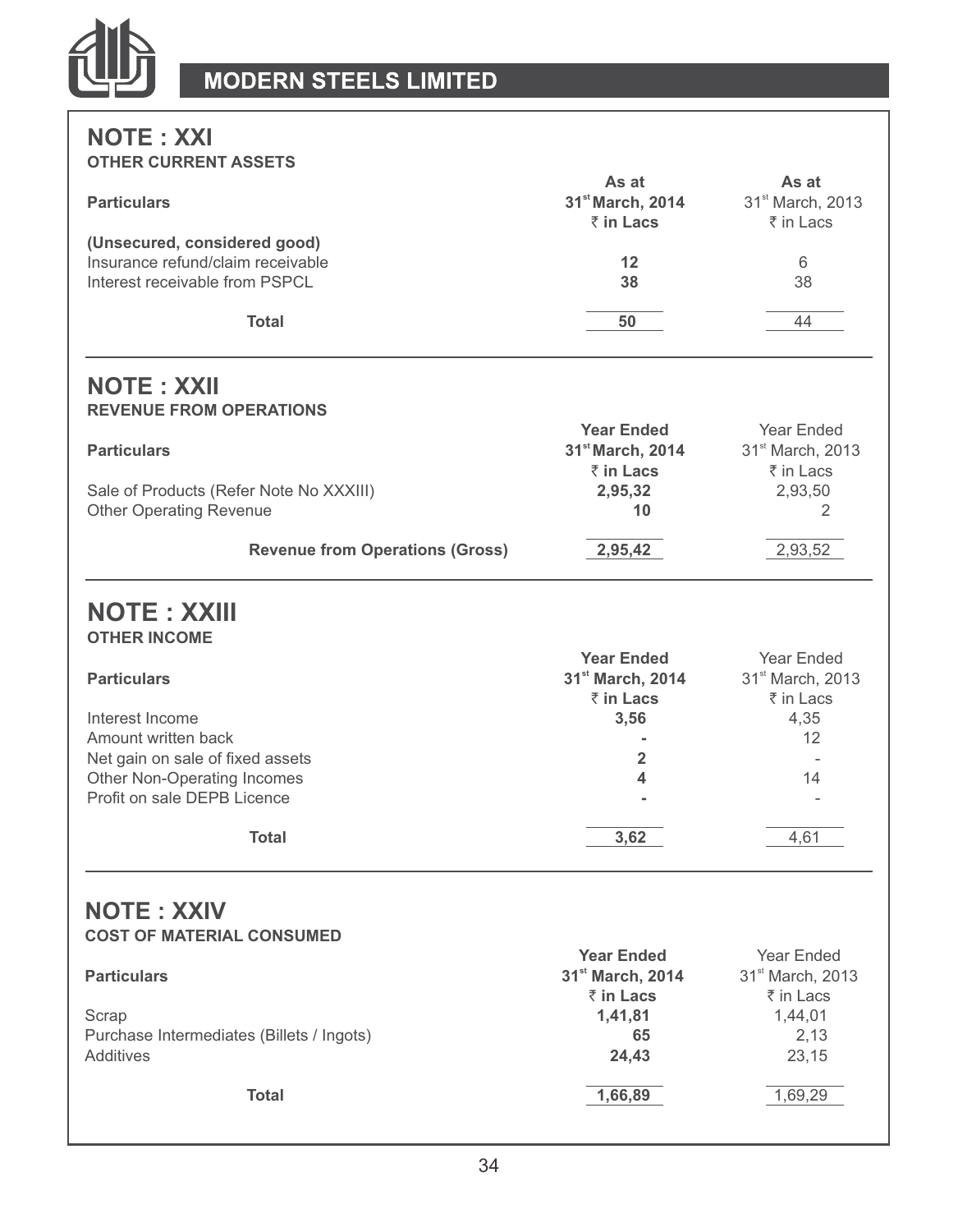

## **NOTE : XXI OTHER CURRENT ASSETS**

| <b>Particulars</b>                                                          | As at<br>31 <sup>st</sup> March, 2014<br>₹ in Lacs | As at<br>31 <sup>st</sup> March, 2013<br>₹ in Lacs      |
|-----------------------------------------------------------------------------|----------------------------------------------------|---------------------------------------------------------|
| (Unsecured, considered good)                                                |                                                    |                                                         |
| Insurance refund/claim receivable                                           | 12                                                 | 6                                                       |
| Interest receivable from PSPCL                                              | 38                                                 | 38                                                      |
|                                                                             |                                                    |                                                         |
| Total                                                                       | 50                                                 | 44                                                      |
| <b>NOTE: XXII</b>                                                           |                                                    |                                                         |
| <b>REVENUE FROM OPERATIONS</b>                                              |                                                    |                                                         |
|                                                                             | <b>Year Ended</b>                                  | Year Ended                                              |
| <b>Particulars</b>                                                          | 31 <sup>st</sup> March, 2014                       | 31 <sup>st</sup> March, 2013                            |
|                                                                             | ₹ in Lacs                                          | ₹ in Lacs                                               |
| Sale of Products (Refer Note No XXXIII)                                     | 2,95,32                                            | 2,93,50                                                 |
| <b>Other Operating Revenue</b>                                              | 10                                                 | 2                                                       |
| <b>Revenue from Operations (Gross)</b>                                      | 2,95,42                                            | 2,93,52                                                 |
| <b>NOTE: XXIII</b><br><b>OTHER INCOME</b>                                   |                                                    |                                                         |
|                                                                             | <b>Year Ended</b>                                  | Year Ended                                              |
| <b>Particulars</b>                                                          | 31 <sup>st</sup> March, 2014                       | 31 <sup>st</sup> March, 2013                            |
|                                                                             | ₹ in Lacs                                          | ₹ in Lacs                                               |
| Interest Income                                                             | 3,56                                               | 4,35                                                    |
| Amount written back                                                         | $\overline{a}$                                     | 12                                                      |
| Net gain on sale of fixed assets                                            | $\overline{2}$                                     |                                                         |
| Other Non-Operating Incomes                                                 | 4                                                  | 14                                                      |
| Profit on sale DEPB Licence                                                 |                                                    |                                                         |
| <b>Total</b>                                                                | 3,62                                               | 4,61                                                    |
| <b>NOTE: XXIV</b><br><b>COST OF MATERIAL CONSUMED</b><br><b>Particulars</b> | <b>Year Ended</b><br>31st March, 2014<br>₹ in Lacs | Year Ended<br>31 <sup>st</sup> March, 2013<br>₹ in Lacs |
| Scrap<br>Purchase Intermediates (Billets / Ingots)<br>Additives             | 1,41,81<br>65<br>24,43                             | 1,44,01<br>2,13<br>23,15                                |
| <b>Total</b>                                                                | 1,66,89                                            | 1,69,29                                                 |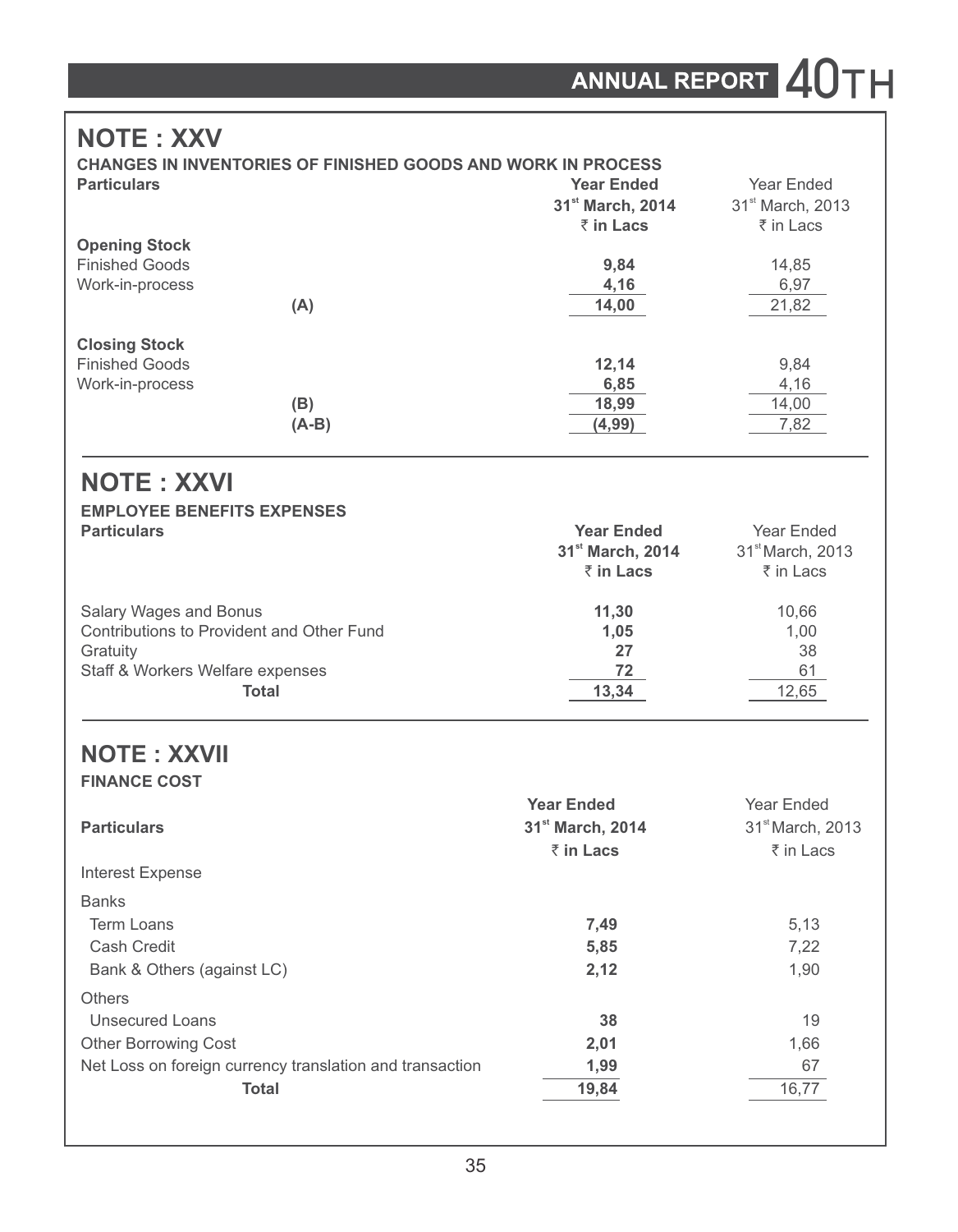# **NOTE : XXV**

|                       | <b>CHANGES IN INVENTORIES OF FINISHED GOODS AND WORK IN PROCESS</b> |                              |
|-----------------------|---------------------------------------------------------------------|------------------------------|
| <b>Particulars</b>    | <b>Year Ended</b>                                                   | Year Ended                   |
|                       | 31 <sup>st</sup> March, 2014                                        | 31 <sup>st</sup> March, 2013 |
|                       | ₹ in Lacs                                                           | ₹ in Lacs                    |
| <b>Opening Stock</b>  |                                                                     |                              |
| <b>Finished Goods</b> | 9,84                                                                | 14,85                        |
| Work-in-process       | 4,16                                                                | 6,97                         |
| (A)                   | 14,00                                                               | 21,82                        |
| <b>Closing Stock</b>  |                                                                     |                              |
| <b>Finished Goods</b> | 12.14                                                               | 9,84                         |
| Work-in-process       | 6,85                                                                | 4,16                         |
| (B)                   | 18,99                                                               | 14,00                        |
| (A-B)                 | (4, 99)                                                             | 7,82                         |

# **NOTE : XXVI**

# **EMPLOYEE BENEFITS EXPENSES**

| <b>Particulars</b>                        | <b>Year Ended</b>            | Year Ended                   |  |
|-------------------------------------------|------------------------------|------------------------------|--|
|                                           | 31 <sup>st</sup> March, 2014 | 31 <sup>st</sup> March, 2013 |  |
|                                           | ₹ in Lacs                    | ₹ in Lacs                    |  |
| Salary Wages and Bonus                    | 11.30                        | 10.66                        |  |
| Contributions to Provident and Other Fund | 1.05                         | 1.00                         |  |
| Gratuity                                  | 27                           | 38                           |  |
| Staff & Workers Welfare expenses          | 72                           | 61                           |  |
| Total                                     | 13,34                        | 12,65                        |  |

### **NOTE : XXVII FINANCE COST**

| <b>Year Ended</b>            | Year Ended                   |
|------------------------------|------------------------------|
| 31 <sup>st</sup> March, 2014 | 31 <sup>st</sup> March, 2013 |
| $\bar{z}$ in Lacs            | ₹ in Lacs                    |
|                              |                              |
|                              |                              |
| 7,49                         | 5,13                         |
| 5,85                         | 7.22                         |
| 2,12                         | 1,90                         |
|                              |                              |
| 38                           | 19                           |
| 2,01                         | 1,66                         |
| 1,99                         | 67                           |
| 19,84                        | 16,77                        |
|                              |                              |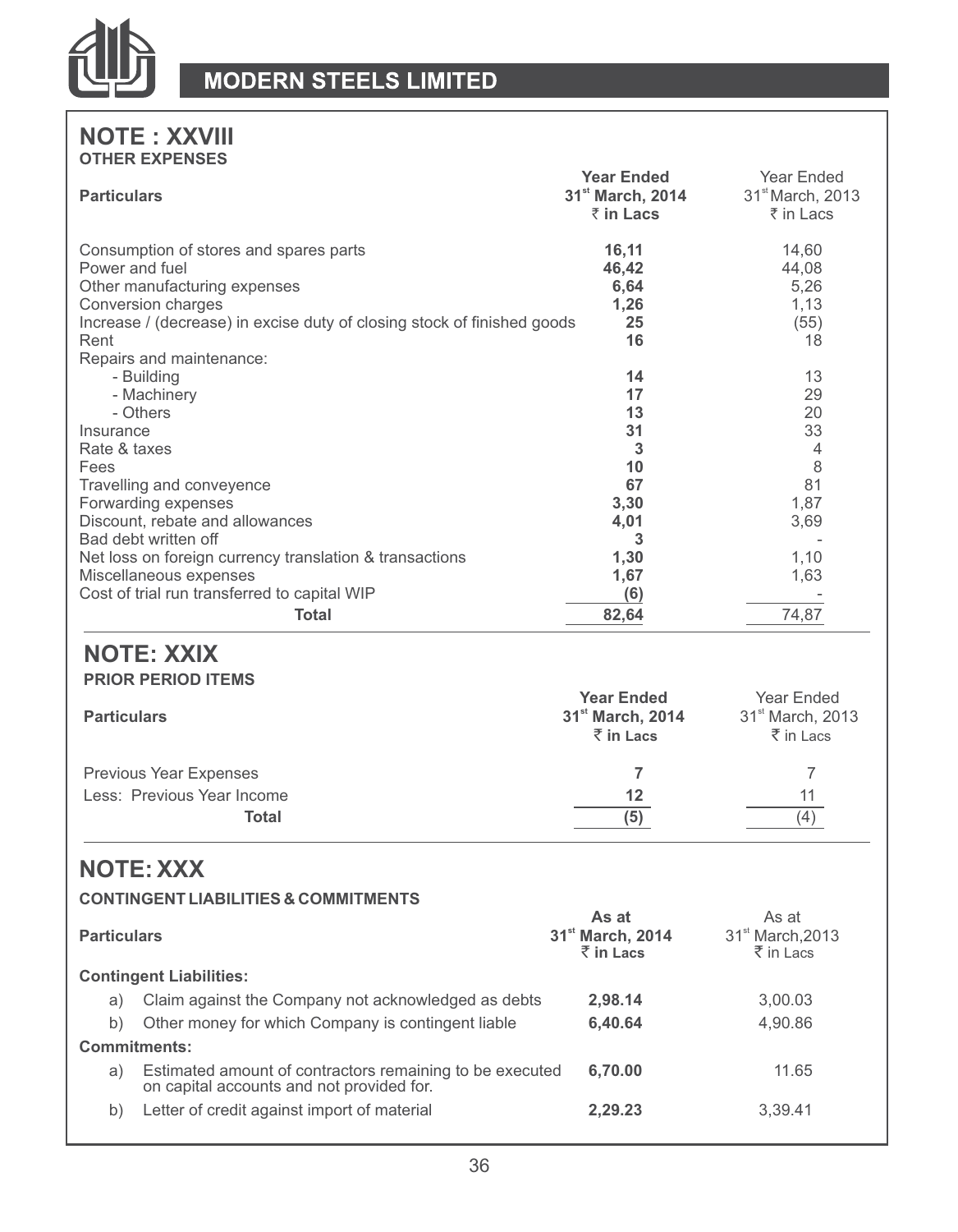

## **NOTE : XXVIII OTHER EXPENSES**

| <b>Particulars</b>                                                                                                                                                                                                                                                                                                                      | <b>Year Ended</b><br>31 <sup>st</sup> March, 2014<br>₹ in Lacs                             | Year Ended<br>31 <sup>st</sup> March, 2013<br>₹ in Lacs                                    |
|-----------------------------------------------------------------------------------------------------------------------------------------------------------------------------------------------------------------------------------------------------------------------------------------------------------------------------------------|--------------------------------------------------------------------------------------------|--------------------------------------------------------------------------------------------|
| Consumption of stores and spares parts<br>Power and fuel<br>Other manufacturing expenses<br>Conversion charges<br>Increase / (decrease) in excise duty of closing stock of finished goods<br>Rent<br>Repairs and maintenance:                                                                                                           | 16,11<br>46,42<br>6,64<br>1,26<br>25<br>16                                                 | 14,60<br>44,08<br>5,26<br>1,13<br>(55)<br>18                                               |
| - Building<br>- Machinery<br>- Others<br>Insurance<br>Rate & taxes<br>Fees<br>Travelling and conveyence<br>Forwarding expenses<br>Discount, rebate and allowances<br>Bad debt written off<br>Net loss on foreign currency translation & transactions<br>Miscellaneous expenses<br>Cost of trial run transferred to capital WIP<br>Total | 14<br>17<br>13<br>31<br>3<br>10<br>67<br>3,30<br>4.01<br>3<br>1,30<br>1,67<br>(6)<br>82,64 | 13<br>29<br>20<br>33<br>$\overline{4}$<br>8<br>81<br>1,87<br>3,69<br>1,10<br>1,63<br>74,87 |
| <b>NOTE: XXIX</b><br><b>PRIOR PERIOD ITEMS</b><br><b>Particulars</b>                                                                                                                                                                                                                                                                    | <b>Year Ended</b><br>31 <sup>st</sup> March, 2014<br>$\bar{z}$ in Lacs                     | Year Ended<br>31 <sup>st</sup> March, 2013<br>₹ in Lacs                                    |
| <b>Previous Year Expenses</b><br>Less: Previous Year Income<br><b>Total</b>                                                                                                                                                                                                                                                             | $\overline{7}$<br>12 <sup>2</sup><br>(5)                                                   | 7<br>11<br>(4)                                                                             |
| <b>NOTE: XXX</b><br><b>CONTINGENT LIABILITIES &amp; COMMITMENTS</b>                                                                                                                                                                                                                                                                     |                                                                                            |                                                                                            |
| <b>Particulars</b>                                                                                                                                                                                                                                                                                                                      | As at<br>31st March, 2014<br>₹ in Lacs                                                     | As at<br>31 <sup>st</sup> March.2013<br>₹ in Lacs                                          |
| <b>Contingent Liabilities:</b><br>Claim against the Company not acknowledged as debts<br>a)<br>Other money for which Company is contingent liable<br>b)<br><b>Commitments:</b>                                                                                                                                                          | 2,98.14<br>6,40.64                                                                         | 3,00.03<br>4,90.86                                                                         |
| Estimated amount of contractors remaining to be executed<br>a)<br>on capital accounts and not provided for.<br>Letter of credit against import of material<br>b)                                                                                                                                                                        | 6,70.00<br>2,29.23                                                                         | 11.65<br>3,39.41                                                                           |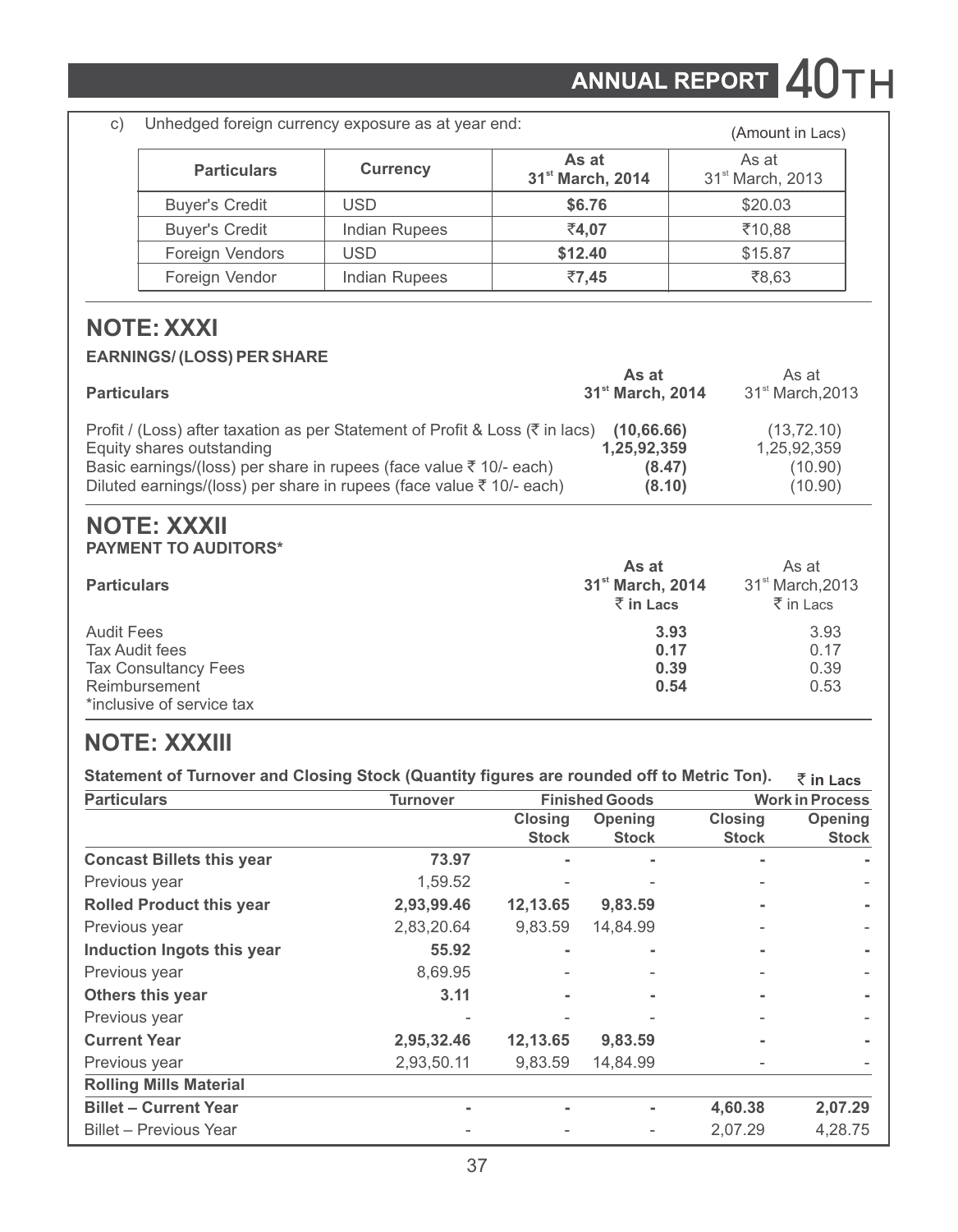ANNUAL REPORT 40TH

c) Unhedged foreign currency exposure as at year end: (Amount in Lacs)

|                       |                      |                                       | ,.  = =   = =  = .                    |
|-----------------------|----------------------|---------------------------------------|---------------------------------------|
| <b>Particulars</b>    | <b>Currency</b>      | As at<br>31 <sup>st</sup> March, 2014 | As at<br>31 <sup>st</sup> March, 2013 |
| <b>Buyer's Credit</b> | <b>USD</b>           | \$6.76                                | \$20.03                               |
| <b>Buver's Credit</b> | <b>Indian Rupees</b> | ₹4.07                                 | ₹10.88                                |
| Foreign Vendors       | <b>USD</b>           | \$12.40                               | \$15.87                               |
| Foreign Vendor        | Indian Rupees        | ₹7.45                                 | ₹8.63                                 |

# **NOTE: XXXI**

#### **EARNINGS/ (LOSS) PER SHARE**

| <b>Particulars</b>                                                                       | As at<br>31 <sup>st</sup> March, 2014 | As at<br>31 <sup>st</sup> March.2013 |
|------------------------------------------------------------------------------------------|---------------------------------------|--------------------------------------|
| Profit / (Loss) after taxation as per Statement of Profit & Loss ( $\bar{\tau}$ in lacs) | (10.66.66)                            | (13, 72, 10)                         |
| Equity shares outstanding                                                                | 1.25.92.359                           | 1.25.92.359                          |
| Basic earnings/(loss) per share in rupees (face value $\bar{\tau}$ 10/- each)            | (8.47)                                | (10.90)                              |
| Diluted earnings/(loss) per share in rupees (face value $\bar{\tau}$ 10/- each)          | (8.10)                                | (10.90)                              |

### **NOTE: XXXII PAYMENT TO AUDITORS\***

| <b>Particulars</b>          | As at<br>31 <sup>st</sup> March, 2014<br>$\bar{z}$ in Lacs | As at<br>31 <sup>st</sup> March.2013<br>$\bar{z}$ in Lacs |
|-----------------------------|------------------------------------------------------------|-----------------------------------------------------------|
| <b>Audit Fees</b>           | 3.93                                                       | 3.93                                                      |
| Tax Audit fees              | 0.17                                                       | 0.17                                                      |
| <b>Tax Consultancy Fees</b> | 0.39                                                       | 0.39                                                      |
| Reimbursement               | 0.54                                                       | 0.53                                                      |
| *inclusive of service tax   |                                                            |                                                           |

# **NOTE: XXXIII**

**Statement of Turnover and Closing Stock (Quantity figures are rounded off to Metric Ton).** ` **in Lacs**

| <b>Particulars</b>               | <b>Turnover</b> | <b>Finished Goods</b> |              |                | <b>Work in Process</b> |  |
|----------------------------------|-----------------|-----------------------|--------------|----------------|------------------------|--|
|                                  |                 | <b>Closing</b>        | Opening      | <b>Closing</b> | Opening                |  |
|                                  |                 | <b>Stock</b>          | <b>Stock</b> | <b>Stock</b>   | <b>Stock</b>           |  |
| <b>Concast Billets this year</b> | 73.97           |                       |              |                |                        |  |
| Previous year                    | 1,59.52         |                       |              |                |                        |  |
| <b>Rolled Product this year</b>  | 2,93,99.46      | 12,13.65              | 9,83.59      |                |                        |  |
| Previous year                    | 2,83,20.64      | 9.83.59               | 14.84.99     |                |                        |  |
| Induction Ingots this year       | 55.92           |                       |              |                |                        |  |
| Previous year                    | 8,69.95         |                       |              |                |                        |  |
| Others this year                 | 3.11            |                       |              |                |                        |  |
| Previous year                    |                 |                       |              |                |                        |  |
| <b>Current Year</b>              | 2,95,32.46      | 12,13.65              | 9,83.59      |                |                        |  |
| Previous year                    | 2,93,50.11      | 9,83.59               | 14,84.99     |                |                        |  |
| <b>Rolling Mills Material</b>    |                 |                       |              |                |                        |  |
| <b>Billet - Current Year</b>     |                 |                       |              | 4,60.38        | 2,07.29                |  |
| Billet - Previous Year           |                 |                       |              | 2.07.29        | 4.28.75                |  |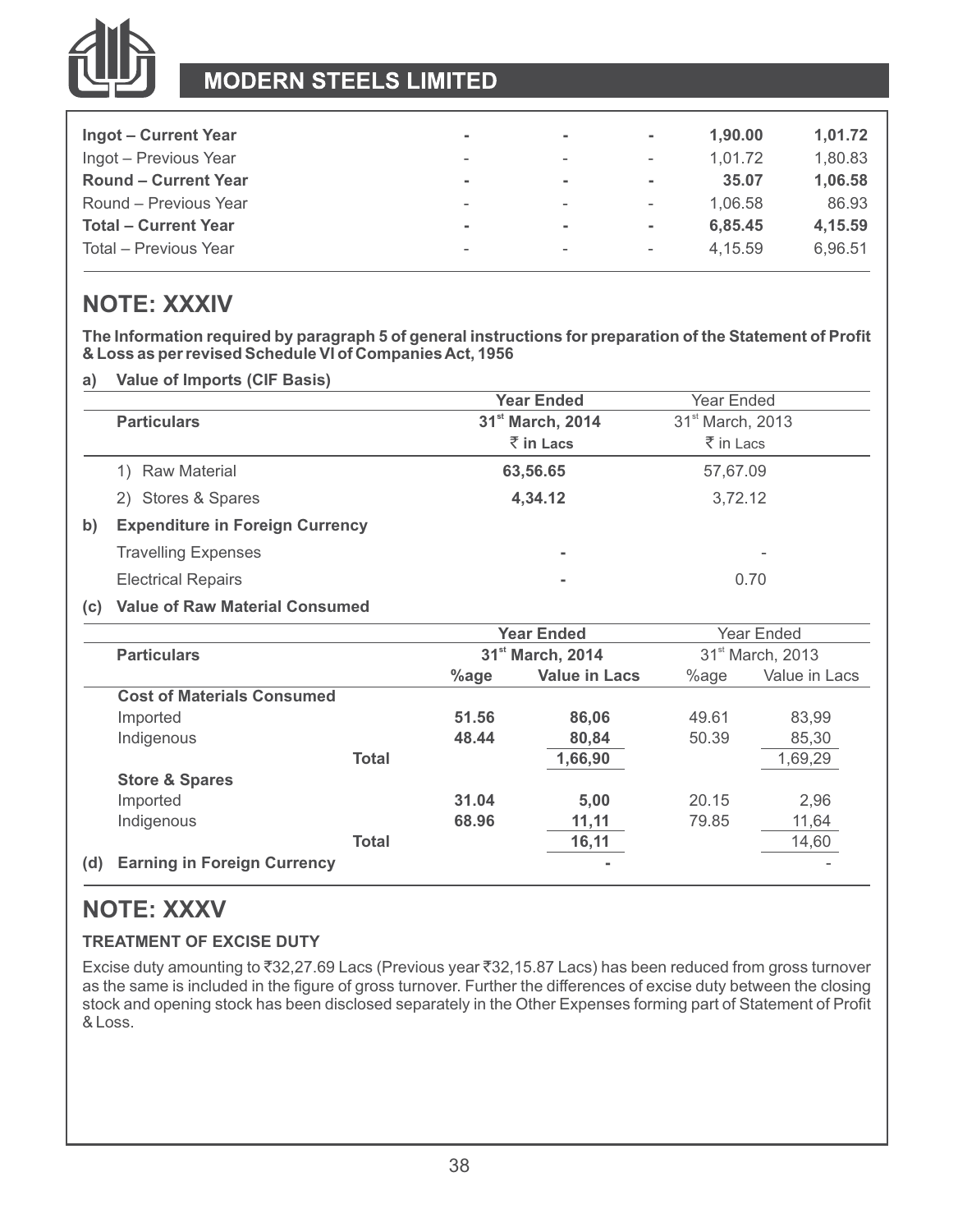

# **MODERN STEELS LIMITED**

| Ingot – Current Year        | $\sim$                   | $\overline{\phantom{a}}$ | ٠                        | 1.90.00 | 1,01.72 |
|-----------------------------|--------------------------|--------------------------|--------------------------|---------|---------|
| Ingot - Previous Year       | ۰                        | $\overline{\phantom{a}}$ | $\overline{\phantom{a}}$ | 1.01.72 | 1.80.83 |
| <b>Round - Current Year</b> | $\overline{\phantom{a}}$ | $\overline{\phantom{a}}$ | ۰                        | 35.07   | 1.06.58 |
| Round - Previous Year       | $\overline{\phantom{a}}$ | $\overline{\phantom{a}}$ | $\overline{\phantom{a}}$ | 1.06.58 | 86.93   |
| <b>Total - Current Year</b> | $\overline{\phantom{a}}$ | ۰                        | ٠                        | 6.85.45 | 4.15.59 |
| Total - Previous Year       | -                        | $\overline{\phantom{a}}$ | $\overline{\phantom{a}}$ | 4.15.59 | 6.96.51 |

# **NOTE: XXXIV**

**The Information required by paragraph 5 of general instructions for preparation of the Statement of Profit & Loss as per revised Schedule VI of Companies Act, 1956**

**a) Value of Imports (CIF Basis)**

|                                              | <b>Year Ended</b>            | Year Ended                   |
|----------------------------------------------|------------------------------|------------------------------|
| <b>Particulars</b>                           | 31 <sup>st</sup> March, 2014 | 31 <sup>st</sup> March, 2013 |
|                                              | $\bar{z}$ in Lacs            | ₹ in Lacs                    |
| Raw Material                                 | 63,56.65                     | 57,67.09                     |
| 2) Stores & Spares                           | 4,34.12                      | 3.72.12                      |
| <b>Expenditure in Foreign Currency</b><br>b) |                              |                              |
| <b>Travelling Expenses</b>                   | ۰                            | $\overline{\phantom{a}}$     |
| <b>Electrical Repairs</b>                    | ۰                            | 0.70                         |

#### **(c) Value of Raw Material Consumed**

|     |                                    |              |                              | <b>Year Ended</b>    |                              | Year Ended    |
|-----|------------------------------------|--------------|------------------------------|----------------------|------------------------------|---------------|
|     | <b>Particulars</b>                 |              | 31 <sup>st</sup> March, 2014 |                      | 31 <sup>st</sup> March, 2013 |               |
|     |                                    |              | $%$ age                      | <b>Value in Lacs</b> | %age                         | Value in Lacs |
|     | <b>Cost of Materials Consumed</b>  |              |                              |                      |                              |               |
|     | Imported                           |              | 51.56                        | 86.06                | 49.61                        | 83.99         |
|     | Indigenous                         |              | 48.44                        | 80,84                | 50.39                        | 85,30         |
|     |                                    | <b>Total</b> |                              | 1,66,90              |                              | 1,69,29       |
|     | <b>Store &amp; Spares</b>          |              |                              |                      |                              |               |
|     | Imported                           |              | 31.04                        | 5.00                 | 20.15                        | 2,96          |
|     | Indigenous                         |              | 68.96                        | 11,11                | 79.85                        | 11,64         |
|     |                                    | Total        |                              | 16,11                |                              | 14,60         |
| (d) | <b>Earning in Foreign Currency</b> |              |                              |                      |                              |               |
|     |                                    |              |                              |                      |                              |               |

# **NOTE: XXXV**

### **TREATMENT OF EXCISE DUTY**

Excise duty amounting to ₹32,27.69 Lacs (Previous year ₹32,15.87 Lacs) has been reduced from gross turnover as the same is included in the figure of gross turnover. Further the differences of excise duty between the closing stock and opening stock has been disclosed separately in the Other Expenses forming part of Statement of Profit & Loss.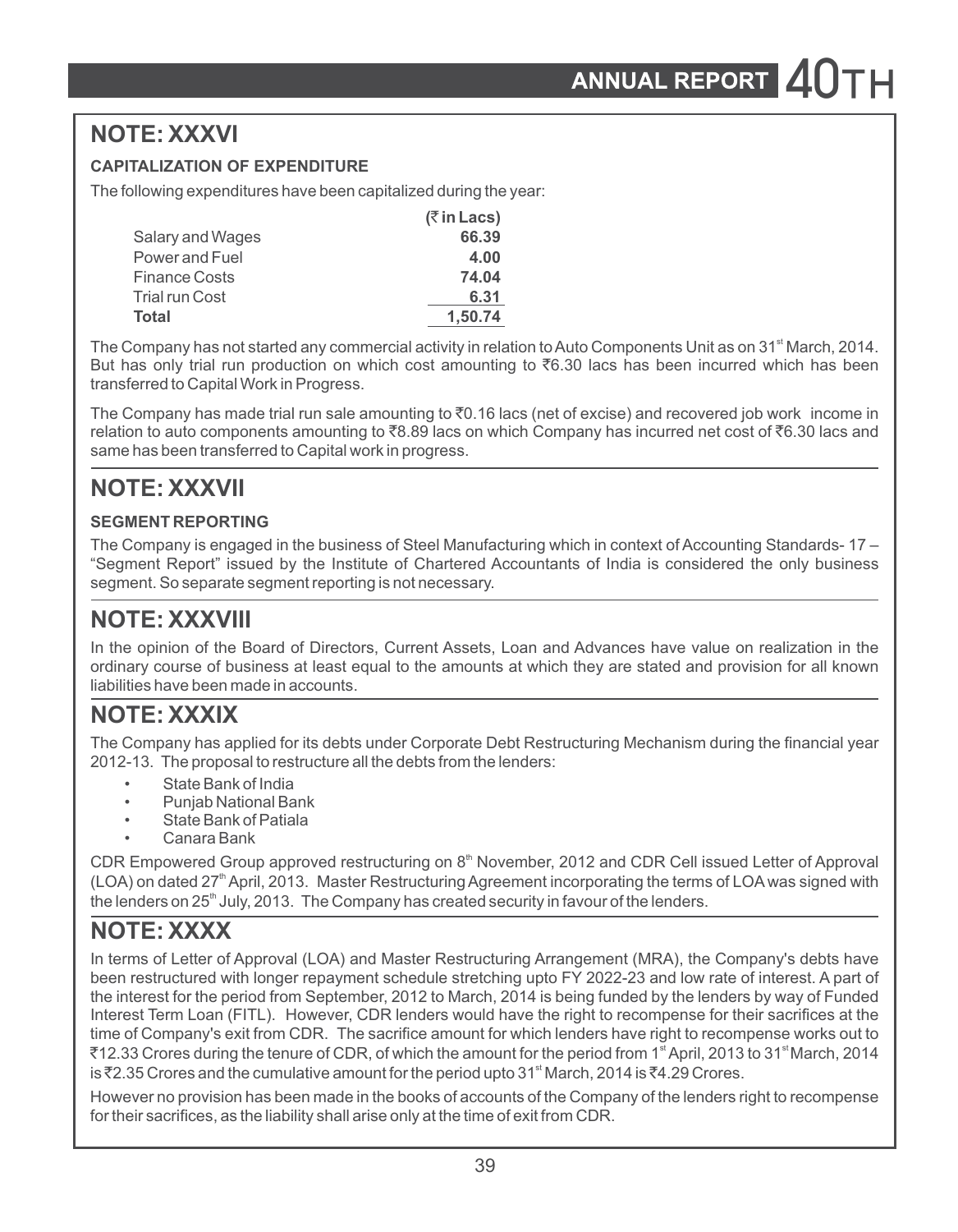# **NOTE: XXXVI**

### **CAPITALIZATION OF EXPENDITURE**

The following expenditures have been capitalized during the year:

|                       | $($ ₹ in Lacs) |
|-----------------------|----------------|
| Salary and Wages      | 66.39          |
| Power and Fuel        | 4.00           |
| <b>Finance Costs</b>  | 74.04          |
| <b>Trial run Cost</b> | 6.31           |
| Total                 | 1,50.74        |

The Company has not started any commercial activity in relation to Auto Components Unit as on 31<sup><sup>st</sup> March, 2014.</sup> But has only trial run production on which cost amounting to  $\bar{c}6.30$  lacs has been incurred which has been transferred to Capital Work in Progress.

The Company has made trial run sale amounting to  $\bar{v}$ . 16 lacs (net of excise) and recovered job work income in relation to auto components amounting to  $\bar{z}8.89$  lacs on which Company has incurred net cost of  $\bar{z}6.30$  lacs and same has been transferred to Capital work in progress.

# **NOTE: XXXVII**

#### **SEGMENT REPORTING**

The Company is engaged in the business of Steel Manufacturing which in context of Accounting Standards- 17 – "Segment Report" issued by the Institute of Chartered Accountants of India is considered the only business segment. So separate segment reporting is not necessary.

# **NOTE: XXXVIII**

In the opinion of the Board of Directors, Current Assets, Loan and Advances have value on realization in the ordinary course of business at least equal to the amounts at which they are stated and provision for all known liabilities have been made in accounts.

# **NOTE: XXXIX**

The Company has applied for its debts under Corporate Debt Restructuring Mechanism during the financial year 2012-13. The proposal to restructure all the debts from the lenders:

- State Bank of India
- Punjab National Bank
- State Bank of Patiala
- Canara Bank

CDR Empowered Group approved restructuring on 8<sup>th</sup> November, 2012 and CDR Cell issued Letter of Approval  $(LOA)$  on dated  $27<sup>th</sup>$  April, 2013. Master Restructuring Agreement incorporating the terms of LOA was signed with the lenders on  $25<sup>th</sup>$  July, 2013. The Company has created security in favour of the lenders.

# **NOTE: XXXX**

In terms of Letter of Approval (LOA) and Master Restructuring Arrangement (MRA), the Company's debts have been restructured with longer repayment schedule stretching upto FY 2022-23 and low rate of interest. A part of the interest for the period from September, 2012 to March, 2014 is being funded by the lenders by way of Funded Interest Term Loan (FITL). However, CDR lenders would have the right to recompense for their sacrifices at the time of Company's exit from CDR. The sacrifice amount for which lenders have right to recompense works out to  $\bar{\zeta}$ 12.33 Crores during the tenure of CDR, of which the amount for the period from 1<sup>st</sup> April, 2013 to 31<sup>st</sup> March, 2014 is ₹2.35 Crores and the cumulative amount for the period upto 31<sup>st</sup> March, 2014 is ₹4.29 Crores.

However no provision has been made in the books of accounts of the Company of the lenders right to recompense for their sacrifices, as the liability shall arise only at the time of exit from CDR.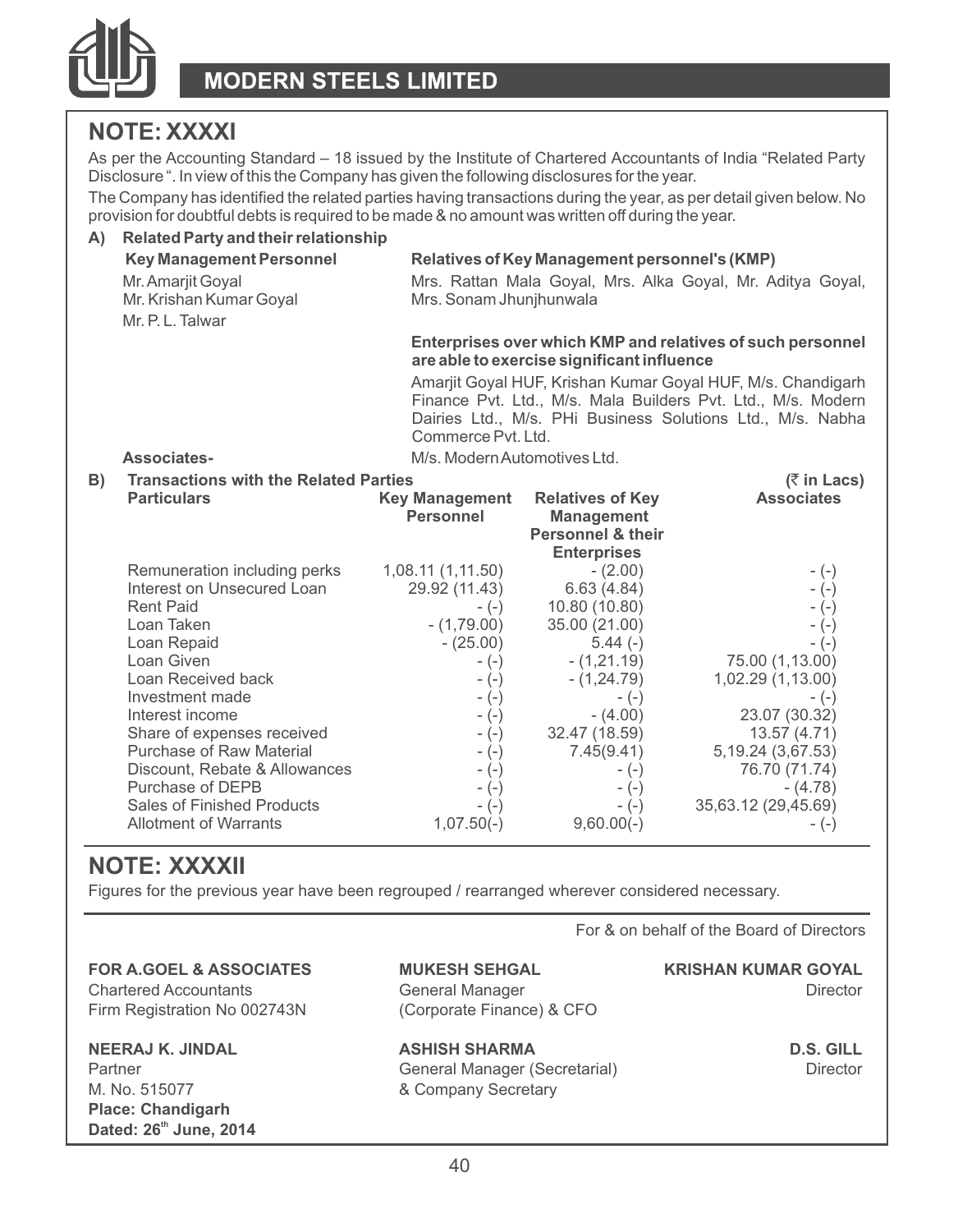

# **NOTE: XXXXI**

As per the Accounting Standard – 18 issued by the Institute of Chartered Accountants of India "Related Party Disclosure ". In view of this the Company has given the following disclosures for the year.

The Company has identified the related parties having transactions during the year, as per detail given below. No provision for doubtful debts is required to be made & no amount was written off during the year.

| A) | Related Party and their relationship                   |                              |                                                                                                          |                                                            |  |  |
|----|--------------------------------------------------------|------------------------------|----------------------------------------------------------------------------------------------------------|------------------------------------------------------------|--|--|
|    | <b>Key Management Personnel</b>                        |                              | Relatives of Key Management personnel's (KMP)                                                            |                                                            |  |  |
|    | Mr. Amarjit Goyal                                      |                              |                                                                                                          | Mrs. Rattan Mala Goyal, Mrs. Alka Goyal, Mr. Aditya Goyal, |  |  |
|    | Mr. Krishan Kumar Goyal                                | Mrs. Sonam Jhunjhunwala      |                                                                                                          |                                                            |  |  |
|    | Mr. P. L. Talwar                                       |                              |                                                                                                          |                                                            |  |  |
|    |                                                        |                              | Enterprises over which KMP and relatives of such personnel<br>are able to exercise significant influence |                                                            |  |  |
|    |                                                        |                              | Amarjit Goyal HUF, Krishan Kumar Goyal HUF, M/s. Chandigarh                                              |                                                            |  |  |
|    |                                                        |                              | Finance Pvt. Ltd., M/s. Mala Builders Pvt. Ltd., M/s. Modern                                             |                                                            |  |  |
|    |                                                        | Commerce Pvt. Ltd.           |                                                                                                          | Dairies Ltd., M/s. PHi Business Solutions Ltd., M/s. Nabha |  |  |
|    | Associates-                                            | M/s. Modern Automotives Ltd. |                                                                                                          |                                                            |  |  |
| B) | <b>Transactions with the Related Parties</b>           |                              |                                                                                                          | $(5 \in \mathsf{Lacs})$                                    |  |  |
|    | <b>Particulars</b>                                     | <b>Key Management</b>        | <b>Relatives of Key</b>                                                                                  | <b>Associates</b>                                          |  |  |
|    |                                                        | Personnel                    | <b>Management</b>                                                                                        |                                                            |  |  |
|    |                                                        |                              | Personnel & their                                                                                        |                                                            |  |  |
|    | Remuneration including perks                           | 1,08.11 (1,11.50)            | <b>Enterprises</b>                                                                                       |                                                            |  |  |
|    | Interest on Unsecured Loan                             | 29.92 (11.43)                | $-(2.00)$<br>6.63(4.84)                                                                                  | $-(-)$<br>$-(-)$                                           |  |  |
|    | <b>Rent Paid</b>                                       | $-(-)$                       | 10.80 (10.80)                                                                                            | $-(-)$                                                     |  |  |
|    | Loan Taken                                             | $-(1,79.00)$                 | 35.00 (21.00)                                                                                            | $-(-)$                                                     |  |  |
|    | Loan Repaid                                            | $-(25.00)$                   | $5.44(-)$                                                                                                | $-(-)$                                                     |  |  |
|    | Loan Given                                             | $-(-)$                       | $-(1,21.19)$                                                                                             | 75.00 (1,13.00)                                            |  |  |
|    | Loan Received back                                     | $-(-)$                       | $-(1,24.79)$                                                                                             | 1,02.29 (1,13.00)                                          |  |  |
|    | Investment made                                        | $-(-)$                       | $-(-)$                                                                                                   | - (-)                                                      |  |  |
|    | Interest income                                        | $-(-)$                       | $-(4.00)$                                                                                                | 23.07 (30.32)                                              |  |  |
|    | Share of expenses received<br>Purchase of Raw Material | $-(-)$                       | 32.47 (18.59)<br>7.45(9.41)                                                                              | 13.57 (4.71)                                               |  |  |
|    | Discount, Rebate & Allowances                          | $-(-)$<br>$-(-)$             | $-(-)$                                                                                                   | 5, 19.24 (3, 67.53)<br>76.70 (71.74)                       |  |  |
|    | Purchase of DEPB                                       | $-(-)$                       | $-(-)$                                                                                                   | $-(4.78)$                                                  |  |  |
|    | Sales of Finished Products                             | $-(-)$                       | $-(-)$                                                                                                   | 35,63.12 (29,45.69)                                        |  |  |
|    | Allotment of Warrants                                  | $1,07.50(-)$                 | $9,60.00(-)$                                                                                             | $-(-)$                                                     |  |  |

# **NOTE: XXXXII**

Figures for the previous year have been regrouped / rearranged wherever considered necessary.

For & on behalf of the Board of Directors

**FOR A.GOEL & ASSOCIATES MUKESH SEHGAL KRISHAN KUMAR GOYAL** Chartered Accountants **General Manager Chartered Accountants** Director

M. No. 515077 & Company Secretary **Place: Chandigarh th Dated: 26 June, 2014**

Firm Registration No 002743N (Corporate Finance) & CFO

**NEERAJ K. JINDAL ASHISH SHARMA D.S. GILL** Partner **Ceneral Manager (Secretarial)** Director Director